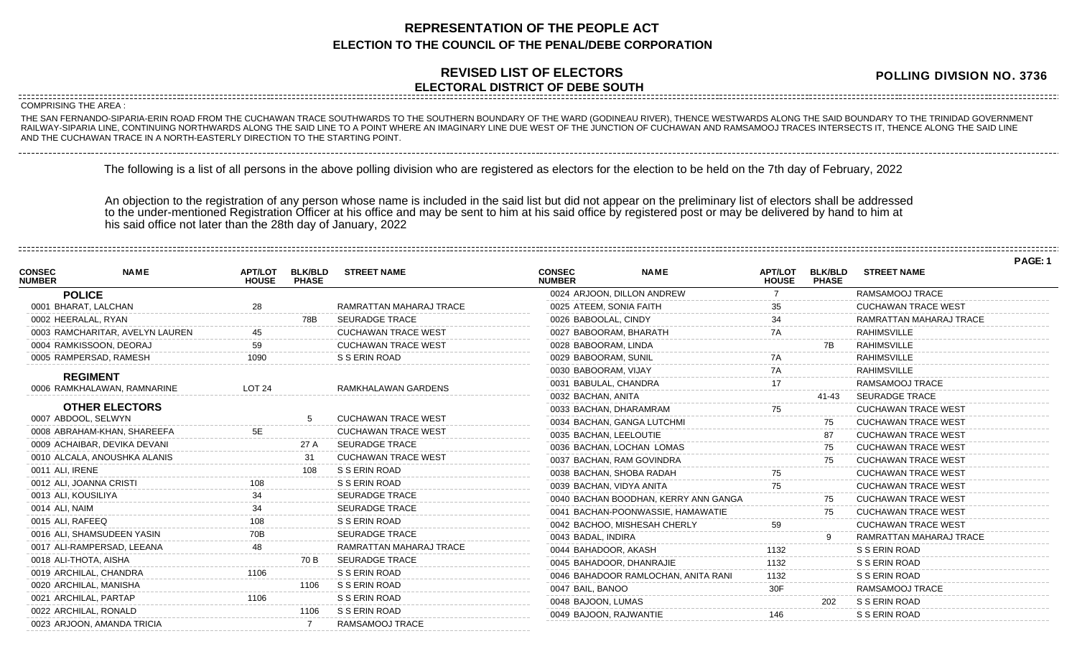## **REPRESENTATION OF THE PEOPLE ACT ELECTION TO THE COUNCIL OF THE PENAL/DEBE CORPORATION**

## **REVISED LIST OF ELECTORS ELECTORAL DISTRICT OF DEBE SOUTH**

**POLLING DIVISION NO. 3736**

**PAGE: 1**

COMPRISING THE AREA :

------------------------

THE SAN FERNANDO-SIPARIA-ERIN ROAD FROM THE CUCHAWAN TRACE SOUTHWARDS TO THE SOUTHERN BOUNDARY OF THE WARD (GODINEAU RIVER), THENCE WESTWARDS ALONG THE SAID BOUNDARY TO THE TRINIDAD GOVERNMENT RAILWAY-SIPARIA LINE, CONTINUING NORTHWARDS ALONG THE SAID LINE TO A POINT WHERE AN IMAGINARY LINE DUE WEST OF THE JUNCTION OF CUCHAWAN AND RAMSAMOOJ TRACES INTERSECTS IT, THENCE ALONG THE SAID LINE AND THE CUCHAWAN TRACE IN A NORTH-EASTERLY DIRECTION TO THE STARTING POINT.

The following is a list of all persons in the above polling division who are registered as electors for the election to be held on the 7th day of February, 2022

An objection to the registration of any person whose name is included in the said list but did not appear on the preliminary list of electors shall be addressed to the under-mentioned Registration Officer at his office and may be sent to him at his said office by registered post or may be delivered by hand to him at his said office not later than the 28th day of January, 2022

| <b>CONSEC</b><br><b>NUMBER</b> | <b>NAME</b>                     | <b>APT/LOT</b><br><b>HOUSE</b> | <b>BLK/BLD</b><br><b>PHASE</b> | <b>STREET NAME</b>         | <b>CONSEC</b><br><b>NUMBER</b> | <b>NAME</b>                          | <b>APT/LOT</b><br><b>HOUSE</b> | <b>BLK/BLD</b><br><b>PHASE</b> | <b>STREET NAME</b>         |  |
|--------------------------------|---------------------------------|--------------------------------|--------------------------------|----------------------------|--------------------------------|--------------------------------------|--------------------------------|--------------------------------|----------------------------|--|
|                                | <b>POLICE</b>                   |                                |                                |                            | 0024 ARJOON, DILLON ANDREW     |                                      |                                |                                | RAMSAMOOJ TRACE            |  |
|                                | 0001 BHARAT, LALCHAN            | 28                             |                                | RAMRATTAN MAHARAJ TRACE    | 0025 ATEEM, SONIA FAITH        |                                      |                                |                                | <b>CUCHAWAN TRACE WEST</b> |  |
|                                | 0002 HEERALAL, RYAN             |                                | 78B                            | <b>SEURADGE TRACE</b>      | 0026 BABOOLAL, CINDY           |                                      | 34                             |                                | RAMRATTAN MAHARAJ TRACE    |  |
|                                | 0003 RAMCHARITAR, AVELYN LAUREN |                                |                                | <b>CUCHAWAN TRACE WEST</b> | 0027 BABOORAM, BHARATH         |                                      | 7A                             |                                | <b>RAHIMSVILLE</b>         |  |
|                                | 0004 RAMKISSOON, DEORAJ         | 59                             |                                | <b>CUCHAWAN TRACE WEST</b> | 0028 BABOORAM, LINDA           |                                      |                                |                                | <b>RAHIMSVILLE</b>         |  |
|                                | 0005 RAMPERSAD, RAMESH          | 1090                           |                                | S S ERIN ROAD              | 0029 BABOORAM, SUNIL           |                                      |                                |                                | <b>RAHIMSVILLE</b>         |  |
|                                | <b>REGIMENT</b>                 |                                |                                |                            | 0030 BABOORAM, VIJAY           |                                      | 7A                             |                                | <b>RAHIMSVILLE</b>         |  |
|                                | 0006 RAMKHALAWAN, RAMNARINE     | LOT <sub>24</sub>              |                                | RAMKHALAWAN GARDENS        | 0031 BABULAL, CHANDRA          |                                      |                                |                                | RAMSAMOOJ TRACE            |  |
|                                |                                 |                                |                                |                            | 0032 BACHAN, ANITA             |                                      |                                | 41-43                          | <b>SEURADGE TRACE</b>      |  |
|                                | <b>OTHER ELECTORS</b>           |                                |                                |                            | 0033 BACHAN, DHARAMRAM         |                                      |                                |                                | <b>CUCHAWAN TRACE WEST</b> |  |
|                                | 0007 ABDOOL, SELWYN             |                                |                                | <b>CUCHAWAN TRACE WEST</b> | 0034 BACHAN, GANGA LUTCHMI     |                                      |                                | 75                             | <b>CUCHAWAN TRACE WEST</b> |  |
|                                | 0008 ABRAHAM-KHAN, SHAREEFA     | 5E                             |                                | <b>CUCHAWAN TRACE WEST</b> | 0035 BACHAN, LEELOUTIE         |                                      |                                | 87                             | <b>CUCHAWAN TRACE WEST</b> |  |
|                                | 0009 ACHAIBAR, DEVIKA DEVANI    |                                | 27 A                           | <b>SEURADGE TRACE</b>      | 0036 BACHAN, LOCHAN LOMAS      |                                      |                                | 75                             | <b>CUCHAWAN TRACE WEST</b> |  |
|                                | 0010 ALCALA, ANOUSHKA ALANIS    |                                | 31                             | <b>CUCHAWAN TRACE WEST</b> | 0037 BACHAN, RAM GOVINDRA      |                                      |                                | 75                             | CUCHAWAN TRACE WEST        |  |
|                                | 0011 ALI, IRENE                 |                                | 108                            | S S ERIN ROAD              | 0038 BACHAN, SHOBA RADAH       |                                      |                                |                                | <b>CUCHAWAN TRACE WEST</b> |  |
|                                | 0012 ALI, JOANNA CRISTI         |                                |                                | S S ERIN ROAD              | 0039 BACHAN, VIDYA ANITA       |                                      |                                |                                | <b>CUCHAWAN TRACE WEST</b> |  |
|                                | 0013 ALI, KOUSILIYA             |                                |                                | <b>SEURADGE TRACE</b>      |                                | 0040 BACHAN BOODHAN, KERRY ANN GANGA |                                | 75                             | <b>CUCHAWAN TRACE WEST</b> |  |
|                                | 0014 ALI, NAIM                  |                                |                                | <b>SEURADGE TRACE</b>      |                                | 0041 BACHAN-POONWASSIE, HAMAWATIE    |                                | 75                             | <b>CUCHAWAN TRACE WEST</b> |  |
|                                | 0015 ALI, RAFEEQ                |                                |                                | S S ERIN ROAD              | 0042 BACHOO, MISHESAH CHERLY   |                                      | 59                             |                                | <b>CUCHAWAN TRACE WEST</b> |  |
|                                | 0016 ALI, SHAMSUDEEN YASIN      |                                |                                | <b>SEURADGE TRACE</b>      | 0043 BADAL, INDIRA             |                                      |                                |                                | RAMRATTAN MAHARAJ TRACE    |  |
|                                | 0017 ALI-RAMPERSAD, LEEANA      | 48                             |                                | RAMRATTAN MAHARAJ TRACE    | 0044 BAHADOOR, AKASH           |                                      | 1132                           |                                | S S ERIN ROAD              |  |
|                                | 0018 ALI-THOTA, AISHA           |                                | 70 B                           | <b>SEURADGE TRACE</b>      | 0045 BAHADOOR, DHANRAJIE       |                                      | 1132                           |                                | S S ERIN ROAD              |  |
|                                | 0019 ARCHILAL, CHANDRA          | 1106                           |                                | S S ERIN ROAD              |                                | 0046 BAHADOOR RAMLOCHAN, ANITA RANI  | 1132                           |                                | S S ERIN ROAD              |  |
|                                | 0020 ARCHILAL, MANISHA          |                                | 1106                           | S S ERIN ROAD              | 0047 BAIL, BANOO               |                                      | 30F                            |                                | RAMSAMOOJ TRACE            |  |
|                                | 0021 ARCHILAL, PARTAP           | 1106                           |                                | S S ERIN ROAD              | 0048 BAJOON, LUMAS             |                                      |                                | 202                            | S S ERIN ROAD              |  |
|                                | 0022 ARCHILAL, RONALD           |                                | 1106                           | S S ERIN ROAD              | 0049 BAJOON, RAJWANTIE         |                                      | 146                            |                                | S S ERIN ROAD              |  |
|                                | 0023 ARJOON, AMANDA TRICIA      |                                |                                | RAMSAMOOJ TRACE            |                                |                                      |                                |                                |                            |  |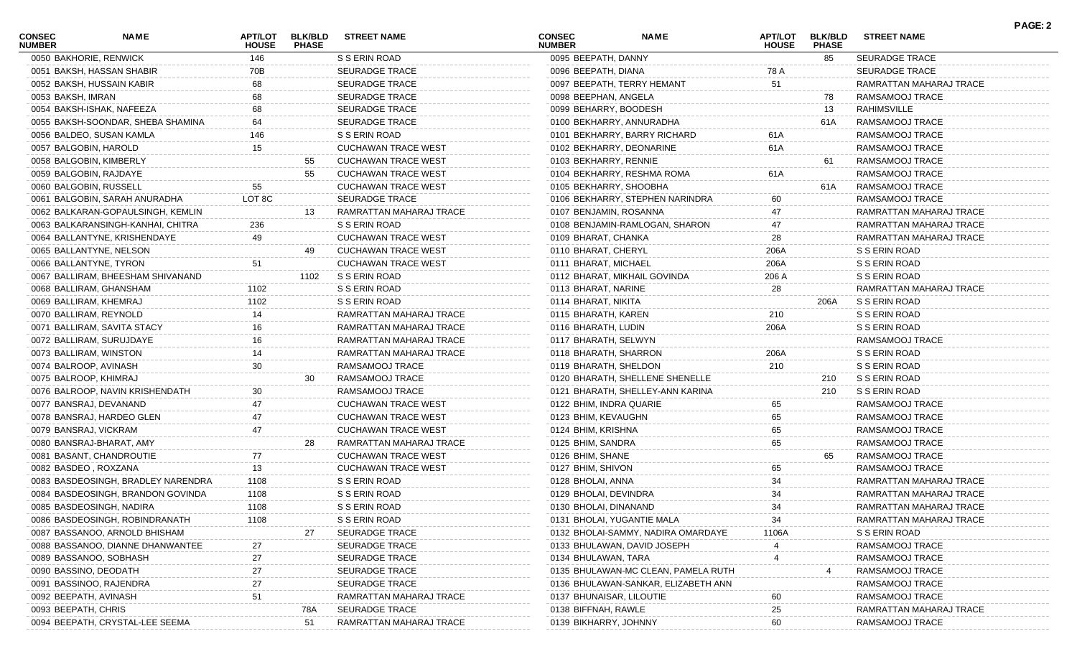| <b>CONSEC</b><br><b>NUMBER</b> | NAME                               | <b>APT/LOT</b><br><b>HOUSE</b> | <b>BLK/BLD</b><br><b>PHASE</b> | <b>STREET NAME</b>         | <b>CONSEC</b><br><b>NUMBER</b> | <b>NAME</b>                         | <b>APT/LOT</b><br><b>HOUSE</b> | <b>BLK/BLD</b><br><b>PHASE</b> | <b>STREET NAME</b>      | PAGE: 2 |
|--------------------------------|------------------------------------|--------------------------------|--------------------------------|----------------------------|--------------------------------|-------------------------------------|--------------------------------|--------------------------------|-------------------------|---------|
| 0050 BAKHORIE, RENWICK         |                                    | 146                            |                                | S S ERIN ROAD              | 0095 BEEPATH, DANNY            |                                     |                                | 85                             | <b>SEURADGE TRACE</b>   |         |
|                                | 0051 BAKSH, HASSAN SHABIR          | 70B                            |                                | <b>SEURADGE TRACE</b>      | 0096 BEEPATH, DIANA            |                                     | 78 A                           |                                | <b>SEURADGE TRACE</b>   |         |
|                                | 0052 BAKSH, HUSSAIN KABIR          | 68                             |                                | <b>SEURADGE TRACE</b>      |                                | 0097 BEEPATH, TERRY HEMANT          | 51                             |                                | RAMRATTAN MAHARAJ TRACE |         |
| 0053 BAKSH, IMRAN              |                                    | 68                             |                                | <b>SEURADGE TRACE</b>      | 0098 BEEPHAN, ANGELA           |                                     |                                | 78                             | RAMSAMOOJ TRACE         |         |
|                                | 0054 BAKSH-ISHAK, NAFEEZA          | 68                             |                                | <b>SEURADGE TRACE</b>      | 0099 BEHARRY, BOODESH          |                                     |                                | 13                             | <b>RAHIMSVILLE</b>      |         |
|                                | 0055 BAKSH-SOONDAR, SHEBA SHAMINA  | 64                             |                                | <b>SEURADGE TRACE</b>      |                                | 0100 BEKHARRY, ANNURADHA            |                                | 61A                            | RAMSAMOOJ TRACE         |         |
|                                | 0056 BALDEO, SUSAN KAMLA           | 146                            |                                | S S ERIN ROAD              |                                | 0101 BEKHARRY, BARRY RICHARD        | 61A                            |                                | RAMSAMOOJ TRACE         |         |
| 0057 BALGOBIN, HAROLD          |                                    | 15                             |                                | <b>CUCHAWAN TRACE WEST</b> | 0102 BEKHARRY, DEONARINE       |                                     | 61A                            |                                | RAMSAMOOJ TRACE         |         |
|                                | 0058 BALGOBIN, KIMBERLY            |                                | 55                             | <b>CUCHAWAN TRACE WEST</b> | 0103 BEKHARRY, RENNIE          |                                     |                                | 61                             | RAMSAMOOJ TRACE         |         |
| 0059 BALGOBIN, RAJDAYE         |                                    |                                | 55                             | <b>CUCHAWAN TRACE WEST</b> |                                | 0104 BEKHARRY, RESHMA ROMA          | 61A                            |                                | RAMSAMOOJ TRACE         |         |
| 0060 BALGOBIN, RUSSELL         |                                    | 55                             |                                | CUCHAWAN TRACE WEST        | 0105 BEKHARRY, SHOOBHA         |                                     |                                | 61A                            | RAMSAMOOJ TRACE         |         |
|                                | 0061 BALGOBIN, SARAH ANURADHA      | LOT 8C                         |                                | <b>SEURADGE TRACE</b>      |                                | 0106 BEKHARRY, STEPHEN NARINDRA     | 60                             |                                | RAMSAMOOJ TRACE         |         |
|                                | 0062 BALKARAN-GOPAULSINGH, KEMLIN  |                                | 13                             | RAMRATTAN MAHARAJ TRACE    | 0107 BENJAMIN, ROSANNA         |                                     | 47                             |                                | RAMRATTAN MAHARAJ TRACE |         |
|                                | 0063 BALKARANSINGH-KANHAI, CHITRA  | 236                            |                                | S S ERIN ROAD              |                                | 0108 BENJAMIN-RAMLOGAN, SHARON      | 47                             |                                | RAMRATTAN MAHARAJ TRACE |         |
|                                | 0064 BALLANTYNE, KRISHENDAYE       | 49                             |                                | <b>CUCHAWAN TRACE WEST</b> | 0109 BHARAT, CHANKA            |                                     | 28                             |                                | RAMRATTAN MAHARAJ TRACE |         |
|                                | 0065 BALLANTYNE, NELSON            |                                |                                | <b>CUCHAWAN TRACE WEST</b> | 0110 BHARAT, CHERYL            |                                     | 206A                           |                                | S S ERIN ROAD           |         |
|                                | 0066 BALLANTYNE, TYRON             | 51                             |                                | <b>CUCHAWAN TRACE WEST</b> | 0111 BHARAT, MICHAEL           |                                     | 206A                           |                                | S S ERIN ROAD           |         |
|                                | 0067 BALLIRAM, BHEESHAM SHIVANAND  |                                | 1102                           | S S ERIN ROAD              |                                | 0112 BHARAT, MIKHAIL GOVINDA        | 206 A                          |                                | S S ERIN ROAD           |         |
|                                | 0068 BALLIRAM, GHANSHAM            | 1102                           |                                | S S ERIN ROAD              | 0113 BHARAT, NARINE            |                                     | 28                             |                                | RAMRATTAN MAHARAJ TRACE |         |
| 0069 BALLIRAM, KHEMRAJ         |                                    | 1102                           |                                | S S ERIN ROAD              | 0114 BHARAT, NIKITA            |                                     |                                | 206A                           | S S ERIN ROAD           |         |
| 0070 BALLIRAM, REYNOLD         |                                    | 14                             |                                | RAMRATTAN MAHARAJ TRACE    | 0115 BHARATH, KAREN            |                                     | 210                            |                                | S S ERIN ROAD           |         |
|                                | 0071 BALLIRAM, SAVITA STACY        |                                |                                | RAMRATTAN MAHARAJ TRACE    | 0116 BHARATH, LUDIN            |                                     | 206A                           |                                | S S ERIN ROAD           |         |
|                                | 0072 BALLIRAM, SURUJDAYE           |                                |                                | RAMRATTAN MAHARAJ TRACE    | 0117 BHARATH, SELWYN           |                                     |                                |                                | RAMSAMOOJ TRACE         |         |
| 0073 BALLIRAM, WINSTON         |                                    |                                |                                | RAMRATTAN MAHARAJ TRACE    | 0118 BHARATH, SHARRON          |                                     | 206A                           |                                | S S ERIN ROAD           |         |
| 0074 BALROOP, AVINASH          |                                    | 30                             |                                | RAMSAMOOJ TRACE            | 0119 BHARATH, SHELDON          |                                     | 210                            |                                | S S ERIN ROAD           |         |
| 0075 BALROOP, KHIMRAJ          |                                    |                                | 30                             | RAMSAMOOJ TRACE            |                                | 0120 BHARATH, SHELLENE SHENELLE     |                                | 210                            | S S ERIN ROAD           |         |
|                                | 0076 BALROOP, NAVIN KRISHENDATH    | 30                             |                                | RAMSAMOOJ TRACE            |                                | 0121 BHARATH, SHELLEY-ANN KARINA    |                                | 210                            | S S ERIN ROAD           |         |
|                                | 0077 BANSRAJ, DEVANAND             |                                |                                | <b>CUCHAWAN TRACE WEST</b> | 0122 BHIM, INDRA QUARIE        |                                     | 65                             |                                | RAMSAMOOJ TRACE         |         |
|                                | 0078 BANSRAJ, HARDEO GLEN          |                                |                                | <b>CUCHAWAN TRACE WEST</b> | 0123 BHIM, KEVAUGHN            |                                     | 65                             |                                | RAMSAMOOJ TRACE         |         |
| 0079 BANSRAJ, VICKRAM          |                                    | 47                             |                                | <b>CUCHAWAN TRACE WEST</b> | 0124 BHIM, KRISHNA             |                                     | 65                             |                                | RAMSAMOOJ TRACE         |         |
|                                | 0080 BANSRAJ-BHARAT, AMY           |                                | 28                             | RAMRATTAN MAHARAJ TRACE    | 0125 BHIM, SANDRA              |                                     | 65                             |                                | RAMSAMOOJ TRACE         |         |
|                                | 0081 BASANT, CHANDROUTIE           | 77                             |                                | <b>CUCHAWAN TRACE WEST</b> | 0126 BHIM, SHANE               |                                     |                                | 65                             | RAMSAMOOJ TRACE         |         |
| 0082 BASDEO, ROXZANA           |                                    | 13                             |                                | <b>CUCHAWAN TRACE WEST</b> | 0127 BHIM, SHIVON              |                                     | 65                             |                                | RAMSAMOOJ TRACE         |         |
|                                | 0083 BASDEOSINGH, BRADLEY NARENDRA | 1108                           |                                | S S ERIN ROAD              | 0128 BHOLAI, ANNA              |                                     | 34                             |                                | RAMRATTAN MAHARAJ TRACE |         |
|                                | 0084 BASDEOSINGH, BRANDON GOVINDA  | 1108                           |                                | S S ERIN ROAD              | 0129 BHOLAI, DEVINDRA          |                                     | 34                             |                                | RAMRATTAN MAHARAJ TRACE |         |
|                                | 0085 BASDEOSINGH, NADIRA           | 1108                           |                                | S S ERIN ROAD              | 0130 BHOLAI, DINANAND          |                                     | 34                             |                                | RAMRATTAN MAHARAJ TRACE |         |
|                                | 0086 BASDEOSINGH, ROBINDRANATH     | 1108                           |                                | S S ERIN ROAD              |                                | 0131 BHOLAI, YUGANTIE MALA          | 34                             |                                | RAMRATTAN MAHARAJ TRACE |         |
|                                | 0087 BASSANOO, ARNOLD BHISHAM      |                                | 27                             | <b>SEURADGE TRACE</b>      |                                | 0132 BHOLAI-SAMMY, NADIRA OMARDAYE  | 1106A                          |                                | S S ERIN ROAD           |         |
|                                | 0088 BASSANOO, DIANNE DHANWANTEE   | 27                             |                                | <b>SEURADGE TRACE</b>      |                                | 0133 BHULAWAN, DAVID JOSEPH         |                                |                                | RAMSAMOOJ TRACE         |         |
|                                | 0089 BASSANOO, SOBHASH             | 27                             |                                | <b>SEURADGE TRACE</b>      | 0134 BHULAWAN, TARA            |                                     |                                |                                | RAMSAMOOJ TRACE         |         |
|                                |                                    |                                |                                |                            |                                |                                     |                                |                                |                         |         |
| 0090 BASSINO, DEODATH          |                                    | 27                             |                                | <b>SEURADGE TRACE</b>      |                                | 0135 BHULAWAN-MC CLEAN, PAMELA RUTH |                                |                                | RAMSAMOOJ TRACE         |         |
|                                | 0091 BASSINOO, RAJENDRA            | 27                             |                                | SEURADGE TRACE             |                                | 0136 BHULAWAN-SANKAR, ELIZABETH ANN |                                |                                | RAMSAMOOJ TRACE         |         |
| 0092 BEEPATH, AVINASH          |                                    | 51                             |                                | RAMRATTAN MAHARAJ TRACE    | 0137 BHUNAISAR, LILOUTIE       |                                     | 60                             |                                | RAMSAMOOJ TRACE         |         |
| 0093 BEEPATH, CHRIS            |                                    |                                | 78A                            | <b>SEURADGE TRACE</b>      | 0138 BIFFNAH, RAWLE            |                                     | 25                             |                                | RAMRATTAN MAHARAJ TRACE |         |
|                                | 0094 BEEPATH, CRYSTAL-LEE SEEMA    |                                | 51                             | RAMRATTAN MAHARAJ TRACE    | 0139 BIKHARRY, JOHNNY          |                                     | 60                             |                                | RAMSAMOOJ TRACE         |         |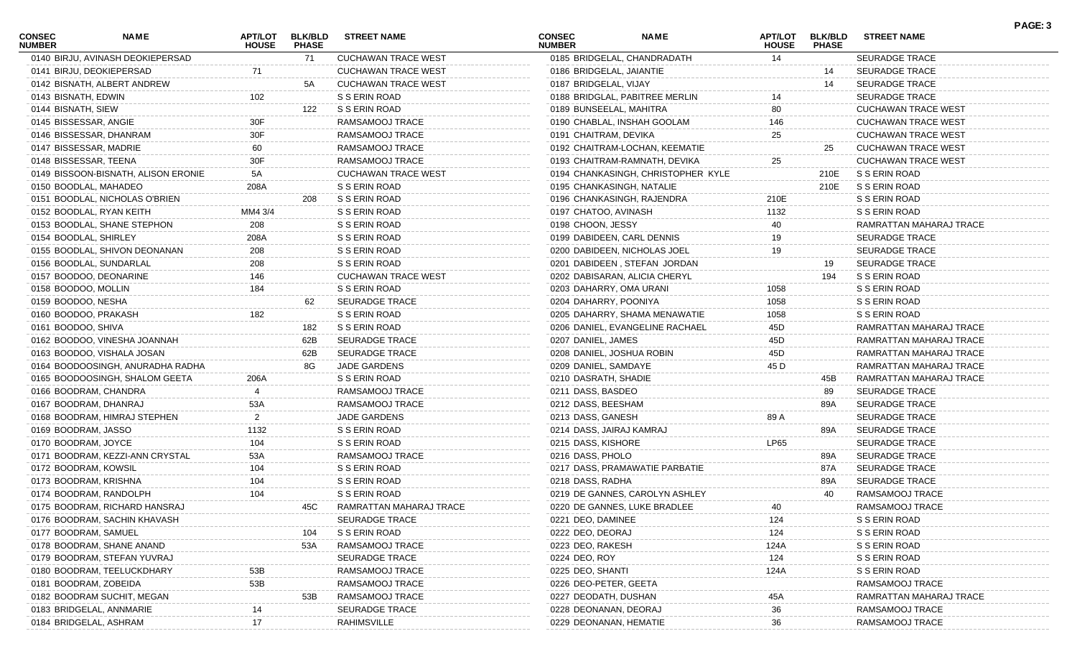| CONSEC<br><b>NUMBER</b> | <b>NAME</b>                         | <b>HOUSE</b>   | APT/LOT BLK/BLD<br><b>PHASE</b> | <b>STREET NAME</b>         | <b>CONSEC</b><br><b>NUMBER</b> | <b>NAME</b>                        | <b>APT/LOT</b><br><b>HOUSE</b> | <b>BLK/BLD</b><br><b>PHASE</b> | <b>STREET NAME</b>         |
|-------------------------|-------------------------------------|----------------|---------------------------------|----------------------------|--------------------------------|------------------------------------|--------------------------------|--------------------------------|----------------------------|
|                         | 0140 BIRJU, AVINASH DEOKIEPERSAD    |                | 71                              | <b>CUCHAWAN TRACE WEST</b> |                                | 0185 BRIDGELAL, CHANDRADATH        | 14                             |                                | <b>SEURADGE TRACE</b>      |
|                         | 0141 BIRJU, DEOKIEPERSAD            | 71             |                                 | <b>CUCHAWAN TRACE WEST</b> |                                | 0186 BRIDGELAL, JAIANTIE           |                                | 14                             | <b>SEURADGE TRACE</b>      |
|                         | 0142 BISNATH, ALBERT ANDREW         |                | 5A                              | <b>CUCHAWAN TRACE WEST</b> | 0187 BRIDGELAL, VIJAY          |                                    |                                | 14                             | <b>SEURADGE TRACE</b>      |
| 0143 BISNATH, EDWIN     |                                     | 102            |                                 | S S ERIN ROAD              |                                | 0188 BRIDGLAL, PABITREE MERLIN     | 14                             |                                | <b>SEURADGE TRACE</b>      |
| 0144 BISNATH, SIEW      |                                     |                | 122                             | S S ERIN ROAD              |                                | 0189 BUNSEELAL, MAHITRA            | 80                             |                                | <b>CUCHAWAN TRACE WEST</b> |
|                         | 0145 BISSESSAR, ANGIE               | 30F            |                                 | RAMSAMOOJ TRACE            |                                | 0190 CHABLAL, INSHAH GOOLAM        | 146                            |                                | <b>CUCHAWAN TRACE WEST</b> |
|                         | 0146 BISSESSAR, DHANRAM             | 30F            |                                 | RAMSAMOOJ TRACE            |                                | 0191 CHAITRAM, DEVIKA              | 25                             |                                | <b>CUCHAWAN TRACE WEST</b> |
|                         | 0147 BISSESSAR, MADRIE              | 60             |                                 | RAMSAMOOJ TRACE            |                                | 0192 CHAITRAM-LOCHAN, KEEMATIE     |                                | 25                             | <b>CUCHAWAN TRACE WEST</b> |
|                         | 0148 BISSESSAR, TEENA               | 30F            |                                 | RAMSAMOOJ TRACE            |                                | 0193 CHAITRAM-RAMNATH, DEVIKA      | 25                             |                                | <b>CUCHAWAN TRACE WEST</b> |
|                         | 0149 BISSOON-BISNATH, ALISON ERONIE | 5A             |                                 | <b>CUCHAWAN TRACE WEST</b> |                                | 0194 CHANKASINGH, CHRISTOPHER KYLE |                                | 210E                           | S S ERIN ROAD              |
|                         | 0150 BOODLAL, MAHADEO               | 208A           |                                 | S S ERIN ROAD              |                                | 0195 CHANKASINGH, NATALIE          |                                | 210E                           | S S ERIN ROAD              |
|                         | 0151 BOODLAL, NICHOLAS O'BRIEN      |                | 208                             | S S ERIN ROAD              |                                | 0196 CHANKASINGH, RAJENDRA         | 210E                           |                                | S S ERIN ROAD              |
|                         | 0152 BOODLAL, RYAN KEITH            | MM4 3/4        |                                 | S S ERIN ROAD              | 0197 CHATOO, AVINASH           |                                    | 1132                           |                                | S S ERIN ROAD              |
|                         | 0153 BOODLAL, SHANE STEPHON         | 208            |                                 | S S ERIN ROAD              | 0198 CHOON, JESSY              |                                    | 40                             |                                | RAMRATTAN MAHARAJ TRACE    |
|                         | 0154 BOODLAL, SHIRLEY               | 208A           |                                 | S S ERIN ROAD              |                                | 0199 DABIDEEN, CARL DENNIS         | 19                             |                                | <b>SEURADGE TRACE</b>      |
|                         | 0155 BOODLAL, SHIVON DEONANAN       | 208            |                                 | S S ERIN ROAD              |                                | 0200 DABIDEEN, NICHOLAS JOEL       | 19                             |                                | <b>SEURADGE TRACE</b>      |
|                         | 0156 BOODLAL, SUNDARLAL             | 208            |                                 | S S ERIN ROAD              |                                | 0201 DABIDEEN, STEFAN JORDAN       |                                | 19                             | <b>SEURADGE TRACE</b>      |
|                         | 0157 BOODOO, DEONARINE              | 146            |                                 | <b>CUCHAWAN TRACE WEST</b> |                                | 0202 DABISARAN, ALICIA CHERYL      |                                | 194                            | S S ERIN ROAD              |
| 0158 BOODOO, MOLLIN     |                                     | 184            |                                 | S S ERIN ROAD              |                                | 0203 DAHARRY, OMA URANI            | 1058                           |                                | S S ERIN ROAD              |
| 0159 BOODOO, NESHA      |                                     |                | 62                              | <b>SEURADGE TRACE</b>      |                                | 0204 DAHARRY, POONIYA              | 1058                           |                                | S S ERIN ROAD              |
|                         | 0160 BOODOO, PRAKASH                | 182            |                                 | S S ERIN ROAD              |                                | 0205 DAHARRY, SHAMA MENAWATIE      | 1058                           |                                | S S ERIN ROAD              |
| 0161 BOODOO, SHIVA      |                                     |                | 182                             | S S ERIN ROAD              |                                | 0206 DANIEL, EVANGELINE RACHAEL    | 45D                            |                                | RAMRATTAN MAHARAJ TRACE    |
|                         | 0162 BOODOO, VINESHA JOANNAH        |                | 62B                             | <b>SEURADGE TRACE</b>      | 0207 DANIEL, JAMES             |                                    | 45D                            |                                | RAMRATTAN MAHARAJ TRACE    |
|                         | 0163 BOODOO, VISHALA JOSAN          |                | 62B                             | <b>SEURADGE TRACE</b>      |                                | 0208 DANIEL, JOSHUA ROBIN          | 45D                            |                                | RAMRATTAN MAHARAJ TRACE    |
|                         | 0164 BOODOOSINGH, ANURADHA RADHA    |                | 8G                              | <b>JADE GARDENS</b>        | 0209 DANIEL, SAMDAYE           |                                    | 45 D                           |                                | RAMRATTAN MAHARAJ TRACE    |
|                         | 0165 BOODOOSINGH, SHALOM GEETA      | 206A           |                                 | S S ERIN ROAD              | 0210 DASRATH, SHADIE           |                                    |                                | 45B                            | RAMRATTAN MAHARAJ TRACE    |
|                         | 0166 BOODRAM, CHANDRA               |                |                                 | RAMSAMOOJ TRACE            | 0211 DASS, BASDEO              |                                    |                                | 89                             | <b>SEURADGE TRACE</b>      |
|                         | 0167 BOODRAM, DHANRAJ               | 53A            |                                 | RAMSAMOOJ TRACE            | 0212 DASS, BEESHAM             |                                    |                                | 89A                            | <b>SEURADGE TRACE</b>      |
|                         | 0168 BOODRAM, HIMRAJ STEPHEN        | $\overline{2}$ |                                 | <b>JADE GARDENS</b>        | 0213 DASS, GANESH              |                                    | 89 A                           |                                | <b>SEURADGE TRACE</b>      |
|                         | 0169 BOODRAM, JASSO                 | 1132           |                                 | S S ERIN ROAD              |                                | 0214 DASS, JAIRAJ KAMRAJ           |                                | 89A                            | <b>SEURADGE TRACE</b>      |
|                         | 0170 BOODRAM, JOYCE                 | 104            |                                 | S S ERIN ROAD              | 0215 DASS, KISHORE             |                                    | <b>LP65</b>                    |                                | <b>SEURADGE TRACE</b>      |
|                         | 0171 BOODRAM, KEZZI-ANN CRYSTAL     | 53A            |                                 | RAMSAMOOJ TRACE            | 0216 DASS, PHOLO               |                                    |                                | 89A                            | <b>SEURADGE TRACE</b>      |
|                         | 0172 BOODRAM, KOWSIL                | 104            |                                 | S S ERIN ROAD              |                                | 0217 DASS, PRAMAWATIE PARBATIE     |                                | 87A                            | <b>SEURADGE TRACE</b>      |
|                         | 0173 BOODRAM, KRISHNA               | 104            |                                 | S S ERIN ROAD              | 0218 DASS, RADHA               |                                    |                                | 89A                            | <b>SEURADGE TRACE</b>      |
|                         | 0174 BOODRAM, RANDOLPH              | 104            |                                 | S S ERIN ROAD              |                                | 0219 DE GANNES, CAROLYN ASHLEY     |                                | 40                             | RAMSAMOOJ TRACE            |
|                         | 0175 BOODRAM, RICHARD HANSRAJ       |                | 45C                             | RAMRATTAN MAHARAJ TRACE    |                                | 0220 DE GANNES, LUKE BRADLEE       |                                |                                | RAMSAMOOJ TRACE            |
|                         | 0176 BOODRAM, SACHIN KHAVASH        |                |                                 | <b>SEURADGE TRACE</b>      | 0221 DEO, DAMINEE              |                                    | 124                            |                                | S S ERIN ROAD              |
|                         | 0177 BOODRAM, SAMUEL                |                | 104                             | S S ERIN ROAD              | 0222 DEO, DEORAJ               |                                    | 124                            |                                | S S ERIN ROAD              |
|                         | 0178 BOODRAM, SHANE ANAND           |                | 53A                             | RAMSAMOOJ TRACE            | 0223 DEO, RAKESH               |                                    | 124A                           |                                | S S ERIN ROAD              |
|                         | 0179 BOODRAM, STEFAN YUVRAJ         |                |                                 | <b>SEURADGE TRACE</b>      | 0224 DEO, ROY                  |                                    | 124                            |                                | S S ERIN ROAD              |
|                         | 0180 BOODRAM, TEELUCKDHARY          | 53B            |                                 | RAMSAMOOJ TRACE            | 0225 DEO, SHANTI               |                                    | 124A                           |                                | S S ERIN ROAD              |
|                         | 0181 BOODRAM, ZOBEIDA               | 53B            |                                 | RAMSAMOOJ TRACE            |                                | 0226 DEO-PETER, GEETA              |                                |                                | RAMSAMOOJ TRACE            |
|                         | 0182 BOODRAM SUCHIT, MEGAN          |                | 53B                             | RAMSAMOOJ TRACE            |                                | 0227 DEODATH, DUSHAN               | 45A                            |                                | RAMRATTAN MAHARAJ TRACE    |
|                         | 0183 BRIDGELAL, ANNMARIE            | 14             |                                 | <b>SEURADGE TRACE</b>      |                                | 0228 DEONANAN, DEORAJ              | 36                             |                                | RAMSAMOOJ TRACE            |
|                         | 0184 BRIDGELAL, ASHRAM              |                |                                 | RAHIMSVILLE                |                                | 0229 DEONANAN, HEMATIE             | 36                             |                                | RAMSAMOOJ TRACE            |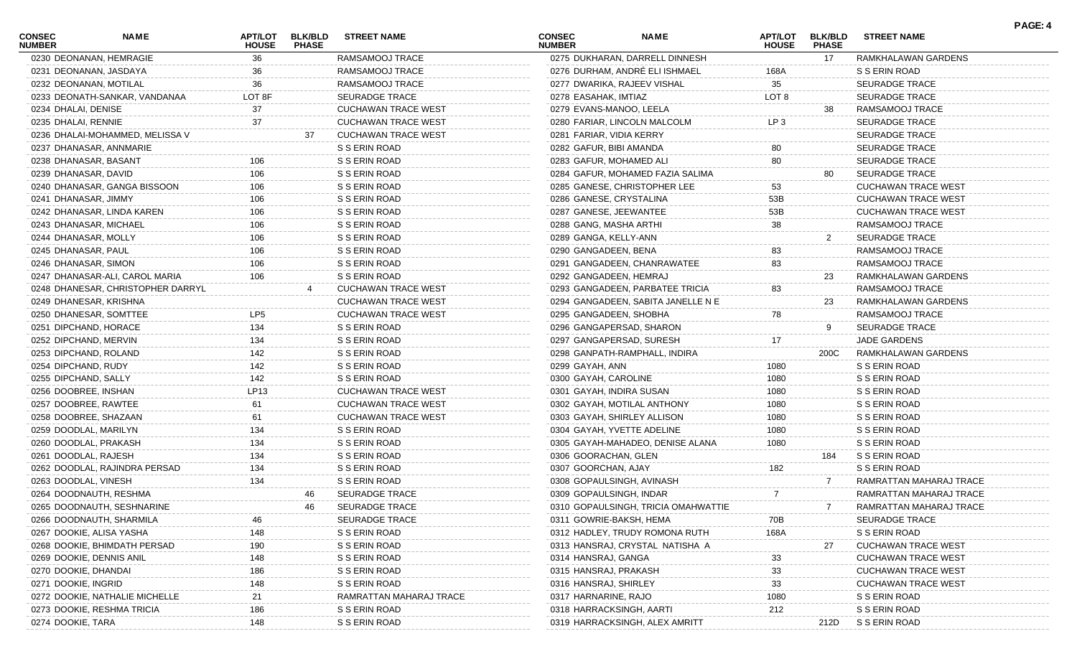| 0275 DUKHARAN, DARRELL DINNESH<br>0230 DEONANAN, HEMRAGIE<br>RAMSAMOOJ TRACE<br>RAMKHALAWAN GARDENS<br>36<br>17<br>0276 DURHAM, ANDRÉ ELI ISHMAEL<br>RAMSAMOOJ TRACE<br>S S ERIN ROAD<br>0231 DEONANAN, JASDAYA<br>36<br>168A<br>36<br>0232 DEONANAN, MOTILAL<br>RAMSAMOOJ TRACE<br>0277 DWARIKA, RAJEEV VISHAL<br>35<br><b>SEURADGE TRACE</b><br>LOT <sub>8</sub><br>0233 DEONATH-SANKAR, VANDANAA<br>LOT 8F<br><b>SEURADGE TRACE</b><br>0278 EASAHAK, IMTIAZ<br>SEURADGE TRACE<br>0234 DHALAI, DENISE<br>37<br><b>CUCHAWAN TRACE WEST</b><br>0279 EVANS-MANOO, LEELA<br>RAMSAMOOJ TRACE<br>38<br>37<br><b>CUCHAWAN TRACE WEST</b><br>LP <sub>3</sub><br>0235 DHALAI, RENNIE<br>0280 FARIAR, LINCOLN MALCOLM<br><b>SEURADGE TRACE</b><br><b>CUCHAWAN TRACE WEST</b><br>0236 DHALAI-MOHAMMED, MELISSA V<br>0281 FARIAR, VIDIA KERRY<br><b>SEURADGE TRACE</b><br>37<br>S S ERIN ROAD<br>0237 DHANASAR, ANNMARIE<br>0282 GAFUR, BIBI AMANDA<br><b>SEURADGE TRACE</b><br>80<br>0238 DHANASAR, BASANT<br>S S ERIN ROAD<br>0283 GAFUR, MOHAMED ALI<br>80<br><b>SEURADGE TRACE</b><br>106<br>S S ERIN ROAD<br>0239 DHANASAR, DAVID<br>106<br>0284 GAFUR, MOHAMED FAZIA SALIMA<br><b>SEURADGE TRACE</b><br>80<br>S S ERIN ROAD<br>0240 DHANASAR, GANGA BISSOON<br>106<br>0285 GANESE, CHRISTOPHER LEE<br>53<br><b>CUCHAWAN TRACE WEST</b><br>0241 DHANASAR, JIMMY<br>106<br>S S ERIN ROAD<br>0286 GANESE, CRYSTALINA<br>53B<br><b>CUCHAWAN TRACE WEST</b><br>S S ERIN ROAD<br>0242 DHANASAR, LINDA KAREN<br>106<br>0287 GANESE, JEEWANTEE<br>53B<br><b>CUCHAWAN TRACE WEST</b><br>S S ERIN ROAD<br>38<br>0243 DHANASAR, MICHAEL<br>106<br>0288 GANG, MASHA ARTHI<br>RAMSAMOOJ TRACE<br>106<br>0244 DHANASAR, MOLLY<br>S S ERIN ROAD<br>0289 GANGA, KELLY-ANN<br>SEURADGE TRACE<br>2<br>0245 DHANASAR, PAUL<br>106<br>S S ERIN ROAD<br>0290 GANGADEEN, BENA<br>RAMSAMOOJ TRACE<br>83<br>S S ERIN ROAD<br>0246 DHANASAR, SIMON<br>106<br>0291 GANGADEEN, CHANRAWATEE<br>RAMSAMOOJ TRACE<br>83<br>S S ERIN ROAD<br>0247 DHANASAR-ALI, CAROL MARIA<br>106<br>0292 GANGADEEN, HEMRAJ<br>RAMKHALAWAN GARDENS<br>23<br>0248 DHANESAR, CHRISTOPHER DARRYL<br><b>CUCHAWAN TRACE WEST</b><br>0293 GANGADEEN, PARBATEE TRICIA<br>83<br>RAMSAMOOJ TRACE<br>CUCHAWAN TRACE WEST<br>0249 DHANESAR, KRISHNA<br>0294 GANGADEEN, SABITA JANELLE N E<br>RAMKHALAWAN GARDENS<br>23<br>LP5<br><b>CUCHAWAN TRACE WEST</b><br>0250 DHANESAR, SOMTTEE<br>0295 GANGADEEN, SHOBHA<br>78<br>RAMSAMOOJ TRACE<br>134<br>0251 DIPCHAND, HORACE<br>S S ERIN ROAD<br>0296 GANGAPERSAD, SHARON<br>SEURADGE TRACE<br>9<br>0252 DIPCHAND, MERVIN<br>134<br>S S ERIN ROAD<br>0297 GANGAPERSAD, SURESH<br>17<br>JADE GARDENS<br>S S ERIN ROAD<br>0253 DIPCHAND, ROLAND<br>142<br>0298 GANPATH-RAMPHALL, INDIRA<br>RAMKHALAWAN GARDENS<br>200C<br>142<br>S S ERIN ROAD<br>0254 DIPCHAND, RUDY<br>0299 GAYAH, ANN<br>1080<br>S S ERIN ROAD<br>0255 DIPCHAND, SALLY<br>142<br>S S ERIN ROAD<br>0300 GAYAH, CAROLINE<br>1080<br>S S ERIN ROAD<br>LP13<br><b>CUCHAWAN TRACE WEST</b><br>0256 DOOBREE, INSHAN<br>1080<br>S S ERIN ROAD<br>0301 GAYAH, INDIRA SUSAN<br><b>CUCHAWAN TRACE WEST</b><br>0257 DOOBREE, RAWTEE<br>1080<br>S S ERIN ROAD<br>61<br>0302 GAYAH, MOTILAL ANTHONY<br><b>CUCHAWAN TRACE WEST</b><br>0258 DOOBREE, SHAZAAN<br>61<br>0303 GAYAH, SHIRLEY ALLISON<br>1080<br>S S ERIN ROAD<br>134<br>S S ERIN ROAD<br>0259 DOODLAL, MARILYN<br>0304 GAYAH, YVETTE ADELINE<br>1080<br>S S ERIN ROAD<br>S S ERIN ROAD<br>0260 DOODLAL, PRAKASH<br>134<br>0305 GAYAH-MAHADEO, DENISE ALANA<br>1080<br>S S ERIN ROAD<br>134<br>S S ERIN ROAD<br>0261 DOODLAL, RAJESH<br>0306 GOORACHAN, GLEN<br>S S ERIN ROAD<br>184<br>182<br>0262 DOODLAL, RAJINDRA PERSAD<br>134<br>S S ERIN ROAD<br>0307 GOORCHAN, AJAY<br>S S ERIN ROAD<br>0263 DOODLAL, VINESH<br>134<br>S S ERIN ROAD<br>0308 GOPAULSINGH, AVINASH<br>RAMRATTAN MAHARAJ TRACE<br>7<br>0264 DOODNAUTH, RESHMA<br><b>SEURADGE TRACE</b><br>0309 GOPAULSINGH, INDAR<br>RAMRATTAN MAHARAJ TRACE<br>-7<br>46.<br>SEURADGE TRACE<br>0265 DOODNAUTH, SESHNARINE<br>46<br>0310 GOPAULSINGH, TRICIA OMAHWATTIE<br>RAMRATTAN MAHARAJ TRACE<br><b>SEURADGE TRACE</b><br>0266 DOODNAUTH, SHARMILA<br>0311 GOWRIE-BAKSH, HEMA<br>70B<br><b>SEURADGE TRACE</b><br>46<br>148<br>S S ERIN ROAD<br>S S ERIN ROAD<br>0267 DOOKIE, ALISA YASHA<br>0312 HADLEY, TRUDY ROMONA RUTH<br>168A<br>190<br>S S ERIN ROAD<br><b>CUCHAWAN TRACE WEST</b><br>0268 DOOKIE, BHIMDATH PERSAD<br>0313 HANSRAJ, CRYSTAL NATISHA A<br>27<br>148<br>S S ERIN ROAD<br>33<br>0269 DOOKIE, DENNIS ANIL<br>0314 HANSRAJ, GANGA<br><b>CUCHAWAN TRACE WEST</b><br>186<br>S S ERIN ROAD<br>33<br>0270 DOOKIE, DHANDAI<br>0315 HANSRAJ, PRAKASH<br><b>CUCHAWAN TRACE WEST</b><br>S S ERIN ROAD<br>0271 DOOKIE, INGRID<br>148<br>33<br>0316 HANSRAJ, SHIRLEY<br><b>CUCHAWAN TRACE WEST</b><br>RAMRATTAN MAHARAJ TRACE<br>0317 HARNARINE, RAJO<br>1080<br>S S ERIN ROAD<br>0272 DOOKIE, NATHALIE MICHELLE<br>21<br>186<br>S S ERIN ROAD<br>212<br>S S ERIN ROAD<br>0273 DOOKIE, RESHMA TRICIA<br>0318 HARRACKSINGH, AARTI<br>0274 DOOKIE, TARA<br>0319 HARRACKSINGH, ALEX AMRITT | <b>CONSEC</b><br><b>NUMBER</b> | NAME | APT/LOT<br><b>HOUSE</b> | <b>BLK/BLD</b><br><b>PHASE</b> | <b>STREET NAME</b> | <b>CONSEC</b><br><b>NUMBER</b> | <b>NAME</b> | APT/LOT<br><b>HOUSE</b> | <b>BLK/BLD</b><br><b>PHASE</b> | <b>STREET NAME</b> | PAGE: 4 |
|------------------------------------------------------------------------------------------------------------------------------------------------------------------------------------------------------------------------------------------------------------------------------------------------------------------------------------------------------------------------------------------------------------------------------------------------------------------------------------------------------------------------------------------------------------------------------------------------------------------------------------------------------------------------------------------------------------------------------------------------------------------------------------------------------------------------------------------------------------------------------------------------------------------------------------------------------------------------------------------------------------------------------------------------------------------------------------------------------------------------------------------------------------------------------------------------------------------------------------------------------------------------------------------------------------------------------------------------------------------------------------------------------------------------------------------------------------------------------------------------------------------------------------------------------------------------------------------------------------------------------------------------------------------------------------------------------------------------------------------------------------------------------------------------------------------------------------------------------------------------------------------------------------------------------------------------------------------------------------------------------------------------------------------------------------------------------------------------------------------------------------------------------------------------------------------------------------------------------------------------------------------------------------------------------------------------------------------------------------------------------------------------------------------------------------------------------------------------------------------------------------------------------------------------------------------------------------------------------------------------------------------------------------------------------------------------------------------------------------------------------------------------------------------------------------------------------------------------------------------------------------------------------------------------------------------------------------------------------------------------------------------------------------------------------------------------------------------------------------------------------------------------------------------------------------------------------------------------------------------------------------------------------------------------------------------------------------------------------------------------------------------------------------------------------------------------------------------------------------------------------------------------------------------------------------------------------------------------------------------------------------------------------------------------------------------------------------------------------------------------------------------------------------------------------------------------------------------------------------------------------------------------------------------------------------------------------------------------------------------------------------------------------------------------------------------------------------------------------------------------------------------------------------------------------------------------------------------------------------------------------------------------------------------------------------------------------------------------------------------------------------------------------------------------------------------------------------------------------------------------------------------------------------------------------------------------------------------------------------------------------------------------------------------------------------------------------------------------------------------------------------------------------------------------------------------------------------------------------------------------------------------------------------------------------------------------------------------------------------------------------------------------------------------------------------------------------------------------------------------------------------------------------|--------------------------------|------|-------------------------|--------------------------------|--------------------|--------------------------------|-------------|-------------------------|--------------------------------|--------------------|---------|
|                                                                                                                                                                                                                                                                                                                                                                                                                                                                                                                                                                                                                                                                                                                                                                                                                                                                                                                                                                                                                                                                                                                                                                                                                                                                                                                                                                                                                                                                                                                                                                                                                                                                                                                                                                                                                                                                                                                                                                                                                                                                                                                                                                                                                                                                                                                                                                                                                                                                                                                                                                                                                                                                                                                                                                                                                                                                                                                                                                                                                                                                                                                                                                                                                                                                                                                                                                                                                                                                                                                                                                                                                                                                                                                                                                                                                                                                                                                                                                                                                                                                                                                                                                                                                                                                                                                                                                                                                                                                                                                                                                                                                                                                                                                                                                                                                                                                                                                                                                                                                                                                                                                                                      |                                |      |                         |                                |                    |                                |             |                         |                                |                    |         |
|                                                                                                                                                                                                                                                                                                                                                                                                                                                                                                                                                                                                                                                                                                                                                                                                                                                                                                                                                                                                                                                                                                                                                                                                                                                                                                                                                                                                                                                                                                                                                                                                                                                                                                                                                                                                                                                                                                                                                                                                                                                                                                                                                                                                                                                                                                                                                                                                                                                                                                                                                                                                                                                                                                                                                                                                                                                                                                                                                                                                                                                                                                                                                                                                                                                                                                                                                                                                                                                                                                                                                                                                                                                                                                                                                                                                                                                                                                                                                                                                                                                                                                                                                                                                                                                                                                                                                                                                                                                                                                                                                                                                                                                                                                                                                                                                                                                                                                                                                                                                                                                                                                                                                      |                                |      |                         |                                |                    |                                |             |                         |                                |                    |         |
|                                                                                                                                                                                                                                                                                                                                                                                                                                                                                                                                                                                                                                                                                                                                                                                                                                                                                                                                                                                                                                                                                                                                                                                                                                                                                                                                                                                                                                                                                                                                                                                                                                                                                                                                                                                                                                                                                                                                                                                                                                                                                                                                                                                                                                                                                                                                                                                                                                                                                                                                                                                                                                                                                                                                                                                                                                                                                                                                                                                                                                                                                                                                                                                                                                                                                                                                                                                                                                                                                                                                                                                                                                                                                                                                                                                                                                                                                                                                                                                                                                                                                                                                                                                                                                                                                                                                                                                                                                                                                                                                                                                                                                                                                                                                                                                                                                                                                                                                                                                                                                                                                                                                                      |                                |      |                         |                                |                    |                                |             |                         |                                |                    |         |
|                                                                                                                                                                                                                                                                                                                                                                                                                                                                                                                                                                                                                                                                                                                                                                                                                                                                                                                                                                                                                                                                                                                                                                                                                                                                                                                                                                                                                                                                                                                                                                                                                                                                                                                                                                                                                                                                                                                                                                                                                                                                                                                                                                                                                                                                                                                                                                                                                                                                                                                                                                                                                                                                                                                                                                                                                                                                                                                                                                                                                                                                                                                                                                                                                                                                                                                                                                                                                                                                                                                                                                                                                                                                                                                                                                                                                                                                                                                                                                                                                                                                                                                                                                                                                                                                                                                                                                                                                                                                                                                                                                                                                                                                                                                                                                                                                                                                                                                                                                                                                                                                                                                                                      |                                |      |                         |                                |                    |                                |             |                         |                                |                    |         |
|                                                                                                                                                                                                                                                                                                                                                                                                                                                                                                                                                                                                                                                                                                                                                                                                                                                                                                                                                                                                                                                                                                                                                                                                                                                                                                                                                                                                                                                                                                                                                                                                                                                                                                                                                                                                                                                                                                                                                                                                                                                                                                                                                                                                                                                                                                                                                                                                                                                                                                                                                                                                                                                                                                                                                                                                                                                                                                                                                                                                                                                                                                                                                                                                                                                                                                                                                                                                                                                                                                                                                                                                                                                                                                                                                                                                                                                                                                                                                                                                                                                                                                                                                                                                                                                                                                                                                                                                                                                                                                                                                                                                                                                                                                                                                                                                                                                                                                                                                                                                                                                                                                                                                      |                                |      |                         |                                |                    |                                |             |                         |                                |                    |         |
|                                                                                                                                                                                                                                                                                                                                                                                                                                                                                                                                                                                                                                                                                                                                                                                                                                                                                                                                                                                                                                                                                                                                                                                                                                                                                                                                                                                                                                                                                                                                                                                                                                                                                                                                                                                                                                                                                                                                                                                                                                                                                                                                                                                                                                                                                                                                                                                                                                                                                                                                                                                                                                                                                                                                                                                                                                                                                                                                                                                                                                                                                                                                                                                                                                                                                                                                                                                                                                                                                                                                                                                                                                                                                                                                                                                                                                                                                                                                                                                                                                                                                                                                                                                                                                                                                                                                                                                                                                                                                                                                                                                                                                                                                                                                                                                                                                                                                                                                                                                                                                                                                                                                                      |                                |      |                         |                                |                    |                                |             |                         |                                |                    |         |
|                                                                                                                                                                                                                                                                                                                                                                                                                                                                                                                                                                                                                                                                                                                                                                                                                                                                                                                                                                                                                                                                                                                                                                                                                                                                                                                                                                                                                                                                                                                                                                                                                                                                                                                                                                                                                                                                                                                                                                                                                                                                                                                                                                                                                                                                                                                                                                                                                                                                                                                                                                                                                                                                                                                                                                                                                                                                                                                                                                                                                                                                                                                                                                                                                                                                                                                                                                                                                                                                                                                                                                                                                                                                                                                                                                                                                                                                                                                                                                                                                                                                                                                                                                                                                                                                                                                                                                                                                                                                                                                                                                                                                                                                                                                                                                                                                                                                                                                                                                                                                                                                                                                                                      |                                |      |                         |                                |                    |                                |             |                         |                                |                    |         |
|                                                                                                                                                                                                                                                                                                                                                                                                                                                                                                                                                                                                                                                                                                                                                                                                                                                                                                                                                                                                                                                                                                                                                                                                                                                                                                                                                                                                                                                                                                                                                                                                                                                                                                                                                                                                                                                                                                                                                                                                                                                                                                                                                                                                                                                                                                                                                                                                                                                                                                                                                                                                                                                                                                                                                                                                                                                                                                                                                                                                                                                                                                                                                                                                                                                                                                                                                                                                                                                                                                                                                                                                                                                                                                                                                                                                                                                                                                                                                                                                                                                                                                                                                                                                                                                                                                                                                                                                                                                                                                                                                                                                                                                                                                                                                                                                                                                                                                                                                                                                                                                                                                                                                      |                                |      |                         |                                |                    |                                |             |                         |                                |                    |         |
|                                                                                                                                                                                                                                                                                                                                                                                                                                                                                                                                                                                                                                                                                                                                                                                                                                                                                                                                                                                                                                                                                                                                                                                                                                                                                                                                                                                                                                                                                                                                                                                                                                                                                                                                                                                                                                                                                                                                                                                                                                                                                                                                                                                                                                                                                                                                                                                                                                                                                                                                                                                                                                                                                                                                                                                                                                                                                                                                                                                                                                                                                                                                                                                                                                                                                                                                                                                                                                                                                                                                                                                                                                                                                                                                                                                                                                                                                                                                                                                                                                                                                                                                                                                                                                                                                                                                                                                                                                                                                                                                                                                                                                                                                                                                                                                                                                                                                                                                                                                                                                                                                                                                                      |                                |      |                         |                                |                    |                                |             |                         |                                |                    |         |
|                                                                                                                                                                                                                                                                                                                                                                                                                                                                                                                                                                                                                                                                                                                                                                                                                                                                                                                                                                                                                                                                                                                                                                                                                                                                                                                                                                                                                                                                                                                                                                                                                                                                                                                                                                                                                                                                                                                                                                                                                                                                                                                                                                                                                                                                                                                                                                                                                                                                                                                                                                                                                                                                                                                                                                                                                                                                                                                                                                                                                                                                                                                                                                                                                                                                                                                                                                                                                                                                                                                                                                                                                                                                                                                                                                                                                                                                                                                                                                                                                                                                                                                                                                                                                                                                                                                                                                                                                                                                                                                                                                                                                                                                                                                                                                                                                                                                                                                                                                                                                                                                                                                                                      |                                |      |                         |                                |                    |                                |             |                         |                                |                    |         |
|                                                                                                                                                                                                                                                                                                                                                                                                                                                                                                                                                                                                                                                                                                                                                                                                                                                                                                                                                                                                                                                                                                                                                                                                                                                                                                                                                                                                                                                                                                                                                                                                                                                                                                                                                                                                                                                                                                                                                                                                                                                                                                                                                                                                                                                                                                                                                                                                                                                                                                                                                                                                                                                                                                                                                                                                                                                                                                                                                                                                                                                                                                                                                                                                                                                                                                                                                                                                                                                                                                                                                                                                                                                                                                                                                                                                                                                                                                                                                                                                                                                                                                                                                                                                                                                                                                                                                                                                                                                                                                                                                                                                                                                                                                                                                                                                                                                                                                                                                                                                                                                                                                                                                      |                                |      |                         |                                |                    |                                |             |                         |                                |                    |         |
|                                                                                                                                                                                                                                                                                                                                                                                                                                                                                                                                                                                                                                                                                                                                                                                                                                                                                                                                                                                                                                                                                                                                                                                                                                                                                                                                                                                                                                                                                                                                                                                                                                                                                                                                                                                                                                                                                                                                                                                                                                                                                                                                                                                                                                                                                                                                                                                                                                                                                                                                                                                                                                                                                                                                                                                                                                                                                                                                                                                                                                                                                                                                                                                                                                                                                                                                                                                                                                                                                                                                                                                                                                                                                                                                                                                                                                                                                                                                                                                                                                                                                                                                                                                                                                                                                                                                                                                                                                                                                                                                                                                                                                                                                                                                                                                                                                                                                                                                                                                                                                                                                                                                                      |                                |      |                         |                                |                    |                                |             |                         |                                |                    |         |
|                                                                                                                                                                                                                                                                                                                                                                                                                                                                                                                                                                                                                                                                                                                                                                                                                                                                                                                                                                                                                                                                                                                                                                                                                                                                                                                                                                                                                                                                                                                                                                                                                                                                                                                                                                                                                                                                                                                                                                                                                                                                                                                                                                                                                                                                                                                                                                                                                                                                                                                                                                                                                                                                                                                                                                                                                                                                                                                                                                                                                                                                                                                                                                                                                                                                                                                                                                                                                                                                                                                                                                                                                                                                                                                                                                                                                                                                                                                                                                                                                                                                                                                                                                                                                                                                                                                                                                                                                                                                                                                                                                                                                                                                                                                                                                                                                                                                                                                                                                                                                                                                                                                                                      |                                |      |                         |                                |                    |                                |             |                         |                                |                    |         |
|                                                                                                                                                                                                                                                                                                                                                                                                                                                                                                                                                                                                                                                                                                                                                                                                                                                                                                                                                                                                                                                                                                                                                                                                                                                                                                                                                                                                                                                                                                                                                                                                                                                                                                                                                                                                                                                                                                                                                                                                                                                                                                                                                                                                                                                                                                                                                                                                                                                                                                                                                                                                                                                                                                                                                                                                                                                                                                                                                                                                                                                                                                                                                                                                                                                                                                                                                                                                                                                                                                                                                                                                                                                                                                                                                                                                                                                                                                                                                                                                                                                                                                                                                                                                                                                                                                                                                                                                                                                                                                                                                                                                                                                                                                                                                                                                                                                                                                                                                                                                                                                                                                                                                      |                                |      |                         |                                |                    |                                |             |                         |                                |                    |         |
|                                                                                                                                                                                                                                                                                                                                                                                                                                                                                                                                                                                                                                                                                                                                                                                                                                                                                                                                                                                                                                                                                                                                                                                                                                                                                                                                                                                                                                                                                                                                                                                                                                                                                                                                                                                                                                                                                                                                                                                                                                                                                                                                                                                                                                                                                                                                                                                                                                                                                                                                                                                                                                                                                                                                                                                                                                                                                                                                                                                                                                                                                                                                                                                                                                                                                                                                                                                                                                                                                                                                                                                                                                                                                                                                                                                                                                                                                                                                                                                                                                                                                                                                                                                                                                                                                                                                                                                                                                                                                                                                                                                                                                                                                                                                                                                                                                                                                                                                                                                                                                                                                                                                                      |                                |      |                         |                                |                    |                                |             |                         |                                |                    |         |
|                                                                                                                                                                                                                                                                                                                                                                                                                                                                                                                                                                                                                                                                                                                                                                                                                                                                                                                                                                                                                                                                                                                                                                                                                                                                                                                                                                                                                                                                                                                                                                                                                                                                                                                                                                                                                                                                                                                                                                                                                                                                                                                                                                                                                                                                                                                                                                                                                                                                                                                                                                                                                                                                                                                                                                                                                                                                                                                                                                                                                                                                                                                                                                                                                                                                                                                                                                                                                                                                                                                                                                                                                                                                                                                                                                                                                                                                                                                                                                                                                                                                                                                                                                                                                                                                                                                                                                                                                                                                                                                                                                                                                                                                                                                                                                                                                                                                                                                                                                                                                                                                                                                                                      |                                |      |                         |                                |                    |                                |             |                         |                                |                    |         |
|                                                                                                                                                                                                                                                                                                                                                                                                                                                                                                                                                                                                                                                                                                                                                                                                                                                                                                                                                                                                                                                                                                                                                                                                                                                                                                                                                                                                                                                                                                                                                                                                                                                                                                                                                                                                                                                                                                                                                                                                                                                                                                                                                                                                                                                                                                                                                                                                                                                                                                                                                                                                                                                                                                                                                                                                                                                                                                                                                                                                                                                                                                                                                                                                                                                                                                                                                                                                                                                                                                                                                                                                                                                                                                                                                                                                                                                                                                                                                                                                                                                                                                                                                                                                                                                                                                                                                                                                                                                                                                                                                                                                                                                                                                                                                                                                                                                                                                                                                                                                                                                                                                                                                      |                                |      |                         |                                |                    |                                |             |                         |                                |                    |         |
|                                                                                                                                                                                                                                                                                                                                                                                                                                                                                                                                                                                                                                                                                                                                                                                                                                                                                                                                                                                                                                                                                                                                                                                                                                                                                                                                                                                                                                                                                                                                                                                                                                                                                                                                                                                                                                                                                                                                                                                                                                                                                                                                                                                                                                                                                                                                                                                                                                                                                                                                                                                                                                                                                                                                                                                                                                                                                                                                                                                                                                                                                                                                                                                                                                                                                                                                                                                                                                                                                                                                                                                                                                                                                                                                                                                                                                                                                                                                                                                                                                                                                                                                                                                                                                                                                                                                                                                                                                                                                                                                                                                                                                                                                                                                                                                                                                                                                                                                                                                                                                                                                                                                                      |                                |      |                         |                                |                    |                                |             |                         |                                |                    |         |
|                                                                                                                                                                                                                                                                                                                                                                                                                                                                                                                                                                                                                                                                                                                                                                                                                                                                                                                                                                                                                                                                                                                                                                                                                                                                                                                                                                                                                                                                                                                                                                                                                                                                                                                                                                                                                                                                                                                                                                                                                                                                                                                                                                                                                                                                                                                                                                                                                                                                                                                                                                                                                                                                                                                                                                                                                                                                                                                                                                                                                                                                                                                                                                                                                                                                                                                                                                                                                                                                                                                                                                                                                                                                                                                                                                                                                                                                                                                                                                                                                                                                                                                                                                                                                                                                                                                                                                                                                                                                                                                                                                                                                                                                                                                                                                                                                                                                                                                                                                                                                                                                                                                                                      |                                |      |                         |                                |                    |                                |             |                         |                                |                    |         |
|                                                                                                                                                                                                                                                                                                                                                                                                                                                                                                                                                                                                                                                                                                                                                                                                                                                                                                                                                                                                                                                                                                                                                                                                                                                                                                                                                                                                                                                                                                                                                                                                                                                                                                                                                                                                                                                                                                                                                                                                                                                                                                                                                                                                                                                                                                                                                                                                                                                                                                                                                                                                                                                                                                                                                                                                                                                                                                                                                                                                                                                                                                                                                                                                                                                                                                                                                                                                                                                                                                                                                                                                                                                                                                                                                                                                                                                                                                                                                                                                                                                                                                                                                                                                                                                                                                                                                                                                                                                                                                                                                                                                                                                                                                                                                                                                                                                                                                                                                                                                                                                                                                                                                      |                                |      |                         |                                |                    |                                |             |                         |                                |                    |         |
|                                                                                                                                                                                                                                                                                                                                                                                                                                                                                                                                                                                                                                                                                                                                                                                                                                                                                                                                                                                                                                                                                                                                                                                                                                                                                                                                                                                                                                                                                                                                                                                                                                                                                                                                                                                                                                                                                                                                                                                                                                                                                                                                                                                                                                                                                                                                                                                                                                                                                                                                                                                                                                                                                                                                                                                                                                                                                                                                                                                                                                                                                                                                                                                                                                                                                                                                                                                                                                                                                                                                                                                                                                                                                                                                                                                                                                                                                                                                                                                                                                                                                                                                                                                                                                                                                                                                                                                                                                                                                                                                                                                                                                                                                                                                                                                                                                                                                                                                                                                                                                                                                                                                                      |                                |      |                         |                                |                    |                                |             |                         |                                |                    |         |
|                                                                                                                                                                                                                                                                                                                                                                                                                                                                                                                                                                                                                                                                                                                                                                                                                                                                                                                                                                                                                                                                                                                                                                                                                                                                                                                                                                                                                                                                                                                                                                                                                                                                                                                                                                                                                                                                                                                                                                                                                                                                                                                                                                                                                                                                                                                                                                                                                                                                                                                                                                                                                                                                                                                                                                                                                                                                                                                                                                                                                                                                                                                                                                                                                                                                                                                                                                                                                                                                                                                                                                                                                                                                                                                                                                                                                                                                                                                                                                                                                                                                                                                                                                                                                                                                                                                                                                                                                                                                                                                                                                                                                                                                                                                                                                                                                                                                                                                                                                                                                                                                                                                                                      |                                |      |                         |                                |                    |                                |             |                         |                                |                    |         |
|                                                                                                                                                                                                                                                                                                                                                                                                                                                                                                                                                                                                                                                                                                                                                                                                                                                                                                                                                                                                                                                                                                                                                                                                                                                                                                                                                                                                                                                                                                                                                                                                                                                                                                                                                                                                                                                                                                                                                                                                                                                                                                                                                                                                                                                                                                                                                                                                                                                                                                                                                                                                                                                                                                                                                                                                                                                                                                                                                                                                                                                                                                                                                                                                                                                                                                                                                                                                                                                                                                                                                                                                                                                                                                                                                                                                                                                                                                                                                                                                                                                                                                                                                                                                                                                                                                                                                                                                                                                                                                                                                                                                                                                                                                                                                                                                                                                                                                                                                                                                                                                                                                                                                      |                                |      |                         |                                |                    |                                |             |                         |                                |                    |         |
|                                                                                                                                                                                                                                                                                                                                                                                                                                                                                                                                                                                                                                                                                                                                                                                                                                                                                                                                                                                                                                                                                                                                                                                                                                                                                                                                                                                                                                                                                                                                                                                                                                                                                                                                                                                                                                                                                                                                                                                                                                                                                                                                                                                                                                                                                                                                                                                                                                                                                                                                                                                                                                                                                                                                                                                                                                                                                                                                                                                                                                                                                                                                                                                                                                                                                                                                                                                                                                                                                                                                                                                                                                                                                                                                                                                                                                                                                                                                                                                                                                                                                                                                                                                                                                                                                                                                                                                                                                                                                                                                                                                                                                                                                                                                                                                                                                                                                                                                                                                                                                                                                                                                                      |                                |      |                         |                                |                    |                                |             |                         |                                |                    |         |
|                                                                                                                                                                                                                                                                                                                                                                                                                                                                                                                                                                                                                                                                                                                                                                                                                                                                                                                                                                                                                                                                                                                                                                                                                                                                                                                                                                                                                                                                                                                                                                                                                                                                                                                                                                                                                                                                                                                                                                                                                                                                                                                                                                                                                                                                                                                                                                                                                                                                                                                                                                                                                                                                                                                                                                                                                                                                                                                                                                                                                                                                                                                                                                                                                                                                                                                                                                                                                                                                                                                                                                                                                                                                                                                                                                                                                                                                                                                                                                                                                                                                                                                                                                                                                                                                                                                                                                                                                                                                                                                                                                                                                                                                                                                                                                                                                                                                                                                                                                                                                                                                                                                                                      |                                |      |                         |                                |                    |                                |             |                         |                                |                    |         |
|                                                                                                                                                                                                                                                                                                                                                                                                                                                                                                                                                                                                                                                                                                                                                                                                                                                                                                                                                                                                                                                                                                                                                                                                                                                                                                                                                                                                                                                                                                                                                                                                                                                                                                                                                                                                                                                                                                                                                                                                                                                                                                                                                                                                                                                                                                                                                                                                                                                                                                                                                                                                                                                                                                                                                                                                                                                                                                                                                                                                                                                                                                                                                                                                                                                                                                                                                                                                                                                                                                                                                                                                                                                                                                                                                                                                                                                                                                                                                                                                                                                                                                                                                                                                                                                                                                                                                                                                                                                                                                                                                                                                                                                                                                                                                                                                                                                                                                                                                                                                                                                                                                                                                      |                                |      |                         |                                |                    |                                |             |                         |                                |                    |         |
|                                                                                                                                                                                                                                                                                                                                                                                                                                                                                                                                                                                                                                                                                                                                                                                                                                                                                                                                                                                                                                                                                                                                                                                                                                                                                                                                                                                                                                                                                                                                                                                                                                                                                                                                                                                                                                                                                                                                                                                                                                                                                                                                                                                                                                                                                                                                                                                                                                                                                                                                                                                                                                                                                                                                                                                                                                                                                                                                                                                                                                                                                                                                                                                                                                                                                                                                                                                                                                                                                                                                                                                                                                                                                                                                                                                                                                                                                                                                                                                                                                                                                                                                                                                                                                                                                                                                                                                                                                                                                                                                                                                                                                                                                                                                                                                                                                                                                                                                                                                                                                                                                                                                                      |                                |      |                         |                                |                    |                                |             |                         |                                |                    |         |
|                                                                                                                                                                                                                                                                                                                                                                                                                                                                                                                                                                                                                                                                                                                                                                                                                                                                                                                                                                                                                                                                                                                                                                                                                                                                                                                                                                                                                                                                                                                                                                                                                                                                                                                                                                                                                                                                                                                                                                                                                                                                                                                                                                                                                                                                                                                                                                                                                                                                                                                                                                                                                                                                                                                                                                                                                                                                                                                                                                                                                                                                                                                                                                                                                                                                                                                                                                                                                                                                                                                                                                                                                                                                                                                                                                                                                                                                                                                                                                                                                                                                                                                                                                                                                                                                                                                                                                                                                                                                                                                                                                                                                                                                                                                                                                                                                                                                                                                                                                                                                                                                                                                                                      |                                |      |                         |                                |                    |                                |             |                         |                                |                    |         |
|                                                                                                                                                                                                                                                                                                                                                                                                                                                                                                                                                                                                                                                                                                                                                                                                                                                                                                                                                                                                                                                                                                                                                                                                                                                                                                                                                                                                                                                                                                                                                                                                                                                                                                                                                                                                                                                                                                                                                                                                                                                                                                                                                                                                                                                                                                                                                                                                                                                                                                                                                                                                                                                                                                                                                                                                                                                                                                                                                                                                                                                                                                                                                                                                                                                                                                                                                                                                                                                                                                                                                                                                                                                                                                                                                                                                                                                                                                                                                                                                                                                                                                                                                                                                                                                                                                                                                                                                                                                                                                                                                                                                                                                                                                                                                                                                                                                                                                                                                                                                                                                                                                                                                      |                                |      |                         |                                |                    |                                |             |                         |                                |                    |         |
|                                                                                                                                                                                                                                                                                                                                                                                                                                                                                                                                                                                                                                                                                                                                                                                                                                                                                                                                                                                                                                                                                                                                                                                                                                                                                                                                                                                                                                                                                                                                                                                                                                                                                                                                                                                                                                                                                                                                                                                                                                                                                                                                                                                                                                                                                                                                                                                                                                                                                                                                                                                                                                                                                                                                                                                                                                                                                                                                                                                                                                                                                                                                                                                                                                                                                                                                                                                                                                                                                                                                                                                                                                                                                                                                                                                                                                                                                                                                                                                                                                                                                                                                                                                                                                                                                                                                                                                                                                                                                                                                                                                                                                                                                                                                                                                                                                                                                                                                                                                                                                                                                                                                                      |                                |      |                         |                                |                    |                                |             |                         |                                |                    |         |
|                                                                                                                                                                                                                                                                                                                                                                                                                                                                                                                                                                                                                                                                                                                                                                                                                                                                                                                                                                                                                                                                                                                                                                                                                                                                                                                                                                                                                                                                                                                                                                                                                                                                                                                                                                                                                                                                                                                                                                                                                                                                                                                                                                                                                                                                                                                                                                                                                                                                                                                                                                                                                                                                                                                                                                                                                                                                                                                                                                                                                                                                                                                                                                                                                                                                                                                                                                                                                                                                                                                                                                                                                                                                                                                                                                                                                                                                                                                                                                                                                                                                                                                                                                                                                                                                                                                                                                                                                                                                                                                                                                                                                                                                                                                                                                                                                                                                                                                                                                                                                                                                                                                                                      |                                |      |                         |                                |                    |                                |             |                         |                                |                    |         |
|                                                                                                                                                                                                                                                                                                                                                                                                                                                                                                                                                                                                                                                                                                                                                                                                                                                                                                                                                                                                                                                                                                                                                                                                                                                                                                                                                                                                                                                                                                                                                                                                                                                                                                                                                                                                                                                                                                                                                                                                                                                                                                                                                                                                                                                                                                                                                                                                                                                                                                                                                                                                                                                                                                                                                                                                                                                                                                                                                                                                                                                                                                                                                                                                                                                                                                                                                                                                                                                                                                                                                                                                                                                                                                                                                                                                                                                                                                                                                                                                                                                                                                                                                                                                                                                                                                                                                                                                                                                                                                                                                                                                                                                                                                                                                                                                                                                                                                                                                                                                                                                                                                                                                      |                                |      |                         |                                |                    |                                |             |                         |                                |                    |         |
|                                                                                                                                                                                                                                                                                                                                                                                                                                                                                                                                                                                                                                                                                                                                                                                                                                                                                                                                                                                                                                                                                                                                                                                                                                                                                                                                                                                                                                                                                                                                                                                                                                                                                                                                                                                                                                                                                                                                                                                                                                                                                                                                                                                                                                                                                                                                                                                                                                                                                                                                                                                                                                                                                                                                                                                                                                                                                                                                                                                                                                                                                                                                                                                                                                                                                                                                                                                                                                                                                                                                                                                                                                                                                                                                                                                                                                                                                                                                                                                                                                                                                                                                                                                                                                                                                                                                                                                                                                                                                                                                                                                                                                                                                                                                                                                                                                                                                                                                                                                                                                                                                                                                                      |                                |      |                         |                                |                    |                                |             |                         |                                |                    |         |
|                                                                                                                                                                                                                                                                                                                                                                                                                                                                                                                                                                                                                                                                                                                                                                                                                                                                                                                                                                                                                                                                                                                                                                                                                                                                                                                                                                                                                                                                                                                                                                                                                                                                                                                                                                                                                                                                                                                                                                                                                                                                                                                                                                                                                                                                                                                                                                                                                                                                                                                                                                                                                                                                                                                                                                                                                                                                                                                                                                                                                                                                                                                                                                                                                                                                                                                                                                                                                                                                                                                                                                                                                                                                                                                                                                                                                                                                                                                                                                                                                                                                                                                                                                                                                                                                                                                                                                                                                                                                                                                                                                                                                                                                                                                                                                                                                                                                                                                                                                                                                                                                                                                                                      |                                |      |                         |                                |                    |                                |             |                         |                                |                    |         |
|                                                                                                                                                                                                                                                                                                                                                                                                                                                                                                                                                                                                                                                                                                                                                                                                                                                                                                                                                                                                                                                                                                                                                                                                                                                                                                                                                                                                                                                                                                                                                                                                                                                                                                                                                                                                                                                                                                                                                                                                                                                                                                                                                                                                                                                                                                                                                                                                                                                                                                                                                                                                                                                                                                                                                                                                                                                                                                                                                                                                                                                                                                                                                                                                                                                                                                                                                                                                                                                                                                                                                                                                                                                                                                                                                                                                                                                                                                                                                                                                                                                                                                                                                                                                                                                                                                                                                                                                                                                                                                                                                                                                                                                                                                                                                                                                                                                                                                                                                                                                                                                                                                                                                      |                                |      |                         |                                |                    |                                |             |                         |                                |                    |         |
|                                                                                                                                                                                                                                                                                                                                                                                                                                                                                                                                                                                                                                                                                                                                                                                                                                                                                                                                                                                                                                                                                                                                                                                                                                                                                                                                                                                                                                                                                                                                                                                                                                                                                                                                                                                                                                                                                                                                                                                                                                                                                                                                                                                                                                                                                                                                                                                                                                                                                                                                                                                                                                                                                                                                                                                                                                                                                                                                                                                                                                                                                                                                                                                                                                                                                                                                                                                                                                                                                                                                                                                                                                                                                                                                                                                                                                                                                                                                                                                                                                                                                                                                                                                                                                                                                                                                                                                                                                                                                                                                                                                                                                                                                                                                                                                                                                                                                                                                                                                                                                                                                                                                                      |                                |      |                         |                                |                    |                                |             |                         |                                |                    |         |
|                                                                                                                                                                                                                                                                                                                                                                                                                                                                                                                                                                                                                                                                                                                                                                                                                                                                                                                                                                                                                                                                                                                                                                                                                                                                                                                                                                                                                                                                                                                                                                                                                                                                                                                                                                                                                                                                                                                                                                                                                                                                                                                                                                                                                                                                                                                                                                                                                                                                                                                                                                                                                                                                                                                                                                                                                                                                                                                                                                                                                                                                                                                                                                                                                                                                                                                                                                                                                                                                                                                                                                                                                                                                                                                                                                                                                                                                                                                                                                                                                                                                                                                                                                                                                                                                                                                                                                                                                                                                                                                                                                                                                                                                                                                                                                                                                                                                                                                                                                                                                                                                                                                                                      |                                |      |                         |                                |                    |                                |             |                         |                                |                    |         |
|                                                                                                                                                                                                                                                                                                                                                                                                                                                                                                                                                                                                                                                                                                                                                                                                                                                                                                                                                                                                                                                                                                                                                                                                                                                                                                                                                                                                                                                                                                                                                                                                                                                                                                                                                                                                                                                                                                                                                                                                                                                                                                                                                                                                                                                                                                                                                                                                                                                                                                                                                                                                                                                                                                                                                                                                                                                                                                                                                                                                                                                                                                                                                                                                                                                                                                                                                                                                                                                                                                                                                                                                                                                                                                                                                                                                                                                                                                                                                                                                                                                                                                                                                                                                                                                                                                                                                                                                                                                                                                                                                                                                                                                                                                                                                                                                                                                                                                                                                                                                                                                                                                                                                      |                                |      |                         |                                |                    |                                |             |                         |                                |                    |         |
|                                                                                                                                                                                                                                                                                                                                                                                                                                                                                                                                                                                                                                                                                                                                                                                                                                                                                                                                                                                                                                                                                                                                                                                                                                                                                                                                                                                                                                                                                                                                                                                                                                                                                                                                                                                                                                                                                                                                                                                                                                                                                                                                                                                                                                                                                                                                                                                                                                                                                                                                                                                                                                                                                                                                                                                                                                                                                                                                                                                                                                                                                                                                                                                                                                                                                                                                                                                                                                                                                                                                                                                                                                                                                                                                                                                                                                                                                                                                                                                                                                                                                                                                                                                                                                                                                                                                                                                                                                                                                                                                                                                                                                                                                                                                                                                                                                                                                                                                                                                                                                                                                                                                                      |                                |      |                         |                                |                    |                                |             |                         |                                |                    |         |
|                                                                                                                                                                                                                                                                                                                                                                                                                                                                                                                                                                                                                                                                                                                                                                                                                                                                                                                                                                                                                                                                                                                                                                                                                                                                                                                                                                                                                                                                                                                                                                                                                                                                                                                                                                                                                                                                                                                                                                                                                                                                                                                                                                                                                                                                                                                                                                                                                                                                                                                                                                                                                                                                                                                                                                                                                                                                                                                                                                                                                                                                                                                                                                                                                                                                                                                                                                                                                                                                                                                                                                                                                                                                                                                                                                                                                                                                                                                                                                                                                                                                                                                                                                                                                                                                                                                                                                                                                                                                                                                                                                                                                                                                                                                                                                                                                                                                                                                                                                                                                                                                                                                                                      |                                |      |                         |                                |                    |                                |             |                         |                                |                    |         |
|                                                                                                                                                                                                                                                                                                                                                                                                                                                                                                                                                                                                                                                                                                                                                                                                                                                                                                                                                                                                                                                                                                                                                                                                                                                                                                                                                                                                                                                                                                                                                                                                                                                                                                                                                                                                                                                                                                                                                                                                                                                                                                                                                                                                                                                                                                                                                                                                                                                                                                                                                                                                                                                                                                                                                                                                                                                                                                                                                                                                                                                                                                                                                                                                                                                                                                                                                                                                                                                                                                                                                                                                                                                                                                                                                                                                                                                                                                                                                                                                                                                                                                                                                                                                                                                                                                                                                                                                                                                                                                                                                                                                                                                                                                                                                                                                                                                                                                                                                                                                                                                                                                                                                      |                                |      |                         |                                |                    |                                |             |                         |                                |                    |         |
|                                                                                                                                                                                                                                                                                                                                                                                                                                                                                                                                                                                                                                                                                                                                                                                                                                                                                                                                                                                                                                                                                                                                                                                                                                                                                                                                                                                                                                                                                                                                                                                                                                                                                                                                                                                                                                                                                                                                                                                                                                                                                                                                                                                                                                                                                                                                                                                                                                                                                                                                                                                                                                                                                                                                                                                                                                                                                                                                                                                                                                                                                                                                                                                                                                                                                                                                                                                                                                                                                                                                                                                                                                                                                                                                                                                                                                                                                                                                                                                                                                                                                                                                                                                                                                                                                                                                                                                                                                                                                                                                                                                                                                                                                                                                                                                                                                                                                                                                                                                                                                                                                                                                                      |                                |      |                         |                                |                    |                                |             |                         |                                |                    |         |
|                                                                                                                                                                                                                                                                                                                                                                                                                                                                                                                                                                                                                                                                                                                                                                                                                                                                                                                                                                                                                                                                                                                                                                                                                                                                                                                                                                                                                                                                                                                                                                                                                                                                                                                                                                                                                                                                                                                                                                                                                                                                                                                                                                                                                                                                                                                                                                                                                                                                                                                                                                                                                                                                                                                                                                                                                                                                                                                                                                                                                                                                                                                                                                                                                                                                                                                                                                                                                                                                                                                                                                                                                                                                                                                                                                                                                                                                                                                                                                                                                                                                                                                                                                                                                                                                                                                                                                                                                                                                                                                                                                                                                                                                                                                                                                                                                                                                                                                                                                                                                                                                                                                                                      |                                |      |                         |                                |                    |                                |             |                         |                                |                    |         |
|                                                                                                                                                                                                                                                                                                                                                                                                                                                                                                                                                                                                                                                                                                                                                                                                                                                                                                                                                                                                                                                                                                                                                                                                                                                                                                                                                                                                                                                                                                                                                                                                                                                                                                                                                                                                                                                                                                                                                                                                                                                                                                                                                                                                                                                                                                                                                                                                                                                                                                                                                                                                                                                                                                                                                                                                                                                                                                                                                                                                                                                                                                                                                                                                                                                                                                                                                                                                                                                                                                                                                                                                                                                                                                                                                                                                                                                                                                                                                                                                                                                                                                                                                                                                                                                                                                                                                                                                                                                                                                                                                                                                                                                                                                                                                                                                                                                                                                                                                                                                                                                                                                                                                      |                                |      |                         |                                |                    |                                |             |                         |                                |                    |         |
|                                                                                                                                                                                                                                                                                                                                                                                                                                                                                                                                                                                                                                                                                                                                                                                                                                                                                                                                                                                                                                                                                                                                                                                                                                                                                                                                                                                                                                                                                                                                                                                                                                                                                                                                                                                                                                                                                                                                                                                                                                                                                                                                                                                                                                                                                                                                                                                                                                                                                                                                                                                                                                                                                                                                                                                                                                                                                                                                                                                                                                                                                                                                                                                                                                                                                                                                                                                                                                                                                                                                                                                                                                                                                                                                                                                                                                                                                                                                                                                                                                                                                                                                                                                                                                                                                                                                                                                                                                                                                                                                                                                                                                                                                                                                                                                                                                                                                                                                                                                                                                                                                                                                                      |                                |      | 148                     |                                | S S ERIN ROAD      |                                |             |                         | 212D                           | S S ERIN ROAD      |         |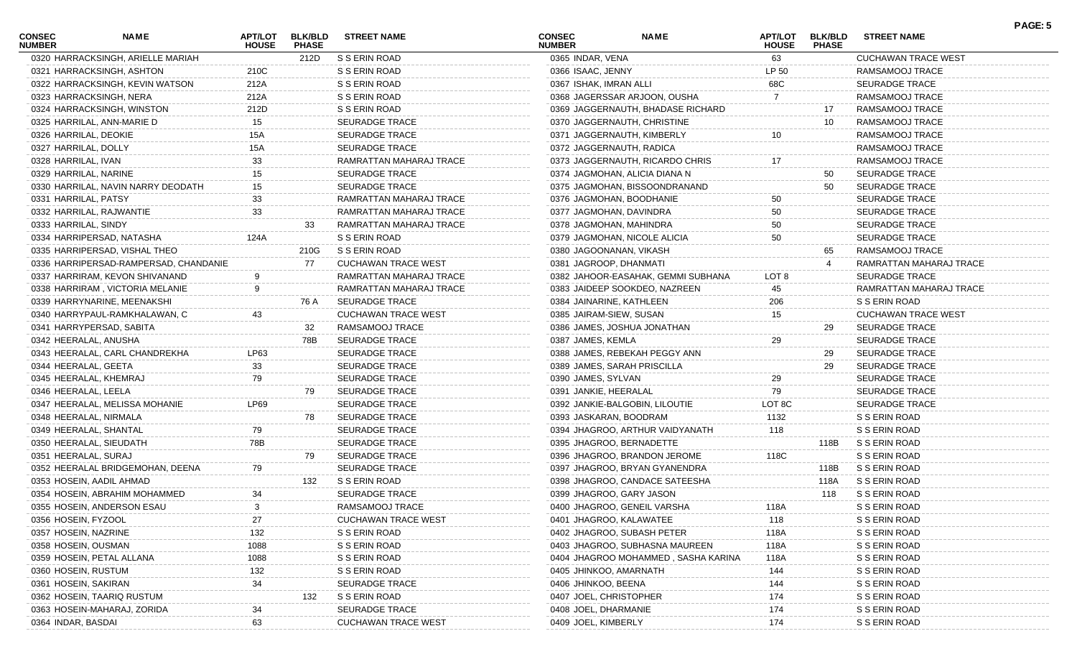| <b>CONSEC</b><br><b>NUMBER</b> | NAME                                  | <b>APT/LOT</b><br><b>HOUSE</b> | <b>BLK/BLD</b><br><b>PHASE</b> | <b>STREET NAME</b>         | <b>CONSEC</b><br><b>NUMBER</b> | <b>NAME</b>                         | APT/LOT<br><b>HOUSE</b> | <b>BLK/BLD</b><br><b>PHASE</b> | <b>STREET NAME</b>         | PAGE: 5 |
|--------------------------------|---------------------------------------|--------------------------------|--------------------------------|----------------------------|--------------------------------|-------------------------------------|-------------------------|--------------------------------|----------------------------|---------|
|                                | 0320 HARRACKSINGH, ARIELLE MARIAH     |                                | 212D                           | S S ERIN ROAD              | 0365 INDAR, VENA               |                                     | 63                      |                                | CUCHAWAN TRACE WEST        |         |
|                                | 0321 HARRACKSINGH, ASHTON             | 210C                           |                                | S S ERIN ROAD              | 0366 ISAAC, JENNY              |                                     | LP 50                   |                                | RAMSAMOOJ TRACE            |         |
|                                | 0322 HARRACKSINGH, KEVIN WATSON       | 212A                           |                                | S S ERIN ROAD              | 0367 ISHAK, IMRAN ALLI         |                                     | 68C                     |                                | <b>SEURADGE TRACE</b>      |         |
|                                | 0323 HARRACKSINGH, NERA               | 212A                           |                                | S S ERIN ROAD              |                                | 0368 JAGERSSAR ARJOON, OUSHA        | 7                       |                                | RAMSAMOOJ TRACE            |         |
|                                | 0324 HARRACKSINGH, WINSTON            | 212D                           |                                | S S ERIN ROAD              |                                | 0369 JAGGERNAUTH, BHADASE RICHARD   |                         | 17                             | RAMSAMOOJ TRACE            |         |
|                                | 0325 HARRILAL, ANN-MARIE D            | 15                             |                                | <b>SEURADGE TRACE</b>      |                                | 0370 JAGGERNAUTH, CHRISTINE         |                         | 10                             | RAMSAMOOJ TRACE            |         |
| 0326 HARRILAL, DEOKIE          |                                       | 15A                            |                                | <b>SEURADGE TRACE</b>      |                                | 0371 JAGGERNAUTH, KIMBERLY          | 10                      |                                | RAMSAMOOJ TRACE            |         |
| 0327 HARRILAL, DOLLY           |                                       | <b>15A</b>                     |                                | <b>SEURADGE TRACE</b>      |                                | 0372 JAGGERNAUTH, RADICA            |                         |                                | RAMSAMOOJ TRACE            |         |
| 0328 HARRILAL, IVAN            |                                       | 33                             |                                | RAMRATTAN MAHARAJ TRACE    |                                | 0373 JAGGERNAUTH, RICARDO CHRIS     | 17                      |                                | RAMSAMOOJ TRACE            |         |
| 0329 HARRILAL, NARINE          |                                       | 15                             |                                | <b>SEURADGE TRACE</b>      |                                | 0374 JAGMOHAN, ALICIA DIANA N       |                         | 50                             | SEURADGE TRACE             |         |
|                                | 0330 HARRILAL, NAVIN NARRY DEODATH    | 15                             |                                | <b>SEURADGE TRACE</b>      |                                | 0375 JAGMOHAN, BISSOONDRANAND       |                         | 50                             | <b>SEURADGE TRACE</b>      |         |
| 0331 HARRILAL, PATSY           |                                       | 33                             |                                | RAMRATTAN MAHARAJ TRACE    |                                | 0376 JAGMOHAN, BOODHANIE            | 50                      |                                | <b>SEURADGE TRACE</b>      |         |
|                                | 0332 HARRILAL, RAJWANTIE              | 33                             |                                | RAMRATTAN MAHARAJ TRACE    |                                | 0377 JAGMOHAN, DAVINDRA             | 50                      |                                | <b>SEURADGE TRACE</b>      |         |
| 0333 HARRILAL, SINDY           |                                       |                                | 33                             | RAMRATTAN MAHARAJ TRACE    |                                | 0378 JAGMOHAN, MAHINDRA             | 50                      |                                | <b>SEURADGE TRACE</b>      |         |
|                                | 0334 HARRIPERSAD, NATASHA             | 124A                           |                                | S S ERIN ROAD              |                                | 0379 JAGMOHAN, NICOLE ALICIA        | 50                      |                                | <b>SEURADGE TRACE</b>      |         |
|                                | 0335 HARRIPERSAD, VISHAL THEO         |                                | 210G                           | S S ERIN ROAD              |                                | 0380 JAGOONANAN, VIKASH             |                         | 65                             | RAMSAMOOJ TRACE            |         |
|                                | 0336 HARRIPERSAD-RAMPERSAD, CHANDANIE |                                | 77                             | <b>CUCHAWAN TRACE WEST</b> | 0381 JAGROOP, DHANMATI         |                                     |                         |                                | RAMRATTAN MAHARAJ TRACE    |         |
|                                | 0337 HARRIRAM, KEVON SHIVANAND        |                                |                                | RAMRATTAN MAHARAJ TRACE    |                                | 0382 JAHOOR-EASAHAK, GEMMI SUBHANA  | LOT 8                   |                                | <b>SEURADGE TRACE</b>      |         |
|                                | 0338 HARRIRAM, VICTORIA MELANIE       |                                |                                | RAMRATTAN MAHARAJ TRACE    |                                | 0383 JAIDEEP SOOKDEO, NAZREEN       | 45                      |                                | RAMRATTAN MAHARAJ TRACE    |         |
|                                | 0339 HARRYNARINE, MEENAKSHI           |                                | 76 A                           | <b>SEURADGE TRACE</b>      |                                | 0384 JAINARINE, KATHLEEN            | 206                     |                                | S S ERIN ROAD              |         |
|                                | 0340 HARRYPAUL-RAMKHALAWAN, C         | 43                             |                                | <b>CUCHAWAN TRACE WEST</b> | 0385 JAIRAM-SIEW, SUSAN        |                                     | 15                      |                                | <b>CUCHAWAN TRACE WEST</b> |         |
|                                | 0341 HARRYPERSAD, SABITA              |                                | 32                             | RAMSAMOOJ TRACE            |                                | 0386 JAMES, JOSHUA JONATHAN         |                         | 29                             | <b>SEURADGE TRACE</b>      |         |
| 0342 HEERALAL, ANUSHA          |                                       |                                | 78B                            | <b>SEURADGE TRACE</b>      | 0387 JAMES, KEMLA              |                                     | 29                      |                                | <b>SEURADGE TRACE</b>      |         |
|                                | 0343 HEERALAL, CARL CHANDREKHA        | LP63                           |                                | <b>SEURADGE TRACE</b>      |                                | 0388 JAMES, REBEKAH PEGGY ANN       |                         | 29                             | <b>SEURADGE TRACE</b>      |         |
| 0344 HEERALAL, GEETA           |                                       | 33                             |                                | <b>SEURADGE TRACE</b>      |                                | 0389 JAMES, SARAH PRISCILLA         |                         | 29                             | <b>SEURADGE TRACE</b>      |         |
| 0345 HEERALAL, KHEMRAJ         |                                       | 79                             |                                | <b>SEURADGE TRACE</b>      | 0390 JAMES, SYLVAN             |                                     | 29                      |                                | <b>SEURADGE TRACE</b>      |         |
| 0346 HEERALAL, LEELA           |                                       |                                | 79                             | <b>SEURADGE TRACE</b>      | 0391 JANKIE, HEERALAL          |                                     | 79                      |                                | <b>SEURADGE TRACE</b>      |         |
|                                | 0347 HEERALAL, MELISSA MOHANIE        | LP69                           |                                | <b>SEURADGE TRACE</b>      |                                | 0392 JANKIE-BALGOBIN, LILOUTIE      | LOT 8C                  |                                | <b>SEURADGE TRACE</b>      |         |
| 0348 HEERALAL, NIRMALA         |                                       |                                | 78                             | <b>SEURADGE TRACE</b>      |                                | 0393 JASKARAN, BOODRAM              | 1132                    |                                | S S ERIN ROAD              |         |
| 0349 HEERALAL, SHANTAL         |                                       | 79                             |                                | <b>SEURADGE TRACE</b>      |                                | 0394 JHAGROO, ARTHUR VAIDYANATH     | 118                     |                                | S S ERIN ROAD              |         |
| 0350 HEERALAL, SIEUDATH        |                                       | 78B                            |                                | <b>SEURADGE TRACE</b>      |                                | 0395 JHAGROO, BERNADETTE            |                         | 118B                           | S S ERIN ROAD              |         |
| 0351 HEERALAL, SURAJ           |                                       |                                | 79                             | <b>SEURADGE TRACE</b>      |                                | 0396 JHAGROO, BRANDON JEROME        | 118C                    |                                | S S ERIN ROAD              |         |
|                                | 0352 HEERALAL BRIDGEMOHAN, DEENA      | 79                             |                                | <b>SEURADGE TRACE</b>      |                                | 0397 JHAGROO, BRYAN GYANENDRA       |                         | 118B                           | S S ERIN ROAD              |         |
|                                | 0353 HOSEIN, AADIL AHMAD              |                                | 132                            | S S ERIN ROAD              |                                | 0398 JHAGROO, CANDACE SATEESHA      |                         | 118A                           | S S ERIN ROAD              |         |
|                                | 0354 HOSEIN, ABRAHIM MOHAMMED         | 34                             |                                | <b>SEURADGE TRACE</b>      |                                | 0399 JHAGROO, GARY JASON            |                         | 118                            | S S ERIN ROAD              |         |
|                                | 0355 HOSEIN, ANDERSON ESAU            | 3                              |                                | RAMSAMOOJ TRACE            |                                | 0400 JHAGROO, GENEIL VARSHA         | 118A                    |                                | S S ERIN ROAD              |         |
| 0356 HOSEIN, FYZOOL            |                                       | 27                             |                                | <b>CUCHAWAN TRACE WEST</b> |                                | 0401 JHAGROO, KALAWATEE             | 118                     |                                | S S ERIN ROAD              |         |
| 0357 HOSEIN, NAZRINE           |                                       | 132                            |                                | S S ERIN ROAD              |                                | 0402 JHAGROO, SUBASH PETER          | 118A                    |                                | S S ERIN ROAD              |         |
| 0358 HOSEIN, OUSMAN            |                                       | 1088                           |                                | S S ERIN ROAD              |                                | 0403 JHAGROO, SUBHASNA MAUREEN      | 118A                    |                                | S S ERIN ROAD              |         |
|                                | 0359 HOSEIN, PETAL ALLANA             | 1088                           |                                | S S ERIN ROAD              |                                | 0404 JHAGROO MOHAMMED, SASHA KARINA | 118A                    |                                | S S ERIN ROAD              |         |
| 0360 HOSEIN, RUSTUM            |                                       | 132                            |                                | S S ERIN ROAD              | 0405 JHINKOO, AMARNATH         |                                     | 144                     |                                | S S ERIN ROAD              |         |
| 0361 HOSEIN, SAKIRAN           |                                       | 34                             |                                | SEURADGE TRACE             | 0406 JHINKOO, BEENA            |                                     | 144                     |                                | S S ERIN ROAD              |         |
|                                | 0362 HOSEIN, TAARIQ RUSTUM            |                                | 132                            | S S ERIN ROAD              | 0407 JOEL, CHRISTOPHER         |                                     | 174                     |                                | S S ERIN ROAD              |         |
|                                | 0363 HOSEIN-MAHARAJ, ZORIDA           | 34                             |                                | SEURADGE TRACE             | 0408 JOEL, DHARMANIE           |                                     | 174                     |                                | S S ERIN ROAD              |         |
| 0364 INDAR, BASDAI             |                                       | 63                             |                                | <b>CUCHAWAN TRACE WEST</b> | 0409 JOEL, KIMBERLY            |                                     | 174                     |                                | S S ERIN ROAD              |         |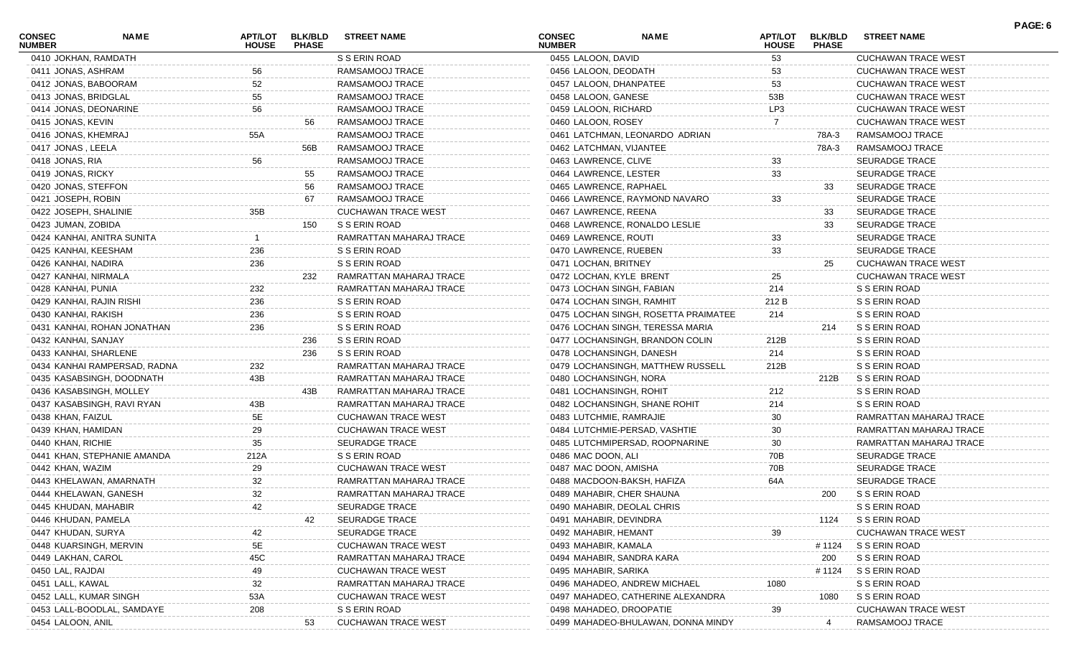| <b>CONSEC</b><br><b>NUMBER</b> | <b>NAME</b>                  | <b>APT/LOT</b><br><b>HOUSE</b> | <b>BLK/BLD</b><br><b>PHASE</b> | <b>STREET NAME</b>         | <b>CONSEC</b><br><b>NUMBER</b> | NAME                                 | <b>APT/LOT</b><br><b>HOUSE</b> | <b>BLK/BLD</b><br><b>PHASE</b> | <b>STREET NAME</b>         |  |
|--------------------------------|------------------------------|--------------------------------|--------------------------------|----------------------------|--------------------------------|--------------------------------------|--------------------------------|--------------------------------|----------------------------|--|
| 0410 JOKHAN, RAMDATH           |                              |                                |                                | S S ERIN ROAD              | 0455 LALOON, DAVID             |                                      | 53                             |                                | <b>CUCHAWAN TRACE WEST</b> |  |
| 0411 JONAS, ASHRAM             |                              | 56                             |                                | RAMSAMOOJ TRACE            |                                | 0456 LALOON, DEODATH                 | 53                             |                                | <b>CUCHAWAN TRACE WEST</b> |  |
| 0412 JONAS, BABOORAM           |                              | 52                             |                                | RAMSAMOOJ TRACE            |                                | 0457 LALOON, DHANPATEE               | 53                             |                                | <b>CUCHAWAN TRACE WEST</b> |  |
| 0413 JONAS, BRIDGLAL           |                              | 55                             |                                | RAMSAMOOJ TRACE            | 0458 LALOON, GANESE            |                                      | 53B                            |                                | <b>CUCHAWAN TRACE WEST</b> |  |
|                                | 0414 JONAS, DEONARINE        | 56                             |                                | RAMSAMOOJ TRACE            | 0459 LALOON, RICHARD           |                                      | LP3                            |                                | <b>CUCHAWAN TRACE WEST</b> |  |
| 0415 JONAS, KEVIN              |                              |                                | 56                             | RAMSAMOOJ TRACE            | 0460 LALOON, ROSEY             |                                      |                                |                                | <b>CUCHAWAN TRACE WEST</b> |  |
| 0416 JONAS, KHEMRAJ            |                              | 55A                            |                                | RAMSAMOOJ TRACE            |                                | 0461 LATCHMAN, LEONARDO ADRIAN       |                                | 78A-3                          | RAMSAMOOJ TRACE            |  |
| 0417 JONAS, LEELA              |                              |                                | 56B                            | RAMSAMOOJ TRACE            |                                | 0462 LATCHMAN, VIJANTEE              |                                | 78A-3                          | RAMSAMOOJ TRACE            |  |
| 0418 JONAS, RIA                |                              | 56                             |                                | RAMSAMOOJ TRACE            | 0463 LAWRENCE, CLIVE           |                                      | 33                             |                                | <b>SEURADGE TRACE</b>      |  |
| 0419 JONAS, RICKY              |                              |                                | 55                             | RAMSAMOOJ TRACE            |                                | 0464 LAWRENCE, LESTER                | 33                             |                                | <b>SEURADGE TRACE</b>      |  |
| 0420 JONAS, STEFFON            |                              |                                | 56                             | RAMSAMOOJ TRACE            |                                | 0465 LAWRENCE, RAPHAEL               |                                | 33                             | SEURADGE TRACE             |  |
| 0421 JOSEPH, ROBIN             |                              |                                | 67                             | RAMSAMOOJ TRACE            |                                | 0466 LAWRENCE, RAYMOND NAVARO        | 33                             |                                | <b>SEURADGE TRACE</b>      |  |
| 0422 JOSEPH, SHALINIE          |                              | 35B                            |                                | <b>CUCHAWAN TRACE WEST</b> |                                | 0467 LAWRENCE, REENA                 |                                | 33                             | SEURADGE TRACE             |  |
| 0423 JUMAN, ZOBIDA             |                              |                                | 150                            | S S ERIN ROAD              |                                | 0468 LAWRENCE, RONALDO LESLIE        |                                | 33                             | SEURADGE TRACE             |  |
|                                | 0424 KANHAI, ANITRA SUNITA   |                                |                                | RAMRATTAN MAHARAJ TRACE    | 0469 LAWRENCE, ROUTI           |                                      | 33                             |                                | <b>SEURADGE TRACE</b>      |  |
| 0425 KANHAI, KEESHAM           |                              | 236                            |                                | S S ERIN ROAD              |                                | 0470 LAWRENCE, RUEBEN                | 33                             |                                | <b>SEURADGE TRACE</b>      |  |
| 0426 KANHAI, NADIRA            |                              | 236                            |                                | S S ERIN ROAD              | 0471 LOCHAN, BRITNEY           |                                      |                                | 25                             | <b>CUCHAWAN TRACE WEST</b> |  |
| 0427 KANHAI, NIRMALA           |                              |                                | 232                            | RAMRATTAN MAHARAJ TRACE    |                                | 0472 LOCHAN, KYLE BRENT              | 25                             |                                | <b>CUCHAWAN TRACE WEST</b> |  |
| 0428 KANHAI, PUNIA             |                              | 232                            |                                | RAMRATTAN MAHARAJ TRACE    |                                | 0473 LOCHAN SINGH, FABIAN            | 214                            |                                | S S ERIN ROAD              |  |
|                                | 0429 KANHAI, RAJIN RISHI     | 236                            |                                | S S ERIN ROAD              |                                | 0474 LOCHAN SINGH, RAMHIT            | 212 B                          |                                | S S ERIN ROAD              |  |
| 0430 KANHAI, RAKISH            |                              | 236                            |                                | S S ERIN ROAD              |                                | 0475 LOCHAN SINGH, ROSETTA PRAIMATEE | 214                            |                                | S S ERIN ROAD              |  |
|                                | 0431 KANHAI, ROHAN JONATHAN  | 236                            |                                | S S ERIN ROAD              |                                | 0476 LOCHAN SINGH, TERESSA MARIA     |                                | 214                            | S S ERIN ROAD              |  |
| 0432 KANHAI, SANJAY            |                              |                                | 236                            | S S ERIN ROAD              |                                | 0477 LOCHANSINGH, BRANDON COLIN      | 212B                           |                                | S S ERIN ROAD              |  |
| 0433 KANHAI, SHARLENE          |                              |                                | 236                            | S S ERIN ROAD              |                                | 0478 LOCHANSINGH, DANESH             | 214                            |                                | S S ERIN ROAD              |  |
|                                | 0434 KANHAI RAMPERSAD, RADNA | 232                            |                                | RAMRATTAN MAHARAJ TRACE    |                                | 0479 LOCHANSINGH, MATTHEW RUSSELL    | 212B                           |                                | S S ERIN ROAD              |  |
|                                | 0435 KASABSINGH, DOODNATH    | 43B                            |                                | RAMRATTAN MAHARAJ TRACE    |                                | 0480 LOCHANSINGH, NORA               |                                | 212B                           | S S ERIN ROAD              |  |
|                                | 0436 KASABSINGH, MOLLEY      |                                | 43B                            | RAMRATTAN MAHARAJ TRACE    |                                | 0481 LOCHANSINGH, ROHIT              | 212                            |                                | S S ERIN ROAD              |  |
|                                | 0437 KASABSINGH, RAVI RYAN   | 43B                            |                                | RAMRATTAN MAHARAJ TRACE    |                                | 0482 LOCHANSINGH, SHANE ROHIT        | 214                            |                                | S S ERIN ROAD              |  |
| 0438 KHAN, FAIZUL              |                              | 5E                             |                                | <b>CUCHAWAN TRACE WEST</b> |                                | 0483 LUTCHMIE, RAMRAJIE              | 30                             |                                | RAMRATTAN MAHARAJ TRACE    |  |
| 0439 KHAN, HAMIDAN             |                              | 29                             |                                | <b>CUCHAWAN TRACE WEST</b> |                                | 0484 LUTCHMIE-PERSAD, VASHTIE        | 30                             |                                | RAMRATTAN MAHARAJ TRACE    |  |
| 0440 KHAN, RICHIE              |                              | 35                             |                                | SEURADGE TRACE             |                                | 0485 LUTCHMIPERSAD, ROOPNARINE       | 30                             |                                | RAMRATTAN MAHARAJ TRACE    |  |
|                                | 0441 KHAN, STEPHANIE AMANDA  | 212A                           |                                | S S ERIN ROAD              | 0486 MAC DOON, ALI             |                                      | 70B                            |                                | <b>SEURADGE TRACE</b>      |  |
| 0442 KHAN, WAZIM               |                              | 29                             |                                | <b>CUCHAWAN TRACE WEST</b> |                                | 0487 MAC DOON, AMISHA                | 70B                            |                                | <b>SEURADGE TRACE</b>      |  |
|                                | 0443 KHELAWAN, AMARNATH      | 32                             |                                | RAMRATTAN MAHARAJ TRACE    |                                | 0488 MACDOON-BAKSH, HAFIZA           | 64A                            |                                | <b>SEURADGE TRACE</b>      |  |
|                                | 0444 KHELAWAN, GANESH        | 32                             |                                | RAMRATTAN MAHARAJ TRACE    |                                | 0489 MAHABIR, CHER SHAUNA            |                                | 200                            | S S ERIN ROAD              |  |
| 0445 KHUDAN, MAHABIR           |                              |                                |                                | SEURADGE TRACE             |                                | 0490 MAHABIR, DEOLAL CHRIS           |                                |                                | S S ERIN ROAD              |  |
| 0446 KHUDAN, PAMELA            |                              |                                | 42                             | SEURADGE TRACE             |                                | 0491 MAHABIR, DEVINDRA               |                                | 1124                           | S S ERIN ROAD              |  |
| 0447 KHUDAN, SURYA             |                              | 42                             |                                | <b>SEURADGE TRACE</b>      | 0492 MAHABIR, HEMANT           |                                      | 39                             |                                | <b>CUCHAWAN TRACE WEST</b> |  |
|                                | 0448 KUARSINGH, MERVIN       | 5E                             |                                | <b>CUCHAWAN TRACE WEST</b> | 0493 MAHABIR, KAMALA           |                                      |                                | # 1124                         | S S ERIN ROAD              |  |
| 0449 LAKHAN, CAROL             |                              | 45C                            |                                | RAMRATTAN MAHARAJ TRACE    |                                | 0494 MAHABIR, SANDRA KARA            |                                | 200                            | S S ERIN ROAD              |  |
| 0450 LAL, RAJDAI               |                              | 49                             |                                | <b>CUCHAWAN TRACE WEST</b> | 0495 MAHABIR, SARIKA           |                                      |                                | # 1124                         | S S ERIN ROAD              |  |
| 0451 LALL, KAWAL               |                              | 32                             |                                | RAMRATTAN MAHARAJ TRACE    |                                | 0496 MAHADEO, ANDREW MICHAEL         | 1080                           |                                | S S ERIN ROAD              |  |
|                                | 0452 LALL, KUMAR SINGH       | 53A                            |                                | <b>CUCHAWAN TRACE WEST</b> |                                | 0497 MAHADEO, CATHERINE ALEXANDRA    |                                | 1080                           | S S ERIN ROAD              |  |
|                                | 0453 LALL-BOODLAL, SAMDAYE   | 208                            |                                | S S ERIN ROAD              |                                | 0498 MAHADEO, DROOPATIE              | 39                             |                                | <b>CUCHAWAN TRACE WEST</b> |  |
| 0454 LALOON, ANIL              |                              |                                | 53                             | <b>CUCHAWAN TRACE WEST</b> |                                | 0499 MAHADEO-BHULAWAN, DONNA MINDY   |                                | -4                             | RAMSAMOOJ TRACE            |  |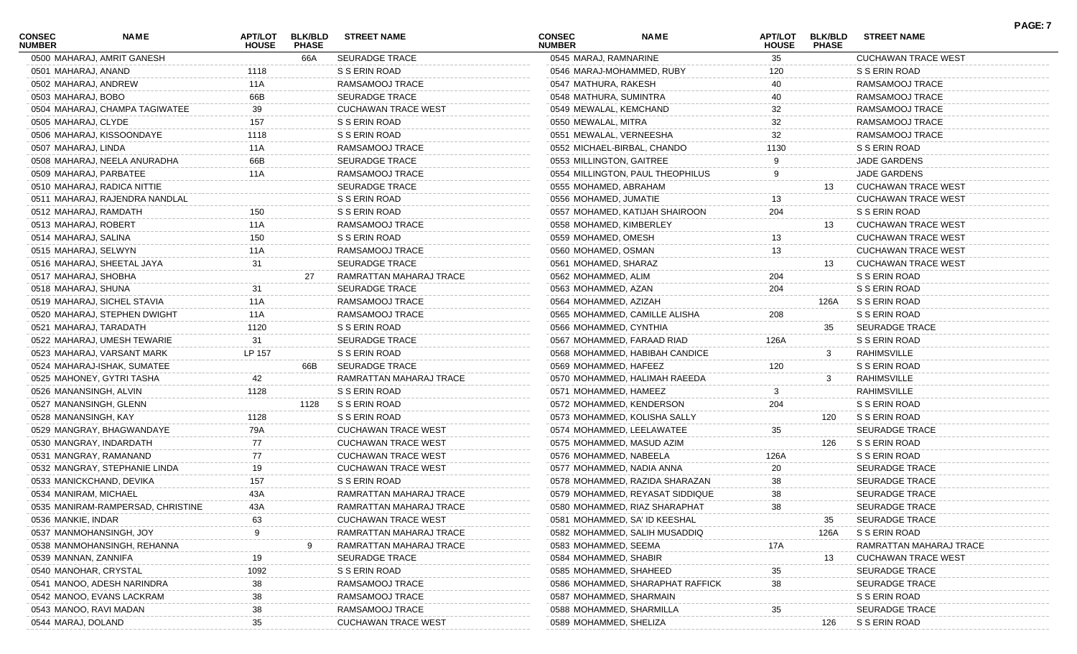| <b>CONSEC</b><br><b>NUMBER</b> | <b>NAME</b>                       | <b>APT/LOT</b><br><b>HOUSE</b> | <b>BLK/BLD</b><br><b>PHASE</b> | <b>STREET NAME</b>         | <b>CONSEC</b><br><b>NUMBER</b> | <b>NAME</b>                      | <b>APT/LOT</b><br><b>HOUSE</b> | <b>BLK/BLD</b><br><b>PHASE</b> | <b>STREET NAME</b>         |  |
|--------------------------------|-----------------------------------|--------------------------------|--------------------------------|----------------------------|--------------------------------|----------------------------------|--------------------------------|--------------------------------|----------------------------|--|
|                                | 0500 MAHARAJ, AMRIT GANESH        |                                | 66A                            | SEURADGE TRACE             | 0545 MARAJ, RAMNARINE          |                                  | 35                             |                                | <b>CUCHAWAN TRACE WEST</b> |  |
| 0501 MAHARAJ, ANAND            |                                   | 1118                           |                                | S S ERIN ROAD              |                                | 0546 MARAJ-MOHAMMED, RUBY        | 120                            |                                | S S ERIN ROAD              |  |
| 0502 MAHARAJ, ANDREW           |                                   | 11A                            |                                | RAMSAMOOJ TRACE            | 0547 MATHURA, RAKESH           |                                  | 40                             |                                | RAMSAMOOJ TRACE            |  |
| 0503 MAHARAJ, BOBO             |                                   | 66B                            |                                | <b>SEURADGE TRACE</b>      | 0548 MATHURA, SUMINTRA         |                                  | 40                             |                                | RAMSAMOOJ TRACE            |  |
|                                | 0504 MAHARAJ, CHAMPA TAGIWATEE    | 39                             |                                | <b>CUCHAWAN TRACE WEST</b> | 0549 MEWALAL, KEMCHAND         |                                  | 32                             |                                | RAMSAMOOJ TRACE            |  |
| 0505 MAHARAJ, CLYDE            |                                   | 157                            |                                | S S ERIN ROAD              | 0550 MEWALAL, MITRA            |                                  | 32                             |                                | RAMSAMOOJ TRACE            |  |
|                                | 0506 MAHARAJ, KISSOONDAYE         | 1118                           |                                | S S ERIN ROAD              |                                | 0551 MEWALAL, VERNEESHA          | 32                             |                                | RAMSAMOOJ TRACE            |  |
| 0507 MAHARAJ, LINDA            |                                   | 11A                            |                                | RAMSAMOOJ TRACE            |                                | 0552 MICHAEL-BIRBAL, CHANDO      | 1130                           |                                | S S ERIN ROAD              |  |
|                                | 0508 MAHARAJ, NEELA ANURADHA      | 66B                            |                                | SEURADGE TRACE             | 0553 MILLINGTON, GAITREE       |                                  |                                |                                | JADE GARDENS               |  |
|                                | 0509 MAHARAJ, PARBATEE            | 11A                            |                                | RAMSAMOOJ TRACE            |                                | 0554 MILLINGTON, PAUL THEOPHILUS | 9                              |                                | JADE GARDENS               |  |
|                                | 0510 MAHARAJ, RADICA NITTIE       |                                |                                | <b>SEURADGE TRACE</b>      | 0555 MOHAMED, ABRAHAM          |                                  |                                | 13                             | <b>CUCHAWAN TRACE WEST</b> |  |
|                                | 0511 MAHARAJ, RAJENDRA NANDLAL    |                                |                                | S S ERIN ROAD              | 0556 MOHAMED, JUMATIE          |                                  | 13                             |                                | <b>CUCHAWAN TRACE WEST</b> |  |
| 0512 MAHARAJ, RAMDATH          |                                   | 150                            |                                | S S ERIN ROAD              |                                | 0557 MOHAMED, KATIJAH SHAIROON   | 204                            |                                | S S ERIN ROAD              |  |
| 0513 MAHARAJ, ROBERT           |                                   | 11A                            |                                | RAMSAMOOJ TRACE            | 0558 MOHAMED, KIMBERLEY        |                                  |                                | 13                             | <b>CUCHAWAN TRACE WEST</b> |  |
| 0514 MAHARAJ, SALINA           |                                   | 150                            |                                | S S ERIN ROAD              | 0559 MOHAMED, OMESH            |                                  | 13                             |                                | <b>CUCHAWAN TRACE WEST</b> |  |
| 0515 MAHARAJ, SELWYN           |                                   | 11A                            |                                | RAMSAMOOJ TRACE            | 0560 MOHAMED, OSMAN            |                                  | 13                             |                                | <b>CUCHAWAN TRACE WEST</b> |  |
|                                | 0516 MAHARAJ, SHEETAL JAYA        | 31                             |                                | SEURADGE TRACE             | 0561 MOHAMED, SHARAZ           |                                  |                                | 13                             | <b>CUCHAWAN TRACE WEST</b> |  |
| 0517 MAHARAJ, SHOBHA           |                                   |                                | 27                             | RAMRATTAN MAHARAJ TRACE    | 0562 MOHAMMED, ALIM            |                                  | 204                            |                                | S S ERIN ROAD              |  |
| 0518 MAHARAJ, SHUNA            |                                   | 31                             |                                | SEURADGE TRACE             | 0563 MOHAMMED, AZAN            |                                  | 204                            |                                | S S ERIN ROAD              |  |
|                                | 0519 MAHARAJ, SICHEL STAVIA       | 11A                            |                                | RAMSAMOOJ TRACE            | 0564 MOHAMMED, AZIZAH          |                                  |                                | 126A                           | S S ERIN ROAD              |  |
|                                | 0520 MAHARAJ, STEPHEN DWIGHT      | 11A                            |                                | RAMSAMOOJ TRACE            |                                | 0565 MOHAMMED, CAMILLE ALISHA    | 208                            |                                | S S ERIN ROAD              |  |
|                                | 0521 MAHARAJ, TARADATH            | 1120                           |                                | S S ERIN ROAD              | 0566 MOHAMMED, CYNTHIA         |                                  |                                | 35                             | <b>SEURADGE TRACE</b>      |  |
|                                | 0522 MAHARAJ, UMESH TEWARIE       | 31                             |                                | <b>SEURADGE TRACE</b>      |                                | 0567 MOHAMMED, FARAAD RIAD       | 126A                           |                                | S S ERIN ROAD              |  |
|                                | 0523 MAHARAJ, VARSANT MARK        | LP 157                         |                                | S S ERIN ROAD              |                                | 0568 MOHAMMED, HABIBAH CANDICE   |                                | 3                              | RAHIMSVILLE                |  |
|                                | 0524 MAHARAJ-ISHAK, SUMATEE       |                                | 66B                            | SEURADGE TRACE             | 0569 MOHAMMED, HAFEEZ          |                                  | 120                            |                                | S S ERIN ROAD              |  |
|                                | 0525 MAHONEY, GYTRI TASHA         | 42                             |                                | RAMRATTAN MAHARAJ TRACE    |                                | 0570 MOHAMMED, HALIMAH RAEEDA    |                                | 3                              | RAHIMSVILLE                |  |
| 0526 MANANSINGH, ALVIN         |                                   | 1128                           |                                | S S ERIN ROAD              | 0571 MOHAMMED, HAMEEZ          |                                  | 3                              |                                | <b>RAHIMSVILLE</b>         |  |
|                                | 0527 MANANSINGH, GLENN            |                                | 1128                           | S S ERIN ROAD              |                                | 0572 MOHAMMED, KENDERSON         | 204                            |                                | S S ERIN ROAD              |  |
| 0528 MANANSINGH, KAY           |                                   | 1128                           |                                | S S ERIN ROAD              |                                | 0573 MOHAMMED, KOLISHA SALLY     |                                | 120                            | S S ERIN ROAD              |  |
|                                | 0529 MANGRAY, BHAGWANDAYE         | 79A                            |                                | <b>CUCHAWAN TRACE WEST</b> |                                | 0574 MOHAMMED, LEELAWATEE        | 35                             |                                | <b>SEURADGE TRACE</b>      |  |
|                                | 0530 MANGRAY, INDARDATH           | 77                             |                                | <b>CUCHAWAN TRACE WEST</b> |                                | 0575 MOHAMMED, MASUD AZIM        |                                | 126                            | S S ERIN ROAD              |  |
|                                | 0531 MANGRAY, RAMANAND            | 77                             |                                | <b>CUCHAWAN TRACE WEST</b> | 0576 MOHAMMED, NABEELA         |                                  | 126A                           |                                | S S ERIN ROAD              |  |
|                                | 0532 MANGRAY, STEPHANIE LINDA     | 19                             |                                | <b>CUCHAWAN TRACE WEST</b> |                                | 0577 MOHAMMED, NADIA ANNA        | 20                             |                                | <b>SEURADGE TRACE</b>      |  |
|                                | 0533 MANICKCHAND, DEVIKA          | 157                            |                                | S S ERIN ROAD              |                                | 0578 MOHAMMED, RAZIDA SHARAZAN   | 38                             |                                | SEURADGE TRACE             |  |
| 0534 MANIRAM, MICHAEL          |                                   | 43A                            |                                | RAMRATTAN MAHARAJ TRACE    |                                | 0579 MOHAMMED, REYASAT SIDDIQUE  | 38                             |                                | <b>SEURADGE TRACE</b>      |  |
|                                | 0535 MANIRAM-RAMPERSAD, CHRISTINE | 43A                            |                                | RAMRATTAN MAHARAJ TRACE    |                                | 0580 MOHAMMED, RIAZ SHARAPHAT    | 38                             |                                | SEURADGE TRACE             |  |
| 0536 MANKIE, INDAR             |                                   |                                |                                | CUCHAWAN TRACE WEST        |                                | 0581 MOHAMMED, SA' ID KEESHAL    |                                | 35                             | <b>SEURADGE TRACE</b>      |  |
|                                | 0537 MANMOHANSINGH, JOY           |                                |                                | RAMRATTAN MAHARAJ TRACE    |                                | 0582 MOHAMMED, SALIH MUSADDIQ    |                                | 126A                           | S S ERIN ROAD              |  |
|                                | 0538 MANMOHANSINGH, REHANNA       |                                |                                | RAMRATTAN MAHARAJ TRACE    | 0583 MOHAMMED, SEEMA           |                                  | 17A                            |                                | RAMRATTAN MAHARAJ TRACE    |  |
| 0539 MANNAN, ZANNIFA           |                                   | 19                             |                                | SEURADGE TRACE             | 0584 MOHAMMED, SHABIR          |                                  |                                | 13                             | <b>CUCHAWAN TRACE WEST</b> |  |
| 0540 MANOHAR, CRYSTAL          |                                   | 1092                           |                                | S S ERIN ROAD              | 0585 MOHAMMED, SHAHEED         |                                  | $35\,$                         |                                | <b>SEURADGE TRACE</b>      |  |
|                                | 0541 MANOO, ADESH NARINDRA        | 38                             |                                | RAMSAMOOJ TRACE            |                                | 0586 MOHAMMED, SHARAPHAT RAFFICK | 38                             |                                | <b>SEURADGE TRACE</b>      |  |
|                                | 0542 MANOO, EVANS LACKRAM         |                                |                                | RAMSAMOOJ TRACE            |                                | 0587 MOHAMMED, SHARMAIN          |                                |                                | S S ERIN ROAD              |  |
|                                | 0543 MANOO, RAVI MADAN            |                                |                                | RAMSAMOOJ TRACE            |                                | 0588 MOHAMMED, SHARMILLA         | 35                             |                                | <b>SEURADGE TRACE</b>      |  |
| 0544 MARAJ, DOLAND             |                                   | 35                             |                                | <b>CUCHAWAN TRACE WEST</b> | 0589 MOHAMMED, SHELIZA         |                                  |                                | 126                            | S S ERIN ROAD              |  |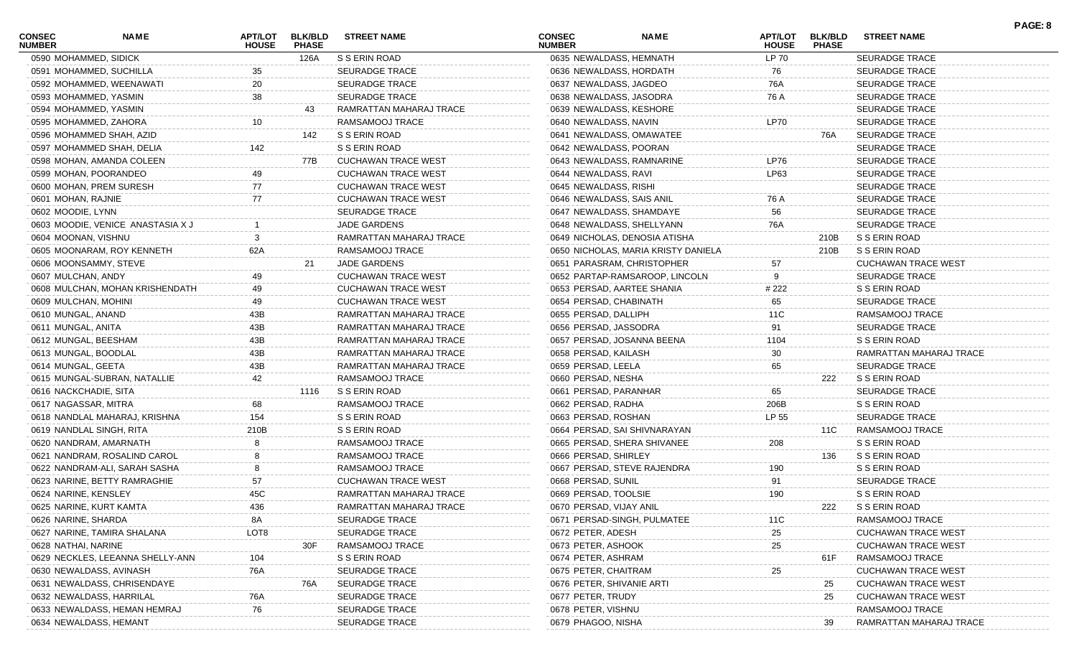| <b>CONSEC</b><br><b>NUMBER</b> | <b>NAME</b>                       | <b>HOUSE</b> | APT/LOT BLK/BLD<br><b>PHASE</b> | <b>STREET NAME</b>         | <b>CONSEC</b><br><b>NUMBER</b> | <b>NAME</b>                         | <b>HOUSE</b> | APT/LOT BLK/BLD<br><b>PHASE</b> | <b>STREET NAME</b>         |
|--------------------------------|-----------------------------------|--------------|---------------------------------|----------------------------|--------------------------------|-------------------------------------|--------------|---------------------------------|----------------------------|
|                                | 0590 MOHAMMED, SIDICK             |              | 126A                            | S S ERIN ROAD              |                                | 0635 NEWALDASS, HEMNATH             | <b>LP 70</b> |                                 | SEURADGE TRACE             |
|                                | 0591 MOHAMMED, SUCHILLA           | 35           |                                 | SEURADGE TRACE             |                                | 0636 NEWALDASS, HORDATH             | 76           |                                 | <b>SEURADGE TRACE</b>      |
|                                | 0592 MOHAMMED, WEENAWATI          | 20           |                                 | SEURADGE TRACE             |                                | 0637 NEWALDASS, JAGDEO              | 76A          |                                 | SEURADGE TRACE             |
|                                | 0593 MOHAMMED, YASMIN             | 38           |                                 | SEURADGE TRACE             |                                | 0638 NEWALDASS, JASODRA             | 76 A         |                                 | <b>SEURADGE TRACE</b>      |
|                                | 0594 MOHAMMED, YASMIN             |              | 43                              | RAMRATTAN MAHARAJ TRACE    |                                | 0639 NEWALDASS, KESHORE             |              |                                 | <b>SEURADGE TRACE</b>      |
|                                | 0595 MOHAMMED, ZAHORA             | 10           |                                 | RAMSAMOOJ TRACE            | 0640 NEWALDASS, NAVIN          |                                     | <b>LP70</b>  |                                 | <b>SEURADGE TRACE</b>      |
|                                | 0596 MOHAMMED SHAH, AZID          |              | 142                             | S S ERIN ROAD              |                                | 0641 NEWALDASS, OMAWATEE            |              | 76A                             | SEURADGE TRACE             |
|                                | 0597 MOHAMMED SHAH, DELIA         | 142          |                                 | S S ERIN ROAD              |                                | 0642 NEWALDASS, POORAN              |              |                                 | <b>SEURADGE TRACE</b>      |
|                                | 0598 MOHAN, AMANDA COLEEN         |              | 77B                             | <b>CUCHAWAN TRACE WEST</b> |                                | 0643 NEWALDASS, RAMNARINE           | <b>LP76</b>  |                                 | <b>SEURADGE TRACE</b>      |
|                                | 0599 MOHAN, POORANDEO             | 49           |                                 | <b>CUCHAWAN TRACE WEST</b> | 0644 NEWALDASS, RAVI           |                                     | LP63         |                                 | <b>SEURADGE TRACE</b>      |
|                                | 0600 MOHAN, PREM SURESH           | 77           |                                 | <b>CUCHAWAN TRACE WEST</b> | 0645 NEWALDASS, RISHI          |                                     |              |                                 | SEURADGE TRACE             |
| 0601 MOHAN, RAJNIE             |                                   | 77           |                                 | <b>CUCHAWAN TRACE WEST</b> |                                | 0646 NEWALDASS, SAIS ANIL           | 76 A         |                                 | <b>SEURADGE TRACE</b>      |
| 0602 MOODIE, LYNN              |                                   |              |                                 | SEURADGE TRACE             |                                | 0647 NEWALDASS, SHAMDAYE            | 56           |                                 | <b>SEURADGE TRACE</b>      |
|                                | 0603 MOODIE, VENICE ANASTASIA X J |              |                                 | JADE GARDENS               |                                | 0648 NEWALDASS, SHELLYANN           | 76A          |                                 | <b>SEURADGE TRACE</b>      |
| 0604 MOONAN, VISHNU            |                                   |              |                                 | RAMRATTAN MAHARAJ TRACE    |                                | 0649 NICHOLAS, DENOSIA ATISHA       |              | 210B                            | S S ERIN ROAD              |
|                                | 0605 MOONARAM, ROY KENNETH        | 62A          |                                 | RAMSAMOOJ TRACE            |                                | 0650 NICHOLAS, MARIA KRISTY DANIELA |              | 210B                            | S S ERIN ROAD              |
|                                | 0606 MOONSAMMY, STEVE             |              | 21                              | JADE GARDENS               |                                | 0651 PARASRAM, CHRISTOPHER          | 57           |                                 | <b>CUCHAWAN TRACE WEST</b> |
| 0607 MULCHAN, ANDY             |                                   | 49           |                                 | <b>CUCHAWAN TRACE WEST</b> |                                | 0652 PARTAP-RAMSAROOP, LINCOLN      | 9            |                                 | <b>SEURADGE TRACE</b>      |
|                                | 0608 MULCHAN, MOHAN KRISHENDATH   | 49           |                                 | <b>CUCHAWAN TRACE WEST</b> |                                | 0653 PERSAD, AARTEE SHANIA          | # 222        |                                 | S S ERIN ROAD              |
|                                | 0609 MULCHAN, MOHINI              | 49           |                                 | <b>CUCHAWAN TRACE WEST</b> | 0654 PERSAD, CHABINATH         |                                     | 65           |                                 | <b>SEURADGE TRACE</b>      |
| 0610 MUNGAL, ANAND             |                                   | 43B          |                                 | RAMRATTAN MAHARAJ TRACE    | 0655 PERSAD, DALLIPH           |                                     | 11C          |                                 | RAMSAMOOJ TRACE            |
| 0611 MUNGAL, ANITA             |                                   | 43B          |                                 | RAMRATTAN MAHARAJ TRACE    | 0656 PERSAD, JASSODRA          |                                     | 91           |                                 | <b>SEURADGE TRACE</b>      |
|                                | 0612 MUNGAL, BEESHAM              | 43B          |                                 | RAMRATTAN MAHARAJ TRACE    |                                | 0657 PERSAD, JOSANNA BEENA          | 1104         |                                 | S S ERIN ROAD              |
|                                | 0613 MUNGAL, BOODLAL              | 43B          |                                 | RAMRATTAN MAHARAJ TRACE    | 0658 PERSAD, KAILASH           |                                     | 30           |                                 | RAMRATTAN MAHARAJ TRACE    |
| 0614 MUNGAL, GEETA             |                                   | 43B          |                                 | RAMRATTAN MAHARAJ TRACE    | 0659 PERSAD, LEELA             |                                     | 65           |                                 | <b>SEURADGE TRACE</b>      |
|                                | 0615 MUNGAL-SUBRAN, NATALLIE      | 42           |                                 | RAMSAMOOJ TRACE            | 0660 PERSAD, NESHA             |                                     |              | 222                             | S S ERIN ROAD              |
|                                | 0616 NACKCHADIE, SITA             |              | 1116                            | S S ERIN ROAD              | 0661 PERSAD, PARANHAR          |                                     | 65           |                                 | SEURADGE TRACE             |
|                                | 0617 NAGASSAR, MITRA              | 68           |                                 | RAMSAMOOJ TRACE            | 0662 PERSAD, RADHA             |                                     | 206B         |                                 | S S ERIN ROAD              |
|                                | 0618 NANDLAL MAHARAJ, KRISHNA     | 154          |                                 | S S ERIN ROAD              | 0663 PERSAD, ROSHAN            |                                     | LP 55        |                                 | <b>SEURADGE TRACE</b>      |
|                                | 0619 NANDLAL SINGH, RITA          | 210B         |                                 | S S ERIN ROAD              |                                | 0664 PERSAD, SAI SHIVNARAYAN        |              | 11C                             | RAMSAMOOJ TRACE            |
|                                | 0620 NANDRAM, AMARNATH            |              |                                 | RAMSAMOOJ TRACE            |                                | 0665 PERSAD, SHERA SHIVANEE         | 208          |                                 | S S ERIN ROAD              |
|                                | 0621 NANDRAM, ROSALIND CAROL      |              |                                 | RAMSAMOOJ TRACE            | 0666 PERSAD, SHIRLEY           |                                     |              | 136                             | S S ERIN ROAD              |
|                                | 0622 NANDRAM-ALI, SARAH SASHA     |              |                                 | RAMSAMOOJ TRACE            |                                | 0667 PERSAD, STEVE RAJENDRA         | 190          |                                 | S S ERIN ROAD              |
|                                | 0623 NARINE, BETTY RAMRAGHIE      | 57           |                                 | <b>CUCHAWAN TRACE WEST</b> | 0668 PERSAD, SUNIL             |                                     | 91           |                                 | SEURADGE TRACE             |
| 0624 NARINE, KENSLEY           |                                   | 45C          |                                 | RAMRATTAN MAHARAJ TRACE    | 0669 PERSAD, TOOLSIE           |                                     | 190          |                                 | S S ERIN ROAD              |
|                                | 0625 NARINE, KURT KAMTA           | 436          |                                 | RAMRATTAN MAHARAJ TRACE    | 0670 PERSAD, VIJAY ANIL        |                                     |              | 222                             | S S ERIN ROAD              |
| 0626 NARINE, SHARDA            |                                   | 8A           |                                 | <b>SEURADGE TRACE</b>      |                                | 0671 PERSAD-SINGH, PULMATEE         | 11C          |                                 | RAMSAMOOJ TRACE            |
|                                | 0627 NARINE, TAMIRA SHALANA       | LOT8         |                                 | SEURADGE TRACE             | 0672 PETER, ADESH              |                                     | 25           |                                 | <b>CUCHAWAN TRACE WEST</b> |
| 0628 NATHAI, NARINE            |                                   |              | 30F                             | RAMSAMOOJ TRACE            | 0673 PETER, ASHOOK             |                                     | 25           |                                 | <b>CUCHAWAN TRACE WEST</b> |
|                                | 0629 NECKLES, LEEANNA SHELLY-ANN  | 104          |                                 | S S ERIN ROAD              | 0674 PETER, ASHRAM             |                                     |              | 61F                             | RAMSAMOOJ TRACE            |
|                                | 0630 NEWALDASS, AVINASH           | 76A          |                                 | <b>SEURADGE TRACE</b>      | 0675 PETER, CHAITRAM           |                                     | 25           |                                 | <b>CUCHAWAN TRACE WEST</b> |
|                                | 0631 NEWALDASS, CHRISENDAYE       |              | 76A                             | SEURADGE TRACE             | 0676 PETER, SHIVANIE ARTI      |                                     |              | 25                              | <b>CUCHAWAN TRACE WEST</b> |
|                                | 0632 NEWALDASS, HARRILAL          | 76A          |                                 | SEURADGE TRACE             | 0677 PETER, TRUDY              |                                     |              | 25                              | <b>CUCHAWAN TRACE WEST</b> |
|                                | 0633 NEWALDASS, HEMAN HEMRAJ      | 76           |                                 | SEURADGE TRACE             | 0678 PETER, VISHNU             |                                     |              |                                 | RAMSAMOOJ TRACE            |
|                                | 0634 NEWALDASS, HEMANT            |              |                                 | SEURADGE TRACE             | 0679 PHAGOO, NISHA             |                                     |              | 39                              | RAMRATTAN MAHARAJ TRACE    |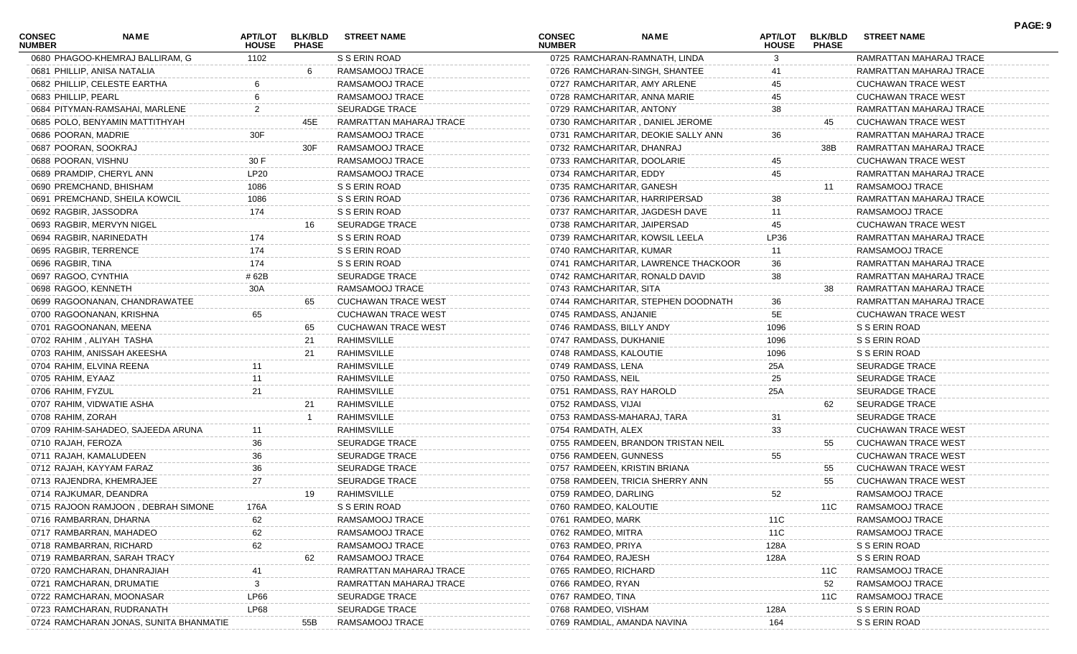| <b>CONSEC</b><br><b>NUMBER</b> | NAME                                   | APT/LOT<br><b>HOUSE</b> | <b>BLK/BLD</b><br><b>PHASE</b> | <b>STREET NAME</b>         | <b>CONSEC</b><br><b>NUMBER</b>  | <b>NAME</b>                         | APT/LOT<br><b>HOUSE</b> | <b>BLK/BLD</b><br><b>PHASE</b> | <b>STREET NAME</b>         | PAGE: 9 |
|--------------------------------|----------------------------------------|-------------------------|--------------------------------|----------------------------|---------------------------------|-------------------------------------|-------------------------|--------------------------------|----------------------------|---------|
|                                | 0680 PHAGOO-KHEMRAJ BALLIRAM, G        | 1102                    |                                | S S ERIN ROAD              | 0725 RAMCHARAN-RAMNATH, LINDA   |                                     | 3                       |                                | RAMRATTAN MAHARAJ TRACE    |         |
|                                | 0681 PHILLIP, ANISA NATALIA            |                         | -6                             | RAMSAMOOJ TRACE            | 0726 RAMCHARAN-SINGH, SHANTEE   |                                     | 41                      |                                | RAMRATTAN MAHARAJ TRACE    |         |
|                                | 0682 PHILLIP, CELESTE EARTHA           |                         |                                | RAMSAMOOJ TRACE            | 0727 RAMCHARITAR, AMY ARLENE    |                                     | 45                      |                                | <b>CUCHAWAN TRACE WEST</b> |         |
| 0683 PHILLIP, PEARL            |                                        |                         |                                | RAMSAMOOJ TRACE            | 0728 RAMCHARITAR, ANNA MARIE    |                                     | 45                      |                                | <b>CUCHAWAN TRACE WEST</b> |         |
|                                | 0684 PITYMAN-RAMSAHAI, MARLENE         |                         |                                | <b>SEURADGE TRACE</b>      | 0729 RAMCHARITAR, ANTONY        |                                     | 38                      |                                | RAMRATTAN MAHARAJ TRACE    |         |
|                                | 0685 POLO, BENYAMIN MATTITHYAH         |                         | 45E                            | RAMRATTAN MAHARAJ TRACE    | 0730 RAMCHARITAR, DANIEL JEROME |                                     |                         | 45                             | <b>CUCHAWAN TRACE WEST</b> |         |
| 0686 POORAN, MADRIE            |                                        | 30F                     |                                | RAMSAMOOJ TRACE            |                                 | 0731 RAMCHARITAR, DEOKIE SALLY ANN  | 36                      |                                | RAMRATTAN MAHARAJ TRACE    |         |
| 0687 POORAN, SOOKRAJ           |                                        |                         | 30F                            | RAMSAMOOJ TRACE            | 0732 RAMCHARITAR, DHANRAJ       |                                     |                         | 38B                            | RAMRATTAN MAHARAJ TRACE    |         |
| 0688 POORAN, VISHNU            |                                        | 30 F                    |                                | RAMSAMOOJ TRACE            | 0733 RAMCHARITAR, DOOLARIE      |                                     | 45                      |                                | <b>CUCHAWAN TRACE WEST</b> |         |
|                                | 0689 PRAMDIP, CHERYL ANN               | <b>LP20</b>             |                                | RAMSAMOOJ TRACE            | 0734 RAMCHARITAR, EDDY          |                                     | 45                      |                                | RAMRATTAN MAHARAJ TRACE    |         |
|                                | 0690 PREMCHAND, BHISHAM                | 1086                    |                                | S S ERIN ROAD              | 0735 RAMCHARITAR, GANESH        |                                     |                         | 11                             | RAMSAMOOJ TRACE            |         |
|                                | 0691 PREMCHAND, SHEILA KOWCIL          | 1086                    |                                | S S ERIN ROAD              | 0736 RAMCHARITAR, HARRIPERSAD   |                                     | 38                      |                                | RAMRATTAN MAHARAJ TRACE    |         |
|                                | 0692 RAGBIR, JASSODRA                  | 174                     |                                | S S ERIN ROAD              | 0737 RAMCHARITAR, JAGDESH DAVE  |                                     | 11                      |                                | RAMSAMOOJ TRACE            |         |
|                                | 0693 RAGBIR, MERVYN NIGEL              |                         | 16                             | SEURADGE TRACE             | 0738 RAMCHARITAR, JAIPERSAD     |                                     | 45                      |                                | <b>CUCHAWAN TRACE WEST</b> |         |
|                                | 0694 RAGBIR, NARINEDATH                | 174                     |                                | S S ERIN ROAD              | 0739 RAMCHARITAR, KOWSIL LEELA  |                                     | LP36                    |                                | RAMRATTAN MAHARAJ TRACE    |         |
|                                | 0695 RAGBIR, TERRENCE                  | 174                     |                                | S S ERIN ROAD              | 0740 RAMCHARITAR, KUMAR         |                                     | 11                      |                                | RAMSAMOOJ TRACE            |         |
| 0696 RAGBIR, TINA              |                                        | 174                     |                                | S S ERIN ROAD              |                                 | 0741 RAMCHARITAR, LAWRENCE THACKOOR | 36                      |                                | RAMRATTAN MAHARAJ TRACE    |         |
| 0697 RAGOO, CYNTHIA            |                                        | # 62B                   |                                | SEURADGE TRACE             | 0742 RAMCHARITAR, RONALD DAVID  |                                     | 38                      |                                | RAMRATTAN MAHARAJ TRACE    |         |
| 0698 RAGOO, KENNETH            |                                        | 30A                     |                                | RAMSAMOOJ TRACE            | 0743 RAMCHARITAR, SITA          |                                     |                         | 38                             | RAMRATTAN MAHARAJ TRACE    |         |
|                                | 0699 RAGOONANAN, CHANDRAWATEE          |                         | 65                             | <b>CUCHAWAN TRACE WEST</b> |                                 | 0744 RAMCHARITAR, STEPHEN DOODNATH  | 36                      |                                | RAMRATTAN MAHARAJ TRACE    |         |
|                                | 0700 RAGOONANAN, KRISHNA               | 65                      |                                | <b>CUCHAWAN TRACE WEST</b> | 0745 RAMDASS, ANJANIE           |                                     | 5E                      |                                | <b>CUCHAWAN TRACE WEST</b> |         |
|                                | 0701 RAGOONANAN, MEENA                 |                         | 65                             | <b>CUCHAWAN TRACE WEST</b> | 0746 RAMDASS, BILLY ANDY        |                                     | 1096                    |                                | S S ERIN ROAD              |         |
|                                | 0702 RAHIM, ALIYAH TASHA               |                         | 21                             | RAHIMSVILLE                | 0747 RAMDASS, DUKHANIE          |                                     | 1096                    |                                | S S ERIN ROAD              |         |
|                                | 0703 RAHIM, ANISSAH AKEESHA            |                         | 21                             | RAHIMSVILLE                | 0748 RAMDASS, KALOUTIE          |                                     | 1096                    |                                | S S ERIN ROAD              |         |
|                                | 0704 RAHIM, ELVINA REENA               |                         |                                | RAHIMSVILLE                | 0749 RAMDASS, LENA              |                                     | 25A                     |                                | <b>SEURADGE TRACE</b>      |         |
| 0705 RAHIM, EYAAZ              |                                        | 11                      |                                | RAHIMSVILLE                | 0750 RAMDASS, NEIL              |                                     | 25                      |                                | <b>SEURADGE TRACE</b>      |         |
| 0706 RAHIM, FYZUL              |                                        | 21                      |                                | RAHIMSVILLE                | 0751 RAMDASS, RAY HAROLD        |                                     | 25A                     |                                | <b>SEURADGE TRACE</b>      |         |
|                                | 0707 RAHIM, VIDWATIE ASHA              |                         | 21                             | RAHIMSVILLE                | 0752 RAMDASS, VIJAI             |                                     |                         | 62                             | SEURADGE TRACE             |         |
| 0708 RAHIM, ZORAH              |                                        |                         |                                | RAHIMSVILLE                | 0753 RAMDASS-MAHARAJ, TARA      |                                     | 31                      |                                | <b>SEURADGE TRACE</b>      |         |
|                                | 0709 RAHIM-SAHADEO, SAJEEDA ARUNA      |                         |                                | RAHIMSVILLE                | 0754 RAMDATH, ALEX              |                                     | 33                      |                                | <b>CUCHAWAN TRACE WEST</b> |         |
| 0710 RAJAH, FEROZA             |                                        | 36                      |                                | <b>SEURADGE TRACE</b>      |                                 | 0755 RAMDEEN, BRANDON TRISTAN NEIL  |                         | 55                             | <b>CUCHAWAN TRACE WEST</b> |         |
|                                | 0711 RAJAH, KAMALUDEEN                 | 36                      |                                | SEURADGE TRACE             | 0756 RAMDEEN, GUNNESS           |                                     | 55                      |                                | <b>CUCHAWAN TRACE WEST</b> |         |
|                                | 0712 RAJAH, KAYYAM FARAZ               | 36                      |                                | <b>SEURADGE TRACE</b>      | 0757 RAMDEEN, KRISTIN BRIANA    |                                     |                         | 55                             | <b>CUCHAWAN TRACE WEST</b> |         |
|                                | 0713 RAJENDRA, KHEMRAJEE               | 27                      |                                | <b>SEURADGE TRACE</b>      | 0758 RAMDEEN, TRICIA SHERRY ANN |                                     |                         | 55                             | <b>CUCHAWAN TRACE WEST</b> |         |
|                                | 0714 RAJKUMAR, DEANDRA                 |                         | 19                             | RAHIMSVILLE                | 0759 RAMDEO, DARLING            |                                     | 52                      |                                | RAMSAMOOJ TRACE            |         |
|                                | 0715 RAJOON RAMJOON, DEBRAH SIMONE     | 176A                    |                                | S S ERIN ROAD              | 0760 RAMDEO, KALOUTIE           |                                     |                         | 11C                            | RAMSAMOOJ TRACE            |         |
|                                | 0716 RAMBARRAN, DHARNA                 | 62                      |                                | RAMSAMOOJ TRACE            | 0761 RAMDEO, MARK               |                                     | 11C                     |                                | RAMSAMOOJ TRACE            |         |
|                                | 0717 RAMBARRAN, MAHADEO                | 62                      |                                | RAMSAMOOJ TRACE            | 0762 RAMDEO, MITRA              |                                     | 11C                     |                                | RAMSAMOOJ TRACE            |         |
|                                | 0718 RAMBARRAN, RICHARD                | 62                      |                                | RAMSAMOOJ TRACE            | 0763 RAMDEO, PRIYA              |                                     | 128A                    |                                | S S ERIN ROAD              |         |
|                                | 0719 RAMBARRAN, SARAH TRACY            |                         | 62                             | RAMSAMOOJ TRACE            | 0764 RAMDEO, RAJESH             |                                     | 128A                    |                                | S S ERIN ROAD              |         |
|                                | 0720 RAMCHARAN, DHANRAJIAH             |                         |                                | RAMRATTAN MAHARAJ TRACE    | 0765 RAMDEO, RICHARD            |                                     |                         | 11C                            | RAMSAMOOJ TRACE            |         |
|                                | 0721 RAMCHARAN, DRUMATIE               | 3                       |                                | RAMRATTAN MAHARAJ TRACE    | 0766 RAMDEO, RYAN               |                                     |                         | 52                             | RAMSAMOOJ TRACE            |         |
|                                | 0722 RAMCHARAN, MOONASAR               | LP66                    |                                | SEURADGE TRACE             | 0767 RAMDEO, TINA               |                                     |                         | 11C                            | RAMSAMOOJ TRACE            |         |
|                                | 0723 RAMCHARAN, RUDRANATH              | LP68                    |                                | SEURADGE TRACE             | 0768 RAMDEO, VISHAM             |                                     | 128A                    |                                | S S ERIN ROAD              |         |
|                                | 0724 RAMCHARAN JONAS, SUNITA BHANMATIE |                         | 55B                            | RAMSAMOOJ TRACE            | 0769 RAMDIAL, AMANDA NAVINA     |                                     | 164                     |                                | S S ERIN ROAD              |         |
|                                |                                        |                         |                                |                            |                                 |                                     |                         |                                |                            |         |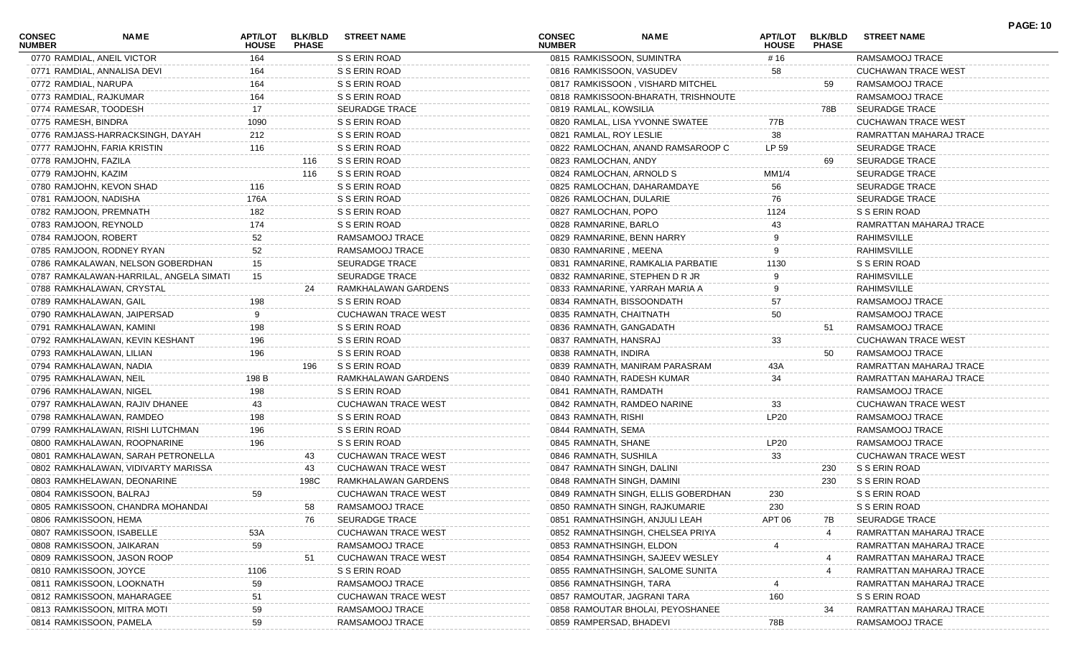| <b>CONSEC</b><br><b>NUMBER</b> | NAME                                    | APT/LOT<br><b>HOUSE</b> | <b>BLK/BLD</b><br><b>PHASE</b> | <b>STREET NAME</b>         | <b>CONSEC</b><br><b>NUMBER</b> | <b>NAME</b>                         | APT/LOT<br><b>HOUSE</b> | <b>BLK/BLD</b><br><b>PHASE</b> | <b>STREET NAME</b>         | <b>PAGE: 10</b> |
|--------------------------------|-----------------------------------------|-------------------------|--------------------------------|----------------------------|--------------------------------|-------------------------------------|-------------------------|--------------------------------|----------------------------|-----------------|
|                                | 0770 RAMDIAL, ANEIL VICTOR              | 164                     |                                | S S ERIN ROAD              |                                | 0815 RAMKISSOON, SUMINTRA           | # 16                    |                                | RAMSAMOOJ TRACE            |                 |
|                                | 0771 RAMDIAL, ANNALISA DEVI             | 164                     |                                | S S ERIN ROAD              | 0816 RAMKISSOON, VASUDEV       |                                     | 58                      |                                | <b>CUCHAWAN TRACE WEST</b> |                 |
| 0772 RAMDIAL, NARUPA           |                                         | 164                     |                                | S S ERIN ROAD              |                                | 0817 RAMKISSOON, VISHARD MITCHEL    |                         | 59                             | RAMSAMOOJ TRACE            |                 |
|                                | 0773 RAMDIAL, RAJKUMAR                  | 164                     |                                | S S ERIN ROAD              |                                | 0818 RAMKISSOON-BHARATH, TRISHNOUTE |                         |                                | RAMSAMOOJ TRACE            |                 |
|                                | 0774 RAMESAR, TOODESH                   | 17                      |                                | <b>SEURADGE TRACE</b>      | 0819 RAMLAL, KOWSILIA          |                                     |                         | 78B                            | <b>SEURADGE TRACE</b>      |                 |
| 0775 RAMESH, BINDRA            |                                         | 1090                    |                                | S S ERIN ROAD              |                                | 0820 RAMLAL, LISA YVONNE SWATEE     | 77B                     |                                | <b>CUCHAWAN TRACE WEST</b> |                 |
|                                | 0776 RAMJASS-HARRACKSINGH, DAYAH        | 212                     |                                | S S ERIN ROAD              | 0821 RAMLAL, ROY LESLIE        |                                     | 38                      |                                | RAMRATTAN MAHARAJ TRACE    |                 |
|                                | 0777 RAMJOHN, FARIA KRISTIN             | 116                     |                                | S S ERIN ROAD              |                                | 0822 RAMLOCHAN, ANAND RAMSAROOP C   | LP 59                   |                                | <b>SEURADGE TRACE</b>      |                 |
| 0778 RAMJOHN, FAZILA           |                                         |                         | 116                            | S S ERIN ROAD              | 0823 RAMLOCHAN, ANDY           |                                     |                         | 69                             | <b>SEURADGE TRACE</b>      |                 |
| 0779 RAMJOHN, KAZIM            |                                         |                         | 116                            | S S ERIN ROAD              | 0824 RAMLOCHAN, ARNOLD S       |                                     | MM1/4                   |                                | <b>SEURADGE TRACE</b>      |                 |
|                                | 0780 RAMJOHN, KEVON SHAD                | 116                     |                                | S S ERIN ROAD              |                                | 0825 RAMLOCHAN, DAHARAMDAYE         | 56                      |                                | <b>SEURADGE TRACE</b>      |                 |
|                                | 0781 RAMJOON, NADISHA                   | 176A                    |                                | S S ERIN ROAD              | 0826 RAMLOCHAN, DULARIE        |                                     | 76                      |                                | <b>SEURADGE TRACE</b>      |                 |
|                                | 0782 RAMJOON, PREMNATH                  | 182                     |                                | S S ERIN ROAD              | 0827 RAMLOCHAN, POPO           |                                     | 1124                    |                                | S S ERIN ROAD              |                 |
|                                | 0783 RAMJOON, REYNOLD                   | 174                     |                                | S S ERIN ROAD              | 0828 RAMNARINE, BARLO          |                                     | 43                      |                                | RAMRATTAN MAHARAJ TRACE    |                 |
| 0784 RAMJOON, ROBERT           |                                         | 52                      |                                | RAMSAMOOJ TRACE            |                                | 0829 RAMNARINE, BENN HARRY          |                         |                                | RAHIMSVILLE                |                 |
|                                | 0785 RAMJOON, RODNEY RYAN               | 52                      |                                | RAMSAMOOJ TRACE            | 0830 RAMNARINE, MEENA          |                                     |                         |                                | RAHIMSVILLE                |                 |
|                                | 0786 RAMKALAWAN, NELSON GOBERDHAN       | 15                      |                                | <b>SEURADGE TRACE</b>      |                                | 0831 RAMNARINE, RAMKALIA PARBATIE   | 1130                    |                                | S S ERIN ROAD              |                 |
|                                | 0787 RAMKALAWAN-HARRILAL, ANGELA SIMATI | 15                      |                                | <b>SEURADGE TRACE</b>      |                                | 0832 RAMNARINE, STEPHEN D R JR      |                         |                                | RAHIMSVILLE                |                 |
|                                | 0788 RAMKHALAWAN, CRYSTAL               |                         | 24                             | RAMKHALAWAN GARDENS        |                                | 0833 RAMNARINE, YARRAH MARIA A      |                         |                                | RAHIMSVILLE                |                 |
|                                | 0789 RAMKHALAWAN, GAIL                  | 198                     |                                | S S ERIN ROAD              |                                | 0834 RAMNATH, BISSOONDATH           | 57                      |                                | RAMSAMOOJ TRACE            |                 |
|                                | 0790 RAMKHALAWAN, JAIPERSAD             |                         |                                | <b>CUCHAWAN TRACE WEST</b> | 0835 RAMNATH, CHAITNATH        |                                     | 50                      |                                | RAMSAMOOJ TRACE            |                 |
|                                | 0791 RAMKHALAWAN, KAMINI                | 198                     |                                | S S ERIN ROAD              | 0836 RAMNATH, GANGADATH        |                                     |                         | 51                             | RAMSAMOOJ TRACE            |                 |
|                                | 0792 RAMKHALAWAN, KEVIN KESHANT         | 196                     |                                | S S ERIN ROAD              | 0837 RAMNATH, HANSRAJ          |                                     | 33                      |                                | CUCHAWAN TRACE WEST        |                 |
|                                | 0793 RAMKHALAWAN, LILIAN                | 196                     |                                | S S ERIN ROAD              | 0838 RAMNATH, INDIRA           |                                     |                         | 50                             | RAMSAMOOJ TRACE            |                 |
|                                | 0794 RAMKHALAWAN, NADIA                 |                         | 196                            | S S ERIN ROAD              |                                | 0839 RAMNATH, MANIRAM PARASRAM      | 43A                     |                                | RAMRATTAN MAHARAJ TRACE    |                 |
|                                | 0795 RAMKHALAWAN, NEIL                  | 198 B                   |                                | RAMKHALAWAN GARDENS        |                                | 0840 RAMNATH, RADESH KUMAR          | 34                      |                                | RAMRATTAN MAHARAJ TRACE    |                 |
|                                | 0796 RAMKHALAWAN, NIGEL                 | 198                     |                                | S S ERIN ROAD              | 0841 RAMNATH, RAMDATH          |                                     |                         |                                | RAMSAMOOJ TRACE            |                 |
|                                | 0797 RAMKHALAWAN, RAJIV DHANEE          | 43                      |                                | <b>CUCHAWAN TRACE WEST</b> |                                | 0842 RAMNATH, RAMDEO NARINE         | 33                      |                                | CUCHAWAN TRACE WEST        |                 |
|                                | 0798 RAMKHALAWAN, RAMDEO                | 198                     |                                | S S ERIN ROAD              | 0843 RAMNATH, RISHI            |                                     | <b>LP20</b>             |                                | RAMSAMOOJ TRACE            |                 |
|                                | 0799 RAMKHALAWAN, RISHI LUTCHMAN        | 196                     |                                | S S ERIN ROAD              | 0844 RAMNATH, SEMA             |                                     |                         |                                | RAMSAMOOJ TRACE            |                 |
|                                | 0800 RAMKHALAWAN, ROOPNARINE            | 196                     |                                | S S ERIN ROAD              | 0845 RAMNATH, SHANE            |                                     | LP20                    |                                | RAMSAMOOJ TRACE            |                 |
|                                | 0801 RAMKHALAWAN, SARAH PETRONELLA      |                         | 43                             | <b>CUCHAWAN TRACE WEST</b> | 0846 RAMNATH, SUSHILA          |                                     | 33                      |                                | <b>CUCHAWAN TRACE WEST</b> |                 |
|                                | 0802 RAMKHALAWAN, VIDIVARTY MARISSA     |                         | 43                             | CUCHAWAN TRACE WEST        |                                | 0847 RAMNATH SINGH, DALINI          |                         | 230                            | S S ERIN ROAD              |                 |
|                                | 0803 RAMKHELAWAN, DEONARINE             |                         | 198C                           | RAMKHALAWAN GARDENS        |                                | 0848 RAMNATH SINGH, DAMINI          |                         | 230                            | S S ERIN ROAD              |                 |
|                                | 0804 RAMKISSOON, BALRAJ                 | 59                      |                                | <b>CUCHAWAN TRACE WEST</b> |                                | 0849 RAMNATH SINGH, ELLIS GOBERDHAN | 230                     |                                | S S ERIN ROAD              |                 |
|                                | 0805 RAMKISSOON, CHANDRA MOHANDAI       |                         | 58                             | RAMSAMOOJ TRACE            |                                | 0850 RAMNATH SINGH, RAJKUMARIE      | 230                     |                                | S S ERIN ROAD              |                 |
|                                | 0806 RAMKISSOON, HEMA                   |                         | 76                             | <b>SEURADGE TRACE</b>      |                                | 0851 RAMNATHSINGH, ANJULI LEAH      |                         |                                | <b>SEURADGE TRACE</b>      |                 |
|                                | 0807 RAMKISSOON, ISABELLE               |                         |                                |                            |                                |                                     | APT 06                  | 7B                             |                            |                 |
|                                |                                         | 53A                     |                                | <b>CUCHAWAN TRACE WEST</b> |                                | 0852 RAMNATHSINGH, CHELSEA PRIYA    |                         |                                | RAMRATTAN MAHARAJ TRACE    |                 |
|                                | 0808 RAMKISSOON, JAIKARAN               | 59                      |                                | RAMSAMOOJ TRACE            |                                | 0853 RAMNATHSINGH, ELDON            |                         |                                | RAMRATTAN MAHARAJ TRACE    |                 |
|                                | 0809 RAMKISSOON, JASON ROOP             |                         | 51                             | <b>CUCHAWAN TRACE WEST</b> |                                | 0854 RAMNATHSINGH, SAJEEV WESLEY    |                         |                                | RAMRATTAN MAHARAJ TRACE    |                 |
|                                | 0810 RAMKISSOON, JOYCE                  | 1106                    |                                | S S ERIN ROAD              |                                | 0855 RAMNATHSINGH, SALOME SUNITA    |                         |                                | RAMRATTAN MAHARAJ TRACE    |                 |
|                                | 0811 RAMKISSOON, LOOKNATH               | 59                      |                                | RAMSAMOOJ TRACE            | 0856 RAMNATHSINGH, TARA        |                                     |                         |                                | RAMRATTAN MAHARAJ TRACE    |                 |
|                                | 0812 RAMKISSOON, MAHARAGEE              | 51                      |                                | <b>CUCHAWAN TRACE WEST</b> |                                | 0857 RAMOUTAR, JAGRANI TARA         | 160                     |                                | S S ERIN ROAD              |                 |
|                                | 0813 RAMKISSOON, MITRA MOTI             | 59                      |                                | RAMSAMOOJ TRACE            |                                | 0858 RAMOUTAR BHOLAI, PEYOSHANEE    |                         | 34                             | RAMRATTAN MAHARAJ TRACE    |                 |
|                                | 0814 RAMKISSOON, PAMELA                 | 59                      |                                | RAMSAMOOJ TRACE            | 0859 RAMPERSAD, BHADEVI        |                                     | 78B                     |                                | RAMSAMOOJ TRACE            |                 |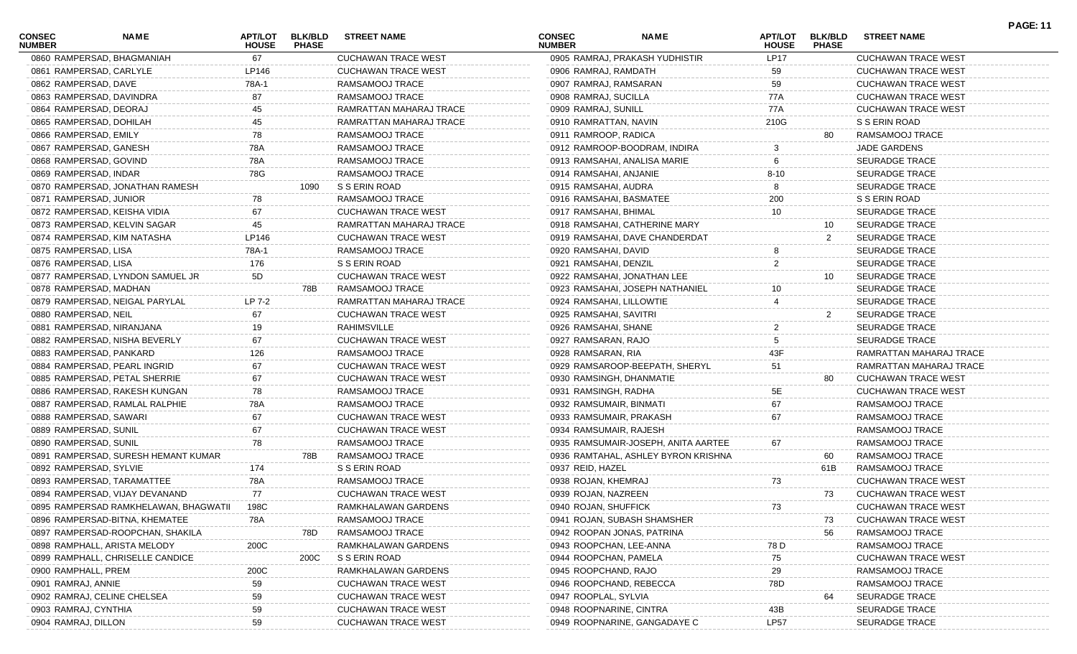| <b>CONSEC</b><br><b>NUMBER</b> | <b>NAME</b>                           | <b>HOUSE</b> | APT/LOT BLK/BLD<br><b>PHASE</b> | <b>STREET NAME</b>         | <b>CONSEC</b><br><b>NUMBER</b> | <b>NAME</b>                         | <b>HOUSE</b>   | APT/LOT BLK/BLD<br><b>PHASE</b> | <b>STREET NAME</b>         |
|--------------------------------|---------------------------------------|--------------|---------------------------------|----------------------------|--------------------------------|-------------------------------------|----------------|---------------------------------|----------------------------|
|                                | 0860 RAMPERSAD, BHAGMANIAH            | 67           |                                 | <b>CUCHAWAN TRACE WEST</b> |                                | 0905 RAMRAJ, PRAKASH YUDHISTIR      | <b>LP17</b>    |                                 | <b>CUCHAWAN TRACE WEST</b> |
|                                | 0861 RAMPERSAD, CARLYLE               | LP146        |                                 | <b>CUCHAWAN TRACE WEST</b> | 0906 RAMRAJ, RAMDATH           |                                     | 59             |                                 | <b>CUCHAWAN TRACE WEST</b> |
| 0862 RAMPERSAD, DAVE           |                                       | 78A-1        |                                 | RAMSAMOOJ TRACE            | 0907 RAMRAJ, RAMSARAN          |                                     | 59             |                                 | <b>CUCHAWAN TRACE WEST</b> |
|                                | 0863 RAMPERSAD, DAVINDRA              | 87           |                                 | RAMSAMOOJ TRACE            | 0908 RAMRAJ, SUCILLA           |                                     | 77A            |                                 | <b>CUCHAWAN TRACE WEST</b> |
|                                | 0864 RAMPERSAD, DEORAJ                | 45           |                                 | RAMRATTAN MAHARAJ TRACE    | 0909 RAMRAJ, SUNILL            |                                     | 77A            |                                 | <b>CUCHAWAN TRACE WEST</b> |
|                                | 0865 RAMPERSAD, DOHILAH               | 45           |                                 | RAMRATTAN MAHARAJ TRACE    | 0910 RAMRATTAN, NAVIN          |                                     | 210G           |                                 | S S ERIN ROAD              |
|                                | 0866 RAMPERSAD, EMILY                 | 78           |                                 | RAMSAMOOJ TRACE            | 0911 RAMROOP, RADICA           |                                     |                | 80                              | RAMSAMOOJ TRACE            |
|                                | 0867 RAMPERSAD, GANESH                | 78A          |                                 | RAMSAMOOJ TRACE            |                                | 0912 RAMROOP-BOODRAM, INDIRA        | 3              |                                 | <b>JADE GARDENS</b>        |
|                                | 0868 RAMPERSAD, GOVIND                | 78A          |                                 | RAMSAMOOJ TRACE            |                                | 0913 RAMSAHAI, ANALISA MARIE        | 6              |                                 | <b>SEURADGE TRACE</b>      |
|                                | 0869 RAMPERSAD, INDAR                 | 78G          |                                 | RAMSAMOOJ TRACE            | 0914 RAMSAHAI, ANJANIE         |                                     | $8 - 10$       |                                 | <b>SEURADGE TRACE</b>      |
|                                | 0870 RAMPERSAD, JONATHAN RAMESH       |              | 1090                            | S S ERIN ROAD              | 0915 RAMSAHAI, AUDRA           |                                     |                |                                 | <b>SEURADGE TRACE</b>      |
|                                | 0871 RAMPERSAD, JUNIOR                | 78           |                                 | RAMSAMOOJ TRACE            | 0916 RAMSAHAI, BASMATEE        |                                     | 200            |                                 | S S ERIN ROAD              |
|                                | 0872 RAMPERSAD, KEISHA VIDIA          | 67           |                                 | <b>CUCHAWAN TRACE WEST</b> | 0917 RAMSAHAI, BHIMAL          |                                     | 10             |                                 | <b>SEURADGE TRACE</b>      |
|                                | 0873 RAMPERSAD, KELVIN SAGAR          | 45           |                                 | RAMRATTAN MAHARAJ TRACE    |                                | 0918 RAMSAHAI, CATHERINE MARY       |                | 10                              | <b>SEURADGE TRACE</b>      |
|                                | 0874 RAMPERSAD, KIM NATASHA           | LP146        |                                 | <b>CUCHAWAN TRACE WEST</b> |                                | 0919 RAMSAHAI, DAVE CHANDERDAT      |                | 2                               | <b>SEURADGE TRACE</b>      |
| 0875 RAMPERSAD, LISA           |                                       | 78A-1        |                                 | RAMSAMOOJ TRACE            | 0920 RAMSAHAI, DAVID           |                                     |                |                                 | <b>SEURADGE TRACE</b>      |
| 0876 RAMPERSAD, LISA           |                                       | 176          |                                 | S S ERIN ROAD              | 0921 RAMSAHAI, DENZIL          |                                     | $\overline{2}$ |                                 | <b>SEURADGE TRACE</b>      |
|                                | 0877 RAMPERSAD, LYNDON SAMUEL JR      | 5D           |                                 | <b>CUCHAWAN TRACE WEST</b> |                                | 0922 RAMSAHAI, JONATHAN LEE         |                | 10                              | <b>SEURADGE TRACE</b>      |
|                                | 0878 RAMPERSAD, MADHAN                |              | 78B                             | RAMSAMOOJ TRACE            |                                | 0923 RAMSAHAI, JOSEPH NATHANIEL     | 10             |                                 | <b>SEURADGE TRACE</b>      |
|                                | 0879 RAMPERSAD, NEIGAL PARYLAL        | LP 7-2       |                                 | RAMRATTAN MAHARAJ TRACE    | 0924 RAMSAHAI, LILLOWTIE       |                                     |                |                                 | <b>SEURADGE TRACE</b>      |
| 0880 RAMPERSAD, NEIL           |                                       | 67           |                                 | <b>CUCHAWAN TRACE WEST</b> | 0925 RAMSAHAI, SAVITRI         |                                     |                | $\overline{2}$                  | <b>SEURADGE TRACE</b>      |
|                                | 0881 RAMPERSAD, NIRANJANA             | 19           |                                 | <b>RAHIMSVILLE</b>         | 0926 RAMSAHAI, SHANE           |                                     | $\overline{2}$ |                                 | <b>SEURADGE TRACE</b>      |
|                                | 0882 RAMPERSAD, NISHA BEVERLY         | 67           |                                 | <b>CUCHAWAN TRACE WEST</b> | 0927 RAMSARAN, RAJO            |                                     | 5              |                                 | <b>SEURADGE TRACE</b>      |
|                                | 0883 RAMPERSAD, PANKARD               | 126          |                                 | RAMSAMOOJ TRACE            | 0928 RAMSARAN, RIA             |                                     | 43F            |                                 | RAMRATTAN MAHARAJ TRACE    |
|                                | 0884 RAMPERSAD, PEARL INGRID          | 67           |                                 | <b>CUCHAWAN TRACE WEST</b> |                                | 0929 RAMSAROOP-BEEPATH, SHERYL      | 51             |                                 | RAMRATTAN MAHARAJ TRACE    |
|                                | 0885 RAMPERSAD, PETAL SHERRIE         | 67           |                                 | <b>CUCHAWAN TRACE WEST</b> | 0930 RAMSINGH, DHANMATIE       |                                     |                | 80                              | <b>CUCHAWAN TRACE WEST</b> |
|                                | 0886 RAMPERSAD, RAKESH KUNGAN         | 78           |                                 | RAMSAMOOJ TRACE            | 0931 RAMSINGH, RADHA           |                                     | 5E             |                                 | <b>CUCHAWAN TRACE WEST</b> |
|                                | 0887 RAMPERSAD, RAMLAL RALPHIE        | 78A          |                                 | RAMSAMOOJ TRACE            | 0932 RAMSUMAIR, BINMATI        |                                     | 67             |                                 | RAMSAMOOJ TRACE            |
|                                | 0888 RAMPERSAD, SAWARI                | 67           |                                 | <b>CUCHAWAN TRACE WEST</b> | 0933 RAMSUMAIR, PRAKASH        |                                     | 67             |                                 | RAMSAMOOJ TRACE            |
|                                | 0889 RAMPERSAD, SUNIL                 | 67           |                                 | <b>CUCHAWAN TRACE WEST</b> | 0934 RAMSUMAIR, RAJESH         |                                     |                |                                 | RAMSAMOOJ TRACE            |
|                                | 0890 RAMPERSAD, SUNIL                 | 78           |                                 | RAMSAMOOJ TRACE            |                                | 0935 RAMSUMAIR-JOSEPH, ANITA AARTEE | 67             |                                 | RAMSAMOOJ TRACE            |
|                                | 0891 RAMPERSAD, SURESH HEMANT KUMAR   |              | 78B                             | RAMSAMOOJ TRACE            |                                | 0936 RAMTAHAL, ASHLEY BYRON KRISHNA |                | 60                              | RAMSAMOOJ TRACE            |
|                                | 0892 RAMPERSAD, SYLVIE                | 174          |                                 | S S ERIN ROAD              | 0937 REID, HAZEL               |                                     |                | 61B                             | RAMSAMOOJ TRACE            |
|                                | 0893 RAMPERSAD, TARAMATTEE            | 78A          |                                 | RAMSAMOOJ TRACE            | 0938 ROJAN, KHEMRAJ            |                                     | 73             |                                 | <b>CUCHAWAN TRACE WEST</b> |
|                                | 0894 RAMPERSAD, VIJAY DEVANAND        | 77           |                                 | <b>CUCHAWAN TRACE WEST</b> | 0939 ROJAN, NAZREEN            |                                     |                | 73                              | <b>CUCHAWAN TRACE WEST</b> |
|                                | 0895 RAMPERSAD RAMKHELAWAN, BHAGWATII | 198C         |                                 | RAMKHALAWAN GARDENS        | 0940 ROJAN, SHUFFICK           |                                     |                |                                 | CUCHAWAN TRACE WEST        |
|                                | 0896 RAMPERSAD-BITNA, KHEMATEE        | 78A          |                                 | RAMSAMOOJ TRACE            |                                | 0941 ROJAN, SUBASH SHAMSHER         |                | 73                              | <b>CUCHAWAN TRACE WEST</b> |
|                                | 0897 RAMPERSAD-ROOPCHAN, SHAKILA      |              | 78D.                            | RAMSAMOOJ TRACE            |                                | 0942 ROOPAN JONAS, PATRINA          |                | 56                              | RAMSAMOOJ TRACE            |
|                                | 0898 RAMPHALL, ARISTA MELODY          | 200C         |                                 | RAMKHALAWAN GARDENS        | 0943 ROOPCHAN, LEE-ANNA        |                                     | 78 D           |                                 | RAMSAMOOJ TRACE            |
|                                | 0899 RAMPHALL, CHRISELLE CANDICE      |              | 200C                            | S S ERIN ROAD              | 0944 ROOPCHAN, PAMELA          |                                     | 75             |                                 | <b>CUCHAWAN TRACE WEST</b> |
| 0900 RAMPHALL, PREM            |                                       | 200C         |                                 | RAMKHALAWAN GARDENS        | 0945 ROOPCHAND, RAJO           |                                     | 29             |                                 | RAMSAMOOJ TRACE            |
| 0901 RAMRAJ, ANNIE             |                                       | 59           |                                 | <b>CUCHAWAN TRACE WEST</b> | 0946 ROOPCHAND, REBECCA        |                                     | 78D            |                                 | RAMSAMOOJ TRACE            |
|                                | 0902 RAMRAJ, CELINE CHELSEA           | 59           |                                 | <b>CUCHAWAN TRACE WEST</b> | 0947 ROOPLAL, SYLVIA           |                                     |                |                                 | <b>SEURADGE TRACE</b>      |
| 0903 RAMRAJ, CYNTHIA           |                                       | 59           |                                 | <b>CUCHAWAN TRACE WEST</b> | 0948 ROOPNARINE, CINTRA        |                                     | 43B            |                                 | <b>SEURADGE TRACE</b>      |
| 0904 RAMRAJ, DILLON            |                                       | 59           |                                 | <b>CUCHAWAN TRACE WEST</b> |                                | 0949 ROOPNARINE, GANGADAYE C        | LP57           |                                 | <b>SEURADGE TRACE</b>      |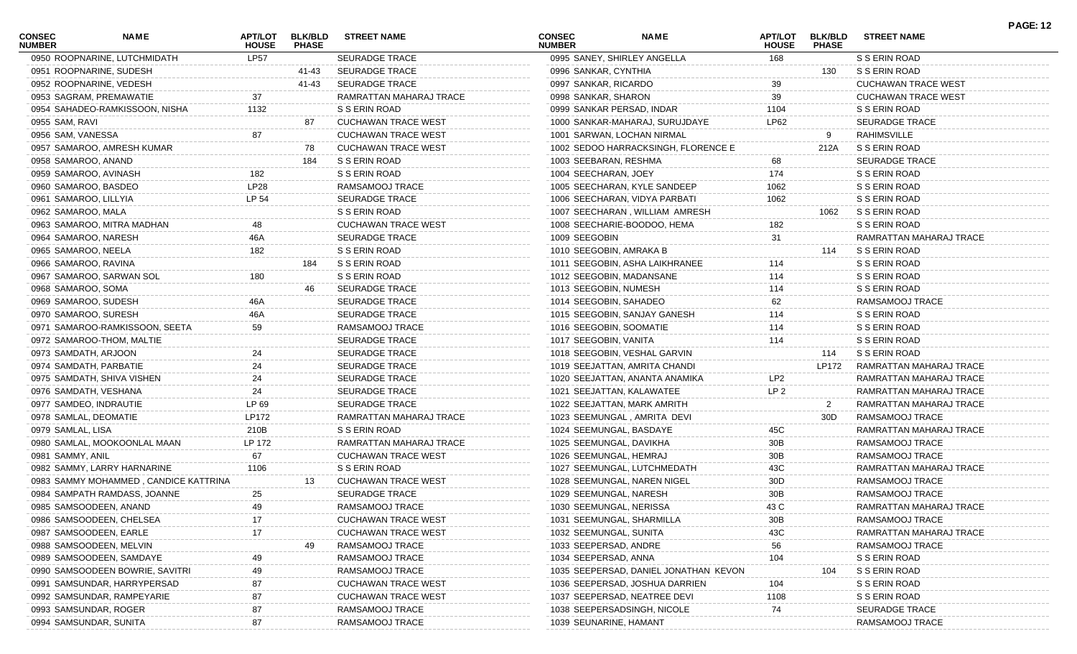| <b>CONSEC</b><br><b>NUMBER</b> | <b>NAME</b>                           | APT/LOT<br><b>HOUSE</b> | <b>BLK/BLD</b><br><b>PHASE</b> | <b>STREET NAME</b>         | <b>CONSEC</b><br><b>NUMBER</b> | <b>NAME</b>                           | <b>APT/LOT</b><br><b>HOUSE</b> | <b>BLK/BLD</b><br><b>PHASE</b> | <b>STREET NAME</b>         | <b>PAGE: 12</b> |
|--------------------------------|---------------------------------------|-------------------------|--------------------------------|----------------------------|--------------------------------|---------------------------------------|--------------------------------|--------------------------------|----------------------------|-----------------|
|                                | 0950 ROOPNARINE, LUTCHMIDATH          | LP57                    |                                | <b>SEURADGE TRACE</b>      |                                | 0995 SANEY, SHIRLEY ANGELLA           | 168                            |                                | S S ERIN ROAD              |                 |
|                                | 0951 ROOPNARINE, SUDESH               |                         | 41-43                          | <b>SEURADGE TRACE</b>      | 0996 SANKAR, CYNTHIA           |                                       |                                | 130                            | S S ERIN ROAD              |                 |
|                                | 0952 ROOPNARINE, VEDESH               |                         | 41-43                          | <b>SEURADGE TRACE</b>      | 0997 SANKAR, RICARDO           |                                       | 39                             |                                | <b>CUCHAWAN TRACE WEST</b> |                 |
|                                | 0953 SAGRAM, PREMAWATIE               | 37                      |                                | RAMRATTAN MAHARAJ TRACE    | 0998 SANKAR, SHARON            |                                       | 39                             |                                | <b>CUCHAWAN TRACE WEST</b> |                 |
|                                | 0954 SAHADEO-RAMKISSOON, NISHA        | 1132                    |                                | S S ERIN ROAD              |                                | 0999 SANKAR PERSAD, INDAR             | 1104                           |                                | S S ERIN ROAD              |                 |
| 0955 SAM, RAVI                 |                                       |                         | 87                             | <b>CUCHAWAN TRACE WEST</b> |                                | 1000 SANKAR-MAHARAJ, SURUJDAYE        | LP62                           |                                | <b>SEURADGE TRACE</b>      |                 |
| 0956 SAM, VANESSA              |                                       | 87                      |                                | <b>CUCHAWAN TRACE WEST</b> |                                | 1001 SARWAN, LOCHAN NIRMAL            |                                | 9                              | RAHIMSVILLE                |                 |
|                                | 0957 SAMAROO, AMRESH KUMAR            |                         | 78                             | <b>CUCHAWAN TRACE WEST</b> |                                | 1002 SEDOO HARRACKSINGH, FLORENCE E   |                                | 212A                           | S S ERIN ROAD              |                 |
| 0958 SAMAROO, ANAND            |                                       |                         | 184                            | S S ERIN ROAD              | 1003 SEEBARAN, RESHMA          |                                       | 68                             |                                | <b>SEURADGE TRACE</b>      |                 |
| 0959 SAMAROO, AVINASH          |                                       | 182                     |                                | S S ERIN ROAD              | 1004 SEECHARAN, JOEY           |                                       | 174                            |                                | S S ERIN ROAD              |                 |
| 0960 SAMAROO, BASDEO           |                                       | LP28                    |                                | RAMSAMOOJ TRACE            |                                | 1005 SEECHARAN, KYLE SANDEEP          | 1062                           |                                | S S ERIN ROAD              |                 |
| 0961 SAMAROO, LILLYIA          |                                       | LP 54                   |                                | SEURADGE TRACE             |                                | 1006 SEECHARAN, VIDYA PARBATI         | 1062                           |                                | S S ERIN ROAD              |                 |
| 0962 SAMAROO, MALA             |                                       |                         |                                | S S ERIN ROAD              |                                | 1007 SEECHARAN, WILLIAM AMRESH        |                                | 1062                           | S S ERIN ROAD              |                 |
|                                | 0963 SAMAROO, MITRA MADHAN            | 48                      |                                | <b>CUCHAWAN TRACE WEST</b> |                                | 1008 SEECHARIE-BOODOO, HEMA           | 182                            |                                | S S ERIN ROAD              |                 |
| 0964 SAMAROO, NARESH           |                                       | 46A                     |                                | <b>SEURADGE TRACE</b>      | 1009 SEEGOBIN                  |                                       | 31                             |                                | RAMRATTAN MAHARAJ TRACE    |                 |
| 0965 SAMAROO, NEELA            |                                       | 182                     |                                | S S ERIN ROAD              |                                | 1010 SEEGOBIN, AMRAKA B               |                                | 114                            | S S ERIN ROAD              |                 |
| 0966 SAMAROO, RAVINA           |                                       |                         | 184                            | S S ERIN ROAD              |                                | 1011 SEEGOBIN, ASHA LAIKHRANEE        | 114                            |                                | S S ERIN ROAD              |                 |
|                                | 0967 SAMAROO, SARWAN SOL              | 180                     |                                | S S ERIN ROAD              |                                | 1012 SEEGOBIN, MADANSANE              | 114                            |                                | S S ERIN ROAD              |                 |
| 0968 SAMAROO, SOMA             |                                       |                         | 46                             | SEURADGE TRACE             | 1013 SEEGOBIN, NUMESH          |                                       | 114                            |                                | S S ERIN ROAD              |                 |
| 0969 SAMAROO, SUDESH           |                                       | 46A                     |                                | <b>SEURADGE TRACE</b>      | 1014 SEEGOBIN, SAHADEO         |                                       | 62                             |                                | RAMSAMOOJ TRACE            |                 |
| 0970 SAMAROO, SURESH           |                                       | 46A                     |                                | SEURADGE TRACE             |                                | 1015 SEEGOBIN, SANJAY GANESH          | 114                            |                                | S S ERIN ROAD              |                 |
|                                | 0971 SAMAROO-RAMKISSOON, SEETA        | 59                      |                                | RAMSAMOOJ TRACE            |                                | 1016 SEEGOBIN, SOOMATIE               | 114                            |                                | S S ERIN ROAD              |                 |
|                                | 0972 SAMAROO-THOM, MALTIE             |                         |                                | <b>SEURADGE TRACE</b>      | 1017 SEEGOBIN, VANITA          |                                       | 114                            |                                | S S ERIN ROAD              |                 |
| 0973 SAMDATH, ARJOON           |                                       | 24                      |                                | SEURADGE TRACE             |                                | 1018 SEEGOBIN, VESHAL GARVIN          |                                | 114                            | S S ERIN ROAD              |                 |
| 0974 SAMDATH, PARBATIE         |                                       | 24                      |                                | <b>SEURADGE TRACE</b>      |                                | 1019 SEEJATTAN, AMRITA CHANDI         |                                | LP172                          | RAMRATTAN MAHARAJ TRACE    |                 |
|                                | 0975 SAMDATH, SHIVA VISHEN            | 24                      |                                | <b>SEURADGE TRACE</b>      |                                | 1020 SEEJATTAN, ANANTA ANAMIKA        | LP2                            |                                | RAMRATTAN MAHARAJ TRACE    |                 |
| 0976 SAMDATH, VESHANA          |                                       | 24                      |                                | SEURADGE TRACE             |                                | 1021 SEEJATTAN, KALAWATEE             | LP <sub>2</sub>                |                                | RAMRATTAN MAHARAJ TRACE    |                 |
| 0977 SAMDEO, INDRAUTIE         |                                       | LP 69                   |                                | SEURADGE TRACE             |                                | 1022 SEEJATTAN, MARK AMRITH           |                                | $\overline{2}$                 | RAMRATTAN MAHARAJ TRACE    |                 |
| 0978 SAMLAL, DEOMATIE          |                                       | LP172                   |                                | RAMRATTAN MAHARAJ TRACE    |                                | 1023 SEEMUNGAL, AMRITA DEVI           |                                | 30D                            | RAMSAMOOJ TRACE            |                 |
| 0979 SAMLAL, LISA              |                                       | 210B                    |                                | S S ERIN ROAD              |                                | 1024 SEEMUNGAL, BASDAYE               | 45C                            |                                | RAMRATTAN MAHARAJ TRACE    |                 |
|                                | 0980 SAMLAL, MOOKOONLAL MAAN          | LP 172                  |                                | RAMRATTAN MAHARAJ TRACE    |                                | 1025 SEEMUNGAL, DAVIKHA               | 30B                            |                                | RAMSAMOOJ TRACE            |                 |
| 0981 SAMMY, ANIL               |                                       | 67                      |                                | <b>CUCHAWAN TRACE WEST</b> | 1026 SEEMUNGAL, HEMRAJ         |                                       | 30B                            |                                | RAMSAMOOJ TRACE            |                 |
|                                | 0982 SAMMY, LARRY HARNARINE           | 1106                    |                                | S S ERIN ROAD              |                                | 1027 SEEMUNGAL, LUTCHMEDATH           | 43C                            |                                | RAMRATTAN MAHARAJ TRACE    |                 |
|                                | 0983 SAMMY MOHAMMED, CANDICE KATTRINA |                         | 13.                            | <b>CUCHAWAN TRACE WEST</b> |                                | 1028 SEEMUNGAL, NAREN NIGEL           | 30D                            |                                | RAMSAMOOJ TRACE            |                 |
|                                | 0984 SAMPATH RAMDASS, JOANNE          | 25                      |                                | <b>SEURADGE TRACE</b>      |                                | 1029 SEEMUNGAL, NARESH                | 30B                            |                                | RAMSAMOOJ TRACE            |                 |
|                                | 0985 SAMSOODEEN, ANAND                | 49                      |                                | RAMSAMOOJ TRACE            |                                | 1030 SEEMUNGAL, NERISSA               | 43 C                           |                                | RAMRATTAN MAHARAJ TRACE    |                 |
|                                | 0986 SAMSOODEEN, CHELSEA              | 17                      |                                | <b>CUCHAWAN TRACE WEST</b> |                                | 1031 SEEMUNGAL, SHARMILLA             | 30B                            |                                | RAMSAMOOJ TRACE            |                 |
|                                | 0987 SAMSOODEEN, EARLE                | 17                      |                                | CUCHAWAN TRACE WEST        | 1032 SEEMUNGAL, SUNITA         |                                       | 43C                            |                                | RAMRATTAN MAHARAJ TRACE    |                 |
|                                | 0988 SAMSOODEEN, MELVIN               |                         | -49                            | RAMSAMOOJ TRACE            | 1033 SEEPERSAD, ANDRE          |                                       |                                |                                | RAMSAMOOJ TRACE            |                 |
|                                |                                       |                         |                                |                            |                                |                                       | 56                             |                                |                            |                 |
|                                | 0989 SAMSOODEEN, SAMDAYE              |                         |                                | RAMSAMOOJ TRACE            | 1034 SEEPERSAD, ANNA           |                                       | 104                            |                                | S S ERIN ROAD              |                 |
|                                | 0990 SAMSOODEEN BOWRIE, SAVITRI       | 49                      |                                | RAMSAMOOJ TRACE            |                                | 1035 SEEPERSAD, DANIEL JONATHAN KEVON |                                | 104                            | S S ERIN ROAD              |                 |
|                                | 0991 SAMSUNDAR, HARRYPERSAD           | 87                      |                                | <b>CUCHAWAN TRACE WEST</b> |                                | 1036 SEEPERSAD, JOSHUA DARRIEN        | 104                            |                                | S S ERIN ROAD              |                 |
|                                | 0992 SAMSUNDAR, RAMPEYARIE            | 87                      |                                | <b>CUCHAWAN TRACE WEST</b> |                                | 1037 SEEPERSAD, NEATREE DEVI          | 1108                           |                                | S S ERIN ROAD              |                 |
|                                | 0993 SAMSUNDAR, ROGER                 | 87                      |                                | RAMSAMOOJ TRACE            |                                | 1038 SEEPERSADSINGH, NICOLE           | 74                             |                                | <b>SEURADGE TRACE</b>      |                 |
|                                | 0994 SAMSUNDAR, SUNITA                | 87                      |                                | RAMSAMOOJ TRACE            | 1039 SEUNARINE, HAMANT         |                                       |                                |                                | RAMSAMOOJ TRACE            |                 |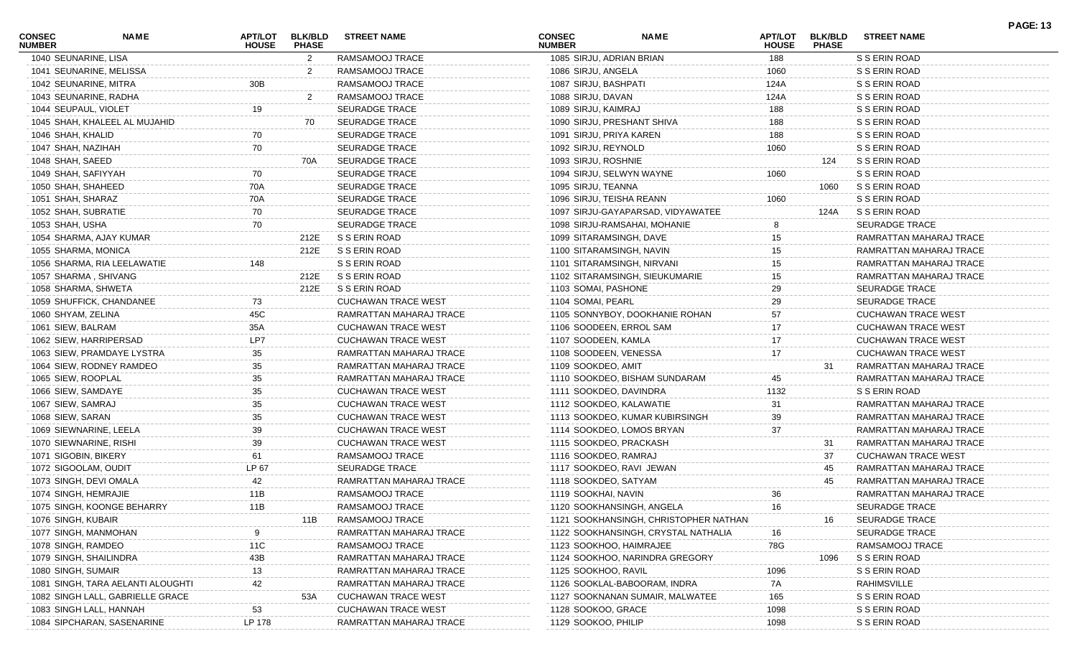| <b>CONSEC</b><br><b>NUMBER</b> | NAME                              | <b>APT/LOT</b><br><b>HOUSE</b> | <b>BLK/BLD</b><br><b>PHASE</b> | <b>STREET NAME</b>         | <b>CONSEC</b><br><b>NUMBER</b> | NAME                                  | APT/LOT<br><b>HOUSE</b> | <b>BLK/BLD</b><br><b>PHASE</b> | <b>STREET NAME</b>         | <b>PAGE: 13</b> |
|--------------------------------|-----------------------------------|--------------------------------|--------------------------------|----------------------------|--------------------------------|---------------------------------------|-------------------------|--------------------------------|----------------------------|-----------------|
| 1040 SEUNARINE, LISA           |                                   |                                | $\mathbf{2}$                   | RAMSAMOOJ TRACE            |                                | 1085 SIRJU, ADRIAN BRIAN              | 188                     |                                | S S ERIN ROAD              |                 |
|                                | 1041 SEUNARINE, MELISSA           |                                | 2                              | RAMSAMOOJ TRACE            | 1086 SIRJU, ANGELA             |                                       | 1060                    |                                | S S ERIN ROAD              |                 |
| 1042 SEUNARINE, MITRA          |                                   | 30B                            |                                | RAMSAMOOJ TRACE            | 1087 SIRJU, BASHPATI           |                                       | 124A                    |                                | S S ERIN ROAD              |                 |
| 1043 SEUNARINE, RADHA          |                                   |                                | 2                              | RAMSAMOOJ TRACE            | 1088 SIRJU, DAVAN              |                                       | 124A                    |                                | S S ERIN ROAD              |                 |
| 1044 SEUPAUL, VIOLET           |                                   | 19                             |                                | <b>SEURADGE TRACE</b>      | 1089 SIRJU, KAIMRAJ            |                                       | 188                     |                                | S S ERIN ROAD              |                 |
|                                | 1045 SHAH, KHALEEL AL MUJAHID     |                                | 70                             | <b>SEURADGE TRACE</b>      |                                | 1090 SIRJU, PRESHANT SHIVA            | 188                     |                                | S S ERIN ROAD              |                 |
| 1046 SHAH, KHALID              |                                   | 70                             |                                | <b>SEURADGE TRACE</b>      | 1091 SIRJU, PRIYA KAREN        |                                       | 188                     |                                | S S ERIN ROAD              |                 |
| 1047 SHAH, NAZIHAH             |                                   | 70                             |                                | <b>SEURADGE TRACE</b>      | 1092 SIRJU, REYNOLD            |                                       | 1060                    |                                | S S ERIN ROAD              |                 |
| 1048 SHAH, SAEED               |                                   |                                | 70A                            | <b>SEURADGE TRACE</b>      | 1093 SIRJU, ROSHNIE            |                                       |                         | 124                            | S S ERIN ROAD              |                 |
| 1049 SHAH, SAFIYYAH            |                                   |                                |                                | <b>SEURADGE TRACE</b>      |                                | 1094 SIRJU, SELWYN WAYNE              | 1060                    |                                | S S ERIN ROAD              |                 |
| 1050 SHAH, SHAHEED             |                                   | 70A                            |                                | <b>SEURADGE TRACE</b>      | 1095 SIRJU, TEANNA             |                                       |                         | 1060                           | S S ERIN ROAD              |                 |
| 1051 SHAH, SHARAZ              |                                   | 70A                            |                                | <b>SEURADGE TRACE</b>      |                                | 1096 SIRJU, TEISHA REANN              | 1060                    |                                | S S ERIN ROAD              |                 |
| 1052 SHAH, SUBRATIE            |                                   | 70                             |                                | <b>SEURADGE TRACE</b>      |                                | 1097 SIRJU-GAYAPARSAD, VIDYAWATEE     |                         | 124A                           | S S ERIN ROAD              |                 |
| 1053 SHAH, USHA                |                                   | 70                             |                                | <b>SEURADGE TRACE</b>      |                                | 1098 SIRJU-RAMSAHAI, MOHANIE          |                         |                                | <b>SEURADGE TRACE</b>      |                 |
|                                | 1054 SHARMA, AJAY KUMAR           |                                | 212E                           | S S ERIN ROAD              |                                | 1099 SITARAMSINGH, DAVE               | 15                      |                                | RAMRATTAN MAHARAJ TRACE    |                 |
| 1055 SHARMA, MONICA            |                                   |                                | 212E                           | S S ERIN ROAD              |                                | 1100 SITARAMSINGH, NAVIN              | 15                      |                                | RAMRATTAN MAHARAJ TRACE    |                 |
|                                | 1056 SHARMA, RIA LEELAWATIE       | 148                            |                                | S S ERIN ROAD              |                                | 1101 SITARAMSINGH, NIRVANI            | 15                      |                                | RAMRATTAN MAHARAJ TRACE    |                 |
| 1057 SHARMA, SHIVANG           |                                   |                                | 212E                           | S S ERIN ROAD              |                                | 1102 SITARAMSINGH, SIEUKUMARIE        | 15                      |                                | RAMRATTAN MAHARAJ TRACE    |                 |
| 1058 SHARMA, SHWETA            |                                   |                                | 212E                           | S S ERIN ROAD              | 1103 SOMAI, PASHONE            |                                       | 29                      |                                | <b>SEURADGE TRACE</b>      |                 |
|                                | 1059 SHUFFICK, CHANDANEE          | 73                             |                                | <b>CUCHAWAN TRACE WEST</b> | 1104 SOMAI, PEARL              |                                       | 29                      |                                | <b>SEURADGE TRACE</b>      |                 |
| 1060 SHYAM, ZELINA             |                                   | 45C                            |                                | RAMRATTAN MAHARAJ TRACE    |                                | 1105 SONNYBOY, DOOKHANIE ROHAN        | 57                      |                                | <b>CUCHAWAN TRACE WEST</b> |                 |
| 1061 SIEW, BALRAM              |                                   | 35A                            |                                | <b>CUCHAWAN TRACE WEST</b> |                                | 1106 SOODEEN, ERROL SAM               | 17                      |                                | <b>CUCHAWAN TRACE WEST</b> |                 |
| 1062 SIEW, HARRIPERSAD         |                                   | LP7                            |                                | <b>CUCHAWAN TRACE WEST</b> | 1107 SOODEEN, KAMLA            |                                       | 17                      |                                | <b>CUCHAWAN TRACE WEST</b> |                 |
|                                | 1063 SIEW, PRAMDAYE LYSTRA        | 35                             |                                | RAMRATTAN MAHARAJ TRACE    | 1108 SOODEEN, VENESSA          |                                       | 17                      |                                | <b>CUCHAWAN TRACE WEST</b> |                 |
|                                | 1064 SIEW, RODNEY RAMDEO          | 35                             |                                | RAMRATTAN MAHARAJ TRACE    | 1109 SOOKDEO, AMIT             |                                       |                         | 31                             | RAMRATTAN MAHARAJ TRACE    |                 |
| 1065 SIEW, ROOPLAL             |                                   | 35                             |                                | RAMRATTAN MAHARAJ TRACE    |                                | 1110 SOOKDEO, BISHAM SUNDARAM         | 45                      |                                | RAMRATTAN MAHARAJ TRACE    |                 |
| 1066 SIEW, SAMDAYE             |                                   | 35                             |                                | <b>CUCHAWAN TRACE WEST</b> |                                | 1111 SOOKDEO, DAVINDRA                | 1132                    |                                | S S ERIN ROAD              |                 |
| 1067 SIEW, SAMRAJ              |                                   |                                |                                | <b>CUCHAWAN TRACE WEST</b> |                                | 1112 SOOKDEO, KALAWATIE               | 31                      |                                | RAMRATTAN MAHARAJ TRACE    |                 |
| 1068 SIEW, SARAN               |                                   | 35                             |                                | <b>CUCHAWAN TRACE WEST</b> |                                | 1113 SOOKDEO, KUMAR KUBIRSINGH        | 39                      |                                | RAMRATTAN MAHARAJ TRACE    |                 |
| 1069 SIEWNARINE, LEELA         |                                   | 39                             |                                | <b>CUCHAWAN TRACE WEST</b> |                                | 1114 SOOKDEO, LOMOS BRYAN             | 37                      |                                | RAMRATTAN MAHARAJ TRACE    |                 |
| 1070 SIEWNARINE, RISHI         |                                   | 39                             |                                | <b>CUCHAWAN TRACE WEST</b> |                                | 1115 SOOKDEO, PRACKASH                |                         | 31                             | RAMRATTAN MAHARAJ TRACE    |                 |
| 1071 SIGOBIN, BIKERY           |                                   | 61                             |                                | RAMSAMOOJ TRACE            | 1116 SOOKDEO, RAMRAJ           |                                       |                         | 37                             | <b>CUCHAWAN TRACE WEST</b> |                 |
| 1072 SIGOOLAM, OUDIT           |                                   | LP 67                          |                                | SEURADGE TRACE             |                                | 1117 SOOKDEO, RAVI JEWAN              |                         | 45                             | RAMRATTAN MAHARAJ TRACE    |                 |
| 1073 SINGH, DEVI OMALA         |                                   | 42                             |                                | RAMRATTAN MAHARAJ TRACE    | 1118 SOOKDEO, SATYAM           |                                       |                         | 45                             | RAMRATTAN MAHARAJ TRACE    |                 |
| 1074 SINGH, HEMRAJIE           |                                   | 11B                            |                                | RAMSAMOOJ TRACE            | 1119 SOOKHAI, NAVIN            |                                       | 36                      |                                | RAMRATTAN MAHARAJ TRACE    |                 |
|                                | 1075 SINGH, KOONGE BEHARRY        | 11B                            |                                | RAMSAMOOJ TRACE            |                                | 1120 SOOKHANSINGH, ANGELA             | 16                      |                                | <b>SEURADGE TRACE</b>      |                 |
| 1076 SINGH, KUBAIR             |                                   |                                | 11B                            | RAMSAMOOJ TRACE            |                                | 1121 SOOKHANSINGH, CHRISTOPHER NATHAN |                         | 16                             | <b>SEURADGE TRACE</b>      |                 |
| 1077 SINGH, MANMOHAN           |                                   |                                |                                | RAMRATTAN MAHARAJ TRACE    |                                | 1122 SOOKHANSINGH, CRYSTAL NATHALIA   | 16                      |                                | SEURADGE TRACE             |                 |
| 1078 SINGH, RAMDEO             |                                   | 11C                            |                                | RAMSAMOOJ TRACE            |                                | 1123 SOOKHOO, HAIMRAJEE               | 78G                     |                                | RAMSAMOOJ TRACE            |                 |
| 1079 SINGH, SHAILINDRA         |                                   | 43B                            |                                | RAMRATTAN MAHARAJ TRACE    |                                | 1124 SOOKHOO, NARINDRA GREGORY        |                         | 1096                           | S S ERIN ROAD              |                 |
| 1080 SINGH, SUMAIR             |                                   | 13                             |                                | RAMRATTAN MAHARAJ TRACE    | 1125 SOOKHOO, RAVIL            |                                       | 1096                    |                                | S S ERIN ROAD              |                 |
|                                | 1081 SINGH, TARA AELANTI ALOUGHTI | 42                             |                                | RAMRATTAN MAHARAJ TRACE    |                                | 1126 SOOKLAL-BABOORAM, INDRA          | 7A                      |                                | RAHIMSVILLE                |                 |
|                                | 1082 SINGH LALL, GABRIELLE GRACE  |                                | 53A                            | <b>CUCHAWAN TRACE WEST</b> |                                | 1127 SOOKNANAN SUMAIR, MALWATEE       | 165                     |                                | S S ERIN ROAD              |                 |
| 1083 SINGH LALL, HANNAH        |                                   | 53                             |                                | <b>CUCHAWAN TRACE WEST</b> | 1128 SOOKOO, GRACE             |                                       | 1098                    |                                | S S ERIN ROAD              |                 |
|                                | 1084 SIPCHARAN, SASENARINE        | LP 178                         |                                | RAMRATTAN MAHARAJ TRACE    | 1129 SOOKOO, PHILIP            |                                       | 1098                    |                                | S S ERIN ROAD              |                 |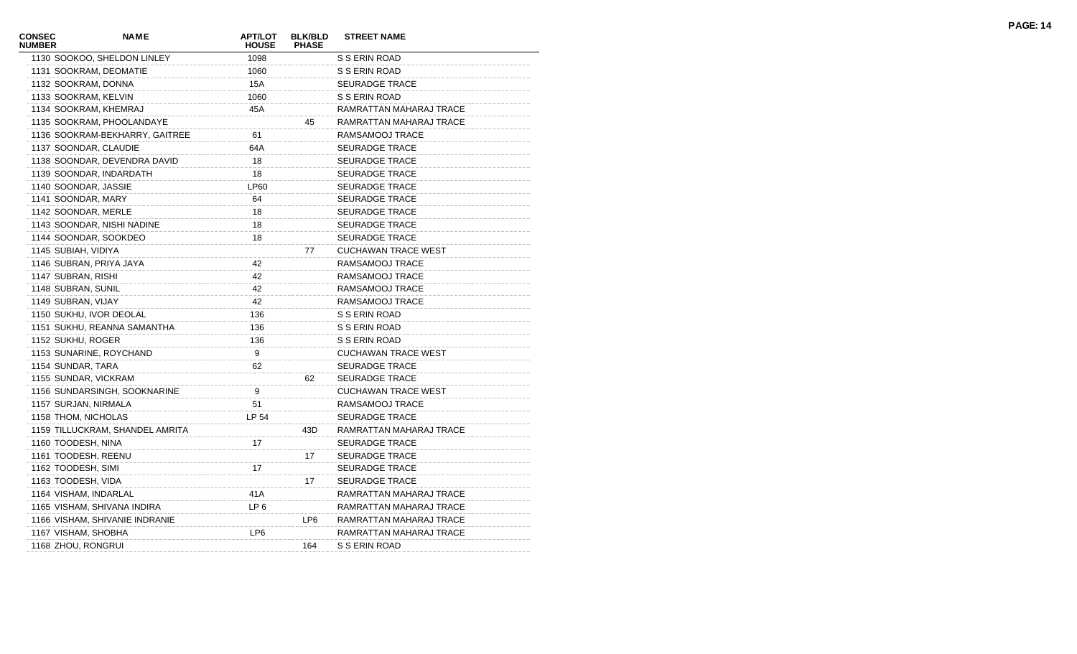| CONSEC<br><b>NUMBER</b> | <b>NAME</b>                     | <b>APT/LOT</b><br><b>HOUSE</b> | <b>BLK/BLD</b><br><b>PHASE</b> | <b>STREET NAME</b>         |
|-------------------------|---------------------------------|--------------------------------|--------------------------------|----------------------------|
|                         | 1130 SOOKOO, SHELDON LINLEY     | 1098                           |                                | S S ERIN ROAD              |
|                         | 1131 SOOKRAM, DEOMATIE          | 1060                           |                                | S S ERIN ROAD              |
|                         | 1132 SOOKRAM, DONNA             | 15A                            |                                | <b>SEURADGE TRACE</b>      |
|                         | 1133 SOOKRAM, KELVIN            | 1060                           |                                | S S ERIN ROAD              |
|                         | 1134 SOOKRAM, KHEMRAJ           | 45A                            |                                | RAMRATTAN MAHARAJ TRACE    |
|                         | 1135 SOOKRAM, PHOOLANDAYE       |                                | 45                             | RAMRATTAN MAHARAJ TRACE    |
|                         | 1136 SOOKRAM-BEKHARRY, GAITREE  | 61                             |                                | RAMSAMOOJ TRACE            |
|                         | 1137 SOONDAR, CLAUDIE           | 64A                            |                                | <b>SEURADGE TRACE</b>      |
|                         | 1138 SOONDAR, DEVENDRA DAVID    | 18                             |                                | <b>SEURADGE TRACE</b>      |
|                         | 1139 SOONDAR, INDARDATH         | 18                             |                                | <b>SEURADGE TRACE</b>      |
|                         | 1140 SOONDAR, JASSIE            | <b>LP60</b>                    |                                | <b>SEURADGE TRACE</b>      |
|                         | 1141 SOONDAR, MARY              | 64                             |                                | <b>SEURADGE TRACE</b>      |
|                         | 1142 SOONDAR, MERLE             | 18                             |                                | <b>SEURADGE TRACE</b>      |
|                         | 1143 SOONDAR, NISHI NADINE      | 18                             |                                | <b>SEURADGE TRACE</b>      |
|                         | 1144 SOONDAR, SOOKDEO           | 18                             |                                | <b>SEURADGE TRACE</b>      |
|                         | 1145 SUBIAH, VIDIYA             |                                | 77                             | <b>CUCHAWAN TRACE WEST</b> |
|                         | 1146 SUBRAN, PRIYA JAYA         | 42                             |                                | RAMSAMOOJ TRACE            |
|                         | 1147 SUBRAN, RISHI              | 42                             |                                | RAMSAMOOJ TRACE            |
|                         | 1148 SUBRAN, SUNIL              | 42                             |                                | RAMSAMOOJ TRACE            |
|                         | 1149 SUBRAN, VIJAY              | 42                             |                                | RAMSAMOOJ TRACE            |
|                         | 1150 SUKHU, IVOR DEOLAL         | 136                            |                                | S S ERIN ROAD              |
|                         | 1151 SUKHU, REANNA SAMANTHA     | 136                            |                                | S S ERIN ROAD              |
|                         | 1152 SUKHU, ROGER               | 136                            |                                | S S ERIN ROAD              |
|                         | 1153 SUNARINE, ROYCHAND         | 9                              |                                | <b>CUCHAWAN TRACE WEST</b> |
|                         | 1154 SUNDAR, TARA               | 62                             |                                | <b>SEURADGE TRACE</b>      |
|                         | 1155 SUNDAR, VICKRAM            |                                | 62                             | <b>SEURADGE TRACE</b>      |
|                         | 1156 SUNDARSINGH, SOOKNARINE    | 9                              |                                | <b>CUCHAWAN TRACE WEST</b> |
|                         | 1157 SURJAN, NIRMALA            | 51                             |                                | RAMSAMOOJ TRACE            |
|                         | 1158 THOM, NICHOLAS             | LP 54                          |                                | <b>SEURADGE TRACE</b>      |
|                         | 1159 TILLUCKRAM, SHANDEL AMRITA |                                | 43D                            | RAMRATTAN MAHARAJ TRACE    |
|                         | 1160 TOODESH, NINA              | 17                             |                                | <b>SEURADGE TRACE</b>      |
|                         | 1161 TOODESH, REENU             |                                | 17                             | <b>SEURADGE TRACE</b>      |
|                         | 1162 TOODESH, SIMI              | 17                             |                                | <b>SEURADGE TRACE</b>      |
|                         | 1163 TOODESH, VIDA              |                                | 17                             | <b>SEURADGE TRACE</b>      |
|                         | 1164 VISHAM, INDARLAL           | 41A                            |                                | RAMRATTAN MAHARAJ TRACE    |
|                         | 1165 VISHAM, SHIVANA INDIRA     | LP <sub>6</sub>                |                                | RAMRATTAN MAHARAJ TRACE    |
|                         | 1166 VISHAM, SHIVANIE INDRANIE  |                                | LP6                            | RAMRATTAN MAHARAJ TRACE    |
|                         | 1167 VISHAM, SHOBHA             | LP <sub>6</sub>                |                                | RAMRATTAN MAHARAJ TRACE    |
|                         | 1168 ZHOU, RONGRUI              |                                | 164                            | S S ERIN ROAD              |
|                         |                                 |                                |                                |                            |